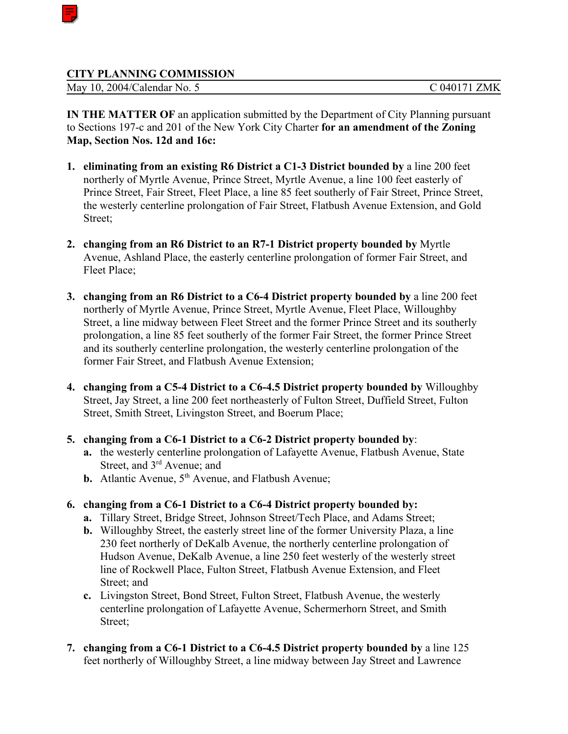## **CITY PLANNING COMMISSION**

May 10, 2004/Calendar No. 5 C 040171 ZMK

**IN THE MATTER OF** an application submitted by the Department of City Planning pursuant to Sections 197-c and 201 of the New York City Charter **for an amendment of the Zoning Map, Section Nos. 12d and 16c:**

- **1. eliminating from an existing R6 District a C1-3 District bounded by** a line 200 feet northerly of Myrtle Avenue, Prince Street, Myrtle Avenue, a line 100 feet easterly of Prince Street, Fair Street, Fleet Place, a line 85 feet southerly of Fair Street, Prince Street, the westerly centerline prolongation of Fair Street, Flatbush Avenue Extension, and Gold Street;
- **2. changing from an R6 District to an R7-1 District property bounded by** Myrtle Avenue, Ashland Place, the easterly centerline prolongation of former Fair Street, and Fleet Place;
- **3. changing from an R6 District to a C6-4 District property bounded by** a line 200 feet northerly of Myrtle Avenue, Prince Street, Myrtle Avenue, Fleet Place, Willoughby Street, a line midway between Fleet Street and the former Prince Street and its southerly prolongation, a line 85 feet southerly of the former Fair Street, the former Prince Street and its southerly centerline prolongation, the westerly centerline prolongation of the former Fair Street, and Flatbush Avenue Extension;
- **4. changing from a C5-4 District to a C6-4.5 District property bounded by** Willoughby Street, Jay Street, a line 200 feet northeasterly of Fulton Street, Duffield Street, Fulton Street, Smith Street, Livingston Street, and Boerum Place;
- **5. changing from a C6-1 District to a C6-2 District property bounded by**:
	- **a.** the westerly centerline prolongation of Lafayette Avenue, Flatbush Avenue, State Street, and  $3<sup>rd</sup>$  Avenue; and
	- **b.** Atlantic Avenue, 5<sup>th</sup> Avenue, and Flatbush Avenue;
- **6. changing from a C6-1 District to a C6-4 District property bounded by:**
	- **a.** Tillary Street, Bridge Street, Johnson Street/Tech Place, and Adams Street;
	- **b.** Willoughby Street, the easterly street line of the former University Plaza, a line 230 feet northerly of DeKalb Avenue, the northerly centerline prolongation of Hudson Avenue, DeKalb Avenue, a line 250 feet westerly of the westerly street line of Rockwell Place, Fulton Street, Flatbush Avenue Extension, and Fleet Street; and
	- **c.** Livingston Street, Bond Street, Fulton Street, Flatbush Avenue, the westerly centerline prolongation of Lafayette Avenue, Schermerhorn Street, and Smith Street;
- **7. changing from a C6-1 District to a C6-4.5 District property bounded by** a line 125 feet northerly of Willoughby Street, a line midway between Jay Street and Lawrence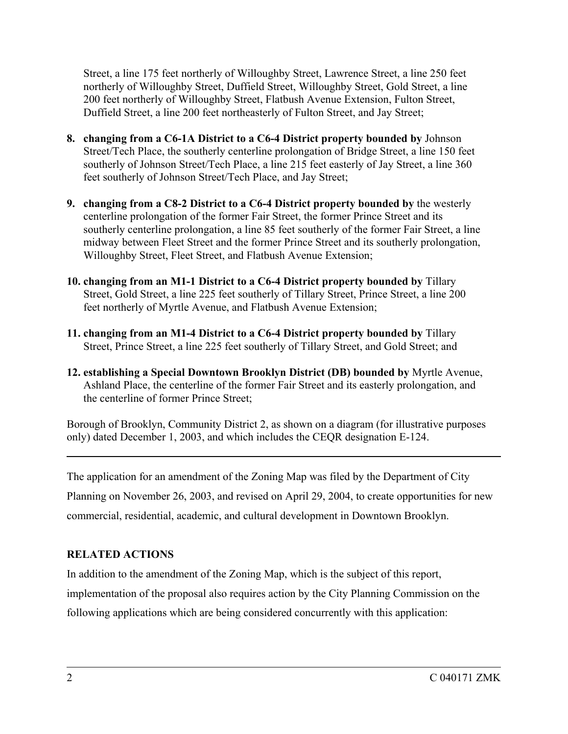Street, a line 175 feet northerly of Willoughby Street, Lawrence Street, a line 250 feet northerly of Willoughby Street, Duffield Street, Willoughby Street, Gold Street, a line 200 feet northerly of Willoughby Street, Flatbush Avenue Extension, Fulton Street, Duffield Street, a line 200 feet northeasterly of Fulton Street, and Jay Street;

- **8. changing from a C6-1A District to a C6-4 District property bounded by** Johnson Street/Tech Place, the southerly centerline prolongation of Bridge Street, a line 150 feet southerly of Johnson Street/Tech Place, a line 215 feet easterly of Jay Street, a line 360 feet southerly of Johnson Street/Tech Place, and Jay Street;
- **9. changing from a C8-2 District to a C6-4 District property bounded by** the westerly centerline prolongation of the former Fair Street, the former Prince Street and its southerly centerline prolongation, a line 85 feet southerly of the former Fair Street, a line midway between Fleet Street and the former Prince Street and its southerly prolongation, Willoughby Street, Fleet Street, and Flatbush Avenue Extension;
- **10. changing from an M1-1 District to a C6-4 District property bounded by** Tillary Street, Gold Street, a line 225 feet southerly of Tillary Street, Prince Street, a line 200 feet northerly of Myrtle Avenue, and Flatbush Avenue Extension;
- **11. changing from an M1-4 District to a C6-4 District property bounded by** Tillary Street, Prince Street, a line 225 feet southerly of Tillary Street, and Gold Street; and
- **12. establishing a Special Downtown Brooklyn District (DB) bounded by** Myrtle Avenue, Ashland Place, the centerline of the former Fair Street and its easterly prolongation, and the centerline of former Prince Street;

Borough of Brooklyn, Community District 2, as shown on a diagram (for illustrative purposes only) dated December 1, 2003, and which includes the CEQR designation E-124.

The application for an amendment of the Zoning Map was filed by the Department of City Planning on November 26, 2003, and revised on April 29, 2004, to create opportunities for new commercial, residential, academic, and cultural development in Downtown Brooklyn.

## **RELATED ACTIONS**

In addition to the amendment of the Zoning Map, which is the subject of this report, implementation of the proposal also requires action by the City Planning Commission on the following applications which are being considered concurrently with this application: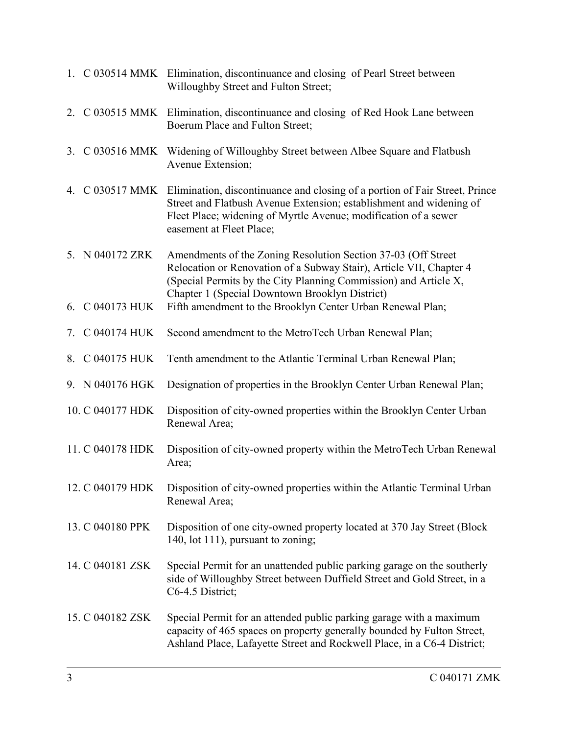|    |                  | 1. C 030514 MMK Elimination, discontinuance and closing of Pearl Street between<br>Willoughby Street and Fulton Street;                                                                                                                                        |
|----|------------------|----------------------------------------------------------------------------------------------------------------------------------------------------------------------------------------------------------------------------------------------------------------|
|    |                  | 2. C 030515 MMK Elimination, discontinuance and closing of Red Hook Lane between<br>Boerum Place and Fulton Street;                                                                                                                                            |
| 3. |                  | C 030516 MMK Widening of Willoughby Street between Albee Square and Flatbush<br>Avenue Extension;                                                                                                                                                              |
| 4. |                  | C 030517 MMK Elimination, discontinuance and closing of a portion of Fair Street, Prince<br>Street and Flatbush Avenue Extension; establishment and widening of<br>Fleet Place; widening of Myrtle Avenue; modification of a sewer<br>easement at Fleet Place; |
|    | 5. N 040172 ZRK  | Amendments of the Zoning Resolution Section 37-03 (Off Street)<br>Relocation or Renovation of a Subway Stair), Article VII, Chapter 4<br>(Special Permits by the City Planning Commission) and Article X,<br>Chapter 1 (Special Downtown Brooklyn District)    |
| 6. | C 040173 HUK     | Fifth amendment to the Brooklyn Center Urban Renewal Plan;                                                                                                                                                                                                     |
| 7. | C 040174 HUK     | Second amendment to the MetroTech Urban Renewal Plan;                                                                                                                                                                                                          |
|    | 8. C 040175 HUK  | Tenth amendment to the Atlantic Terminal Urban Renewal Plan;                                                                                                                                                                                                   |
|    | 9. N 040176 HGK  | Designation of properties in the Brooklyn Center Urban Renewal Plan;                                                                                                                                                                                           |
|    | 10. C 040177 HDK | Disposition of city-owned properties within the Brooklyn Center Urban<br>Renewal Area;                                                                                                                                                                         |
|    | 11. C 040178 HDK | Disposition of city-owned property within the MetroTech Urban Renewal<br>Area;                                                                                                                                                                                 |
|    | 12. C 040179 HDK | Disposition of city-owned properties within the Atlantic Terminal Urban<br>Renewal Area;                                                                                                                                                                       |
|    | 13. C 040180 PPK | Disposition of one city-owned property located at 370 Jay Street (Block<br>140, lot 111), pursuant to zoning;                                                                                                                                                  |
|    | 14. C 040181 ZSK | Special Permit for an unattended public parking garage on the southerly<br>side of Willoughby Street between Duffield Street and Gold Street, in a<br>C6-4.5 District;                                                                                         |
|    | 15. C 040182 ZSK | Special Permit for an attended public parking garage with a maximum<br>capacity of 465 spaces on property generally bounded by Fulton Street,<br>Ashland Place, Lafayette Street and Rockwell Place, in a C6-4 District;                                       |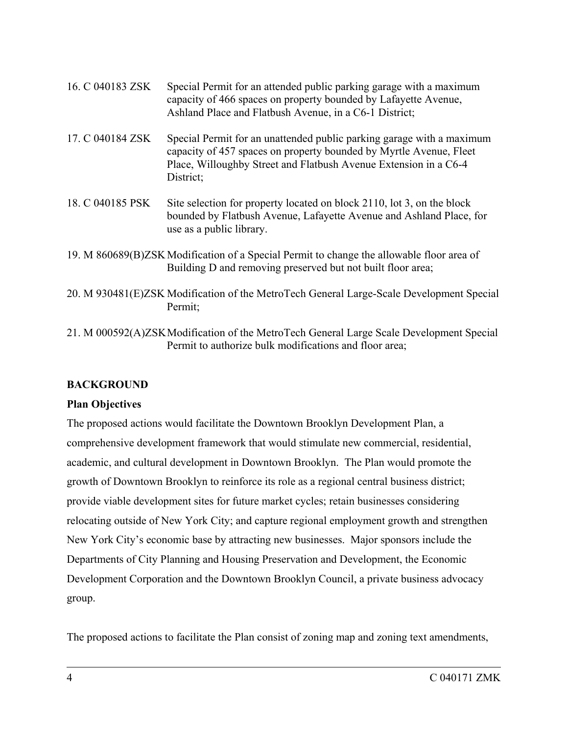| 16. C 040183 ZSK | Special Permit for an attended public parking garage with a maximum<br>capacity of 466 spaces on property bounded by Lafayette Avenue,<br>Ashland Place and Flatbush Avenue, in a C6-1 District;                             |
|------------------|------------------------------------------------------------------------------------------------------------------------------------------------------------------------------------------------------------------------------|
| 17. C 040184 ZSK | Special Permit for an unattended public parking garage with a maximum<br>capacity of 457 spaces on property bounded by Myrtle Avenue, Fleet<br>Place, Willoughby Street and Flatbush Avenue Extension in a C6-4<br>District: |
| 18. C 040185 PSK | Site selection for property located on block 2110, lot 3, on the block<br>bounded by Flatbush Avenue, Lafayette Avenue and Ashland Place, for<br>use as a public library.                                                    |
|                  | 19. M 860689(B)ZSK Modification of a Special Permit to change the allowable floor area of<br>Building D and removing preserved but not built floor area;                                                                     |
|                  | 20. M 930481(E)ZSK Modification of the MetroTech General Large-Scale Development Special<br>Permit;                                                                                                                          |

21. M 000592(A)ZSKModification of the MetroTech General Large Scale Development Special Permit to authorize bulk modifications and floor area;

## **BACKGROUND**

## **Plan Objectives**

The proposed actions would facilitate the Downtown Brooklyn Development Plan, a comprehensive development framework that would stimulate new commercial, residential, academic, and cultural development in Downtown Brooklyn. The Plan would promote the growth of Downtown Brooklyn to reinforce its role as a regional central business district; provide viable development sites for future market cycles; retain businesses considering relocating outside of New York City; and capture regional employment growth and strengthen New York City's economic base by attracting new businesses. Major sponsors include the Departments of City Planning and Housing Preservation and Development, the Economic Development Corporation and the Downtown Brooklyn Council, a private business advocacy group.

The proposed actions to facilitate the Plan consist of zoning map and zoning text amendments,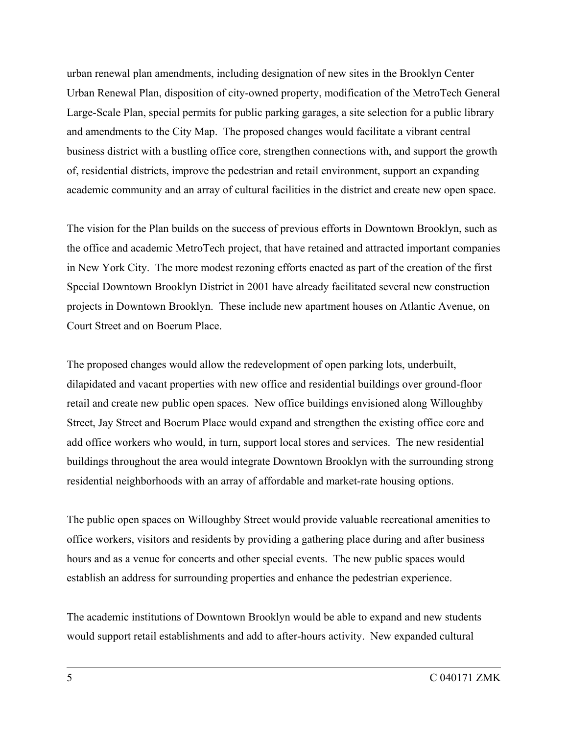urban renewal plan amendments, including designation of new sites in the Brooklyn Center Urban Renewal Plan, disposition of city-owned property, modification of the MetroTech General Large-Scale Plan, special permits for public parking garages, a site selection for a public library and amendments to the City Map. The proposed changes would facilitate a vibrant central business district with a bustling office core, strengthen connections with, and support the growth of, residential districts, improve the pedestrian and retail environment, support an expanding academic community and an array of cultural facilities in the district and create new open space.

The vision for the Plan builds on the success of previous efforts in Downtown Brooklyn, such as the office and academic MetroTech project, that have retained and attracted important companies in New York City. The more modest rezoning efforts enacted as part of the creation of the first Special Downtown Brooklyn District in 2001 have already facilitated several new construction projects in Downtown Brooklyn. These include new apartment houses on Atlantic Avenue, on Court Street and on Boerum Place.

The proposed changes would allow the redevelopment of open parking lots, underbuilt, dilapidated and vacant properties with new office and residential buildings over ground-floor retail and create new public open spaces. New office buildings envisioned along Willoughby Street, Jay Street and Boerum Place would expand and strengthen the existing office core and add office workers who would, in turn, support local stores and services. The new residential buildings throughout the area would integrate Downtown Brooklyn with the surrounding strong residential neighborhoods with an array of affordable and market-rate housing options.

The public open spaces on Willoughby Street would provide valuable recreational amenities to office workers, visitors and residents by providing a gathering place during and after business hours and as a venue for concerts and other special events. The new public spaces would establish an address for surrounding properties and enhance the pedestrian experience.

The academic institutions of Downtown Brooklyn would be able to expand and new students would support retail establishments and add to after-hours activity. New expanded cultural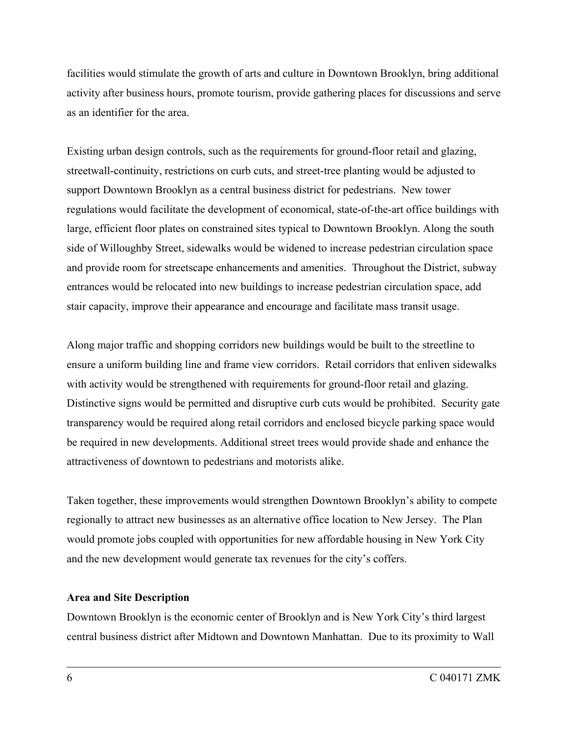facilities would stimulate the growth of arts and culture in Downtown Brooklyn, bring additional activity after business hours, promote tourism, provide gathering places for discussions and serve as an identifier for the area.

Existing urban design controls, such as the requirements for ground-floor retail and glazing, streetwall-continuity, restrictions on curb cuts, and street-tree planting would be adjusted to support Downtown Brooklyn as a central business district for pedestrians. New tower regulations would facilitate the development of economical, state-of-the-art office buildings with large, efficient floor plates on constrained sites typical to Downtown Brooklyn. Along the south side of Willoughby Street, sidewalks would be widened to increase pedestrian circulation space and provide room for streetscape enhancements and amenities. Throughout the District, subway entrances would be relocated into new buildings to increase pedestrian circulation space, add stair capacity, improve their appearance and encourage and facilitate mass transit usage.

Along major traffic and shopping corridors new buildings would be built to the streetline to ensure a uniform building line and frame view corridors. Retail corridors that enliven sidewalks with activity would be strengthened with requirements for ground-floor retail and glazing. Distinctive signs would be permitted and disruptive curb cuts would be prohibited. Security gate transparency would be required along retail corridors and enclosed bicycle parking space would be required in new developments. Additional street trees would provide shade and enhance the attractiveness of downtown to pedestrians and motorists alike.

Taken together, these improvements would strengthen Downtown Brooklyn's ability to compete regionally to attract new businesses as an alternative office location to New Jersey. The Plan would promote jobs coupled with opportunities for new affordable housing in New York City and the new development would generate tax revenues for the city's coffers.

#### **Area and Site Description**

Downtown Brooklyn is the economic center of Brooklyn and is New York City's third largest central business district after Midtown and Downtown Manhattan. Due to its proximity to Wall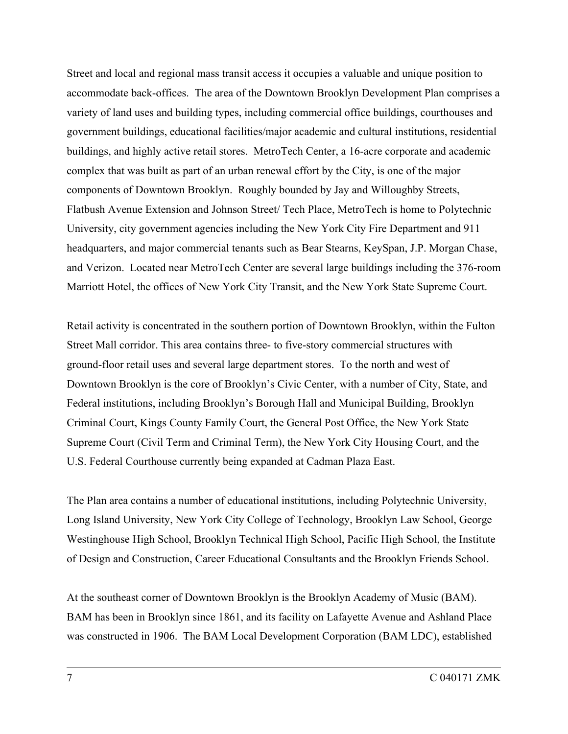Street and local and regional mass transit access it occupies a valuable and unique position to accommodate back-offices. The area of the Downtown Brooklyn Development Plan comprises a variety of land uses and building types, including commercial office buildings, courthouses and government buildings, educational facilities/major academic and cultural institutions, residential buildings, and highly active retail stores. MetroTech Center, a 16-acre corporate and academic complex that was built as part of an urban renewal effort by the City, is one of the major components of Downtown Brooklyn. Roughly bounded by Jay and Willoughby Streets, Flatbush Avenue Extension and Johnson Street/ Tech Place, MetroTech is home to Polytechnic University, city government agencies including the New York City Fire Department and 911 headquarters, and major commercial tenants such as Bear Stearns, KeySpan, J.P. Morgan Chase, and Verizon. Located near MetroTech Center are several large buildings including the 376-room Marriott Hotel, the offices of New York City Transit, and the New York State Supreme Court.

Retail activity is concentrated in the southern portion of Downtown Brooklyn, within the Fulton Street Mall corridor. This area contains three- to five-story commercial structures with ground-floor retail uses and several large department stores. To the north and west of Downtown Brooklyn is the core of Brooklyn's Civic Center, with a number of City, State, and Federal institutions, including Brooklyn's Borough Hall and Municipal Building, Brooklyn Criminal Court, Kings County Family Court, the General Post Office, the New York State Supreme Court (Civil Term and Criminal Term), the New York City Housing Court, and the U.S. Federal Courthouse currently being expanded at Cadman Plaza East.

The Plan area contains a number of educational institutions, including Polytechnic University, Long Island University, New York City College of Technology, Brooklyn Law School, George Westinghouse High School, Brooklyn Technical High School, Pacific High School, the Institute of Design and Construction, Career Educational Consultants and the Brooklyn Friends School.

At the southeast corner of Downtown Brooklyn is the Brooklyn Academy of Music (BAM). BAM has been in Brooklyn since 1861, and its facility on Lafayette Avenue and Ashland Place was constructed in 1906. The BAM Local Development Corporation (BAM LDC), established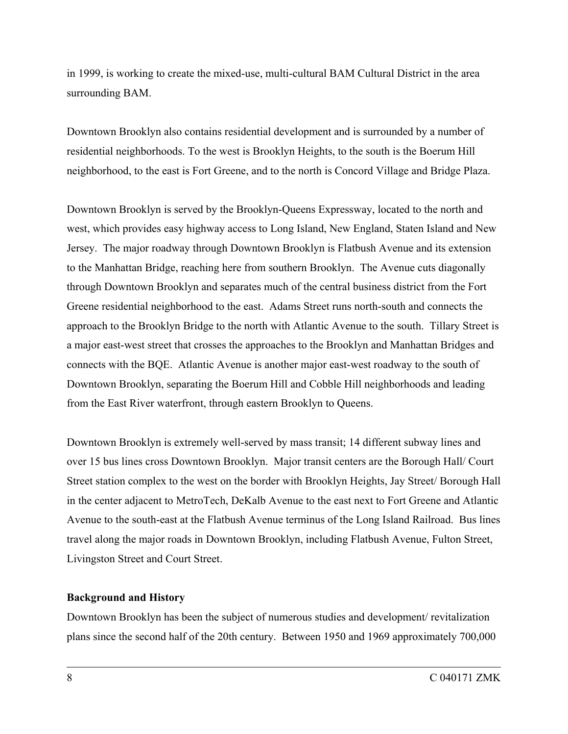in 1999, is working to create the mixed-use, multi-cultural BAM Cultural District in the area surrounding BAM.

Downtown Brooklyn also contains residential development and is surrounded by a number of residential neighborhoods. To the west is Brooklyn Heights, to the south is the Boerum Hill neighborhood, to the east is Fort Greene, and to the north is Concord Village and Bridge Plaza.

Downtown Brooklyn is served by the Brooklyn-Queens Expressway, located to the north and west, which provides easy highway access to Long Island, New England, Staten Island and New Jersey. The major roadway through Downtown Brooklyn is Flatbush Avenue and its extension to the Manhattan Bridge, reaching here from southern Brooklyn. The Avenue cuts diagonally through Downtown Brooklyn and separates much of the central business district from the Fort Greene residential neighborhood to the east. Adams Street runs north-south and connects the approach to the Brooklyn Bridge to the north with Atlantic Avenue to the south. Tillary Street is a major east-west street that crosses the approaches to the Brooklyn and Manhattan Bridges and connects with the BQE. Atlantic Avenue is another major east-west roadway to the south of Downtown Brooklyn, separating the Boerum Hill and Cobble Hill neighborhoods and leading from the East River waterfront, through eastern Brooklyn to Queens.

Downtown Brooklyn is extremely well-served by mass transit; 14 different subway lines and over 15 bus lines cross Downtown Brooklyn. Major transit centers are the Borough Hall/ Court Street station complex to the west on the border with Brooklyn Heights, Jay Street/ Borough Hall in the center adjacent to MetroTech, DeKalb Avenue to the east next to Fort Greene and Atlantic Avenue to the south-east at the Flatbush Avenue terminus of the Long Island Railroad. Bus lines travel along the major roads in Downtown Brooklyn, including Flatbush Avenue, Fulton Street, Livingston Street and Court Street.

#### **Background and History**

Downtown Brooklyn has been the subject of numerous studies and development/ revitalization plans since the second half of the 20th century. Between 1950 and 1969 approximately 700,000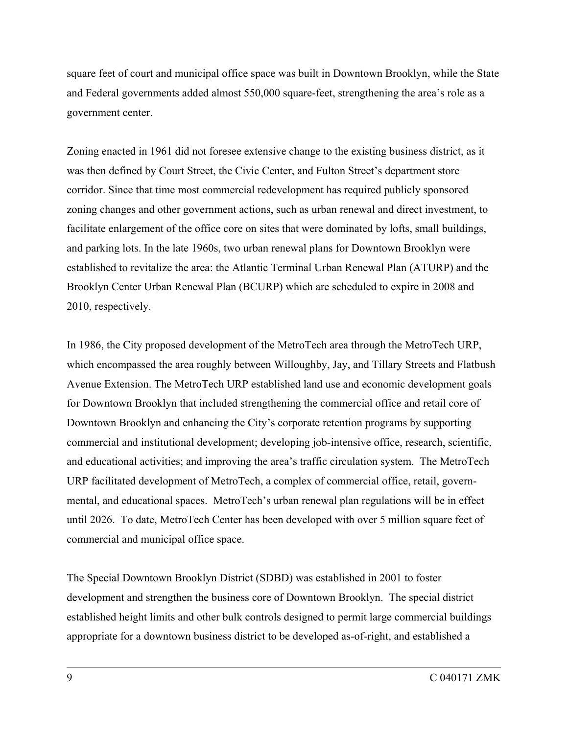square feet of court and municipal office space was built in Downtown Brooklyn, while the State and Federal governments added almost 550,000 square-feet, strengthening the area's role as a government center.

Zoning enacted in 1961 did not foresee extensive change to the existing business district, as it was then defined by Court Street, the Civic Center, and Fulton Street's department store corridor. Since that time most commercial redevelopment has required publicly sponsored zoning changes and other government actions, such as urban renewal and direct investment, to facilitate enlargement of the office core on sites that were dominated by lofts, small buildings, and parking lots. In the late 1960s, two urban renewal plans for Downtown Brooklyn were established to revitalize the area: the Atlantic Terminal Urban Renewal Plan (ATURP) and the Brooklyn Center Urban Renewal Plan (BCURP) which are scheduled to expire in 2008 and 2010, respectively.

In 1986, the City proposed development of the MetroTech area through the MetroTech URP, which encompassed the area roughly between Willoughby, Jay, and Tillary Streets and Flatbush Avenue Extension. The MetroTech URP established land use and economic development goals for Downtown Brooklyn that included strengthening the commercial office and retail core of Downtown Brooklyn and enhancing the City's corporate retention programs by supporting commercial and institutional development; developing job-intensive office, research, scientific, and educational activities; and improving the area's traffic circulation system. The MetroTech URP facilitated development of MetroTech, a complex of commercial office, retail, governmental, and educational spaces. MetroTech's urban renewal plan regulations will be in effect until 2026. To date, MetroTech Center has been developed with over 5 million square feet of commercial and municipal office space.

The Special Downtown Brooklyn District (SDBD) was established in 2001 to foster development and strengthen the business core of Downtown Brooklyn. The special district established height limits and other bulk controls designed to permit large commercial buildings appropriate for a downtown business district to be developed as-of-right, and established a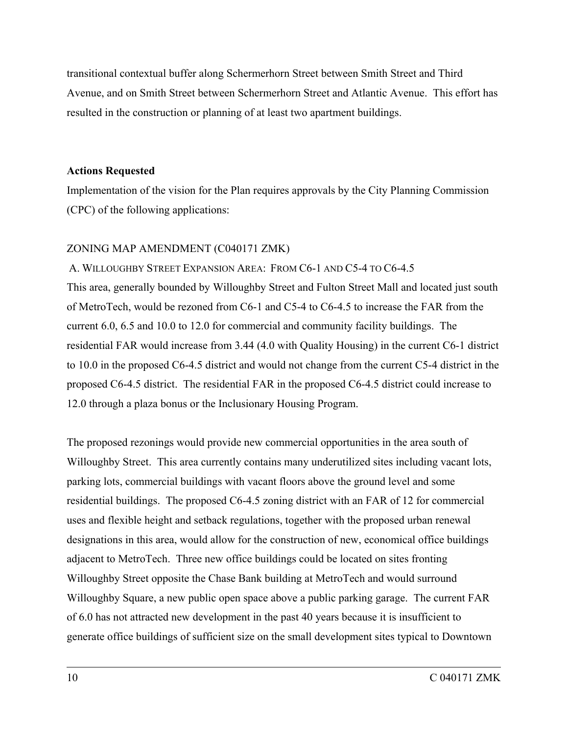transitional contextual buffer along Schermerhorn Street between Smith Street and Third Avenue, and on Smith Street between Schermerhorn Street and Atlantic Avenue. This effort has resulted in the construction or planning of at least two apartment buildings.

### **Actions Requested**

Implementation of the vision for the Plan requires approvals by the City Planning Commission (CPC) of the following applications:

## ZONING MAP AMENDMENT (C040171 ZMK)

A. WILLOUGHBY STREET EXPANSION AREA: FROM C6-1 AND C5-4 TO C6-4.5 This area, generally bounded by Willoughby Street and Fulton Street Mall and located just south of MetroTech, would be rezoned from C6-1 and C5-4 to C6-4.5 to increase the FAR from the current 6.0, 6.5 and 10.0 to 12.0 for commercial and community facility buildings. The residential FAR would increase from 3.44 (4.0 with Quality Housing) in the current C6-1 district to 10.0 in the proposed C6-4.5 district and would not change from the current C5-4 district in the proposed C6-4.5 district. The residential FAR in the proposed C6-4.5 district could increase to 12.0 through a plaza bonus or the Inclusionary Housing Program.

The proposed rezonings would provide new commercial opportunities in the area south of Willoughby Street. This area currently contains many underutilized sites including vacant lots, parking lots, commercial buildings with vacant floors above the ground level and some residential buildings. The proposed C6-4.5 zoning district with an FAR of 12 for commercial uses and flexible height and setback regulations, together with the proposed urban renewal designations in this area, would allow for the construction of new, economical office buildings adjacent to MetroTech. Three new office buildings could be located on sites fronting Willoughby Street opposite the Chase Bank building at MetroTech and would surround Willoughby Square, a new public open space above a public parking garage. The current FAR of 6.0 has not attracted new development in the past 40 years because it is insufficient to generate office buildings of sufficient size on the small development sites typical to Downtown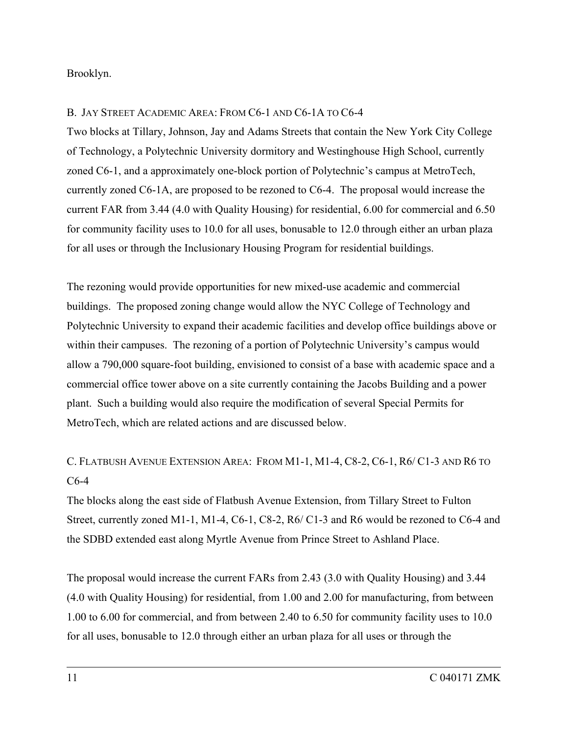Brooklyn.

## B. JAY STREET ACADEMIC AREA: FROM C6-1 AND C6-1A TO C6-4

Two blocks at Tillary, Johnson, Jay and Adams Streets that contain the New York City College of Technology, a Polytechnic University dormitory and Westinghouse High School, currently zoned C6-1, and a approximately one-block portion of Polytechnic's campus at MetroTech, currently zoned C6-1A, are proposed to be rezoned to C6-4. The proposal would increase the current FAR from 3.44 (4.0 with Quality Housing) for residential, 6.00 for commercial and 6.50 for community facility uses to 10.0 for all uses, bonusable to 12.0 through either an urban plaza for all uses or through the Inclusionary Housing Program for residential buildings.

The rezoning would provide opportunities for new mixed-use academic and commercial buildings. The proposed zoning change would allow the NYC College of Technology and Polytechnic University to expand their academic facilities and develop office buildings above or within their campuses. The rezoning of a portion of Polytechnic University's campus would allow a 790,000 square-foot building, envisioned to consist of a base with academic space and a commercial office tower above on a site currently containing the Jacobs Building and a power plant. Such a building would also require the modification of several Special Permits for MetroTech, which are related actions and are discussed below.

## C. FLATBUSH AVENUE EXTENSION AREA: FROM M1-1, M1-4, C8-2, C6-1, R6/ C1-3 AND R6 TO C6-4

The blocks along the east side of Flatbush Avenue Extension, from Tillary Street to Fulton Street, currently zoned M1-1, M1-4, C6-1, C8-2, R6/ C1-3 and R6 would be rezoned to C6-4 and the SDBD extended east along Myrtle Avenue from Prince Street to Ashland Place.

The proposal would increase the current FARs from 2.43 (3.0 with Quality Housing) and 3.44 (4.0 with Quality Housing) for residential, from 1.00 and 2.00 for manufacturing, from between 1.00 to 6.00 for commercial, and from between 2.40 to 6.50 for community facility uses to 10.0 for all uses, bonusable to 12.0 through either an urban plaza for all uses or through the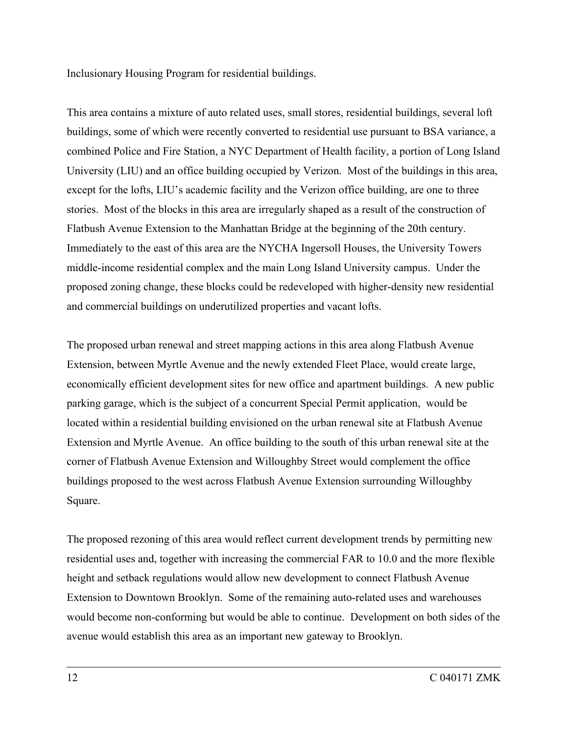Inclusionary Housing Program for residential buildings.

This area contains a mixture of auto related uses, small stores, residential buildings, several loft buildings, some of which were recently converted to residential use pursuant to BSA variance, a combined Police and Fire Station, a NYC Department of Health facility, a portion of Long Island University (LIU) and an office building occupied by Verizon. Most of the buildings in this area, except for the lofts, LIU's academic facility and the Verizon office building, are one to three stories. Most of the blocks in this area are irregularly shaped as a result of the construction of Flatbush Avenue Extension to the Manhattan Bridge at the beginning of the 20th century. Immediately to the east of this area are the NYCHA Ingersoll Houses, the University Towers middle-income residential complex and the main Long Island University campus. Under the proposed zoning change, these blocks could be redeveloped with higher-density new residential and commercial buildings on underutilized properties and vacant lofts.

The proposed urban renewal and street mapping actions in this area along Flatbush Avenue Extension, between Myrtle Avenue and the newly extended Fleet Place, would create large, economically efficient development sites for new office and apartment buildings. A new public parking garage, which is the subject of a concurrent Special Permit application, would be located within a residential building envisioned on the urban renewal site at Flatbush Avenue Extension and Myrtle Avenue. An office building to the south of this urban renewal site at the corner of Flatbush Avenue Extension and Willoughby Street would complement the office buildings proposed to the west across Flatbush Avenue Extension surrounding Willoughby Square.

The proposed rezoning of this area would reflect current development trends by permitting new residential uses and, together with increasing the commercial FAR to 10.0 and the more flexible height and setback regulations would allow new development to connect Flatbush Avenue Extension to Downtown Brooklyn. Some of the remaining auto-related uses and warehouses would become non-conforming but would be able to continue. Development on both sides of the avenue would establish this area as an important new gateway to Brooklyn.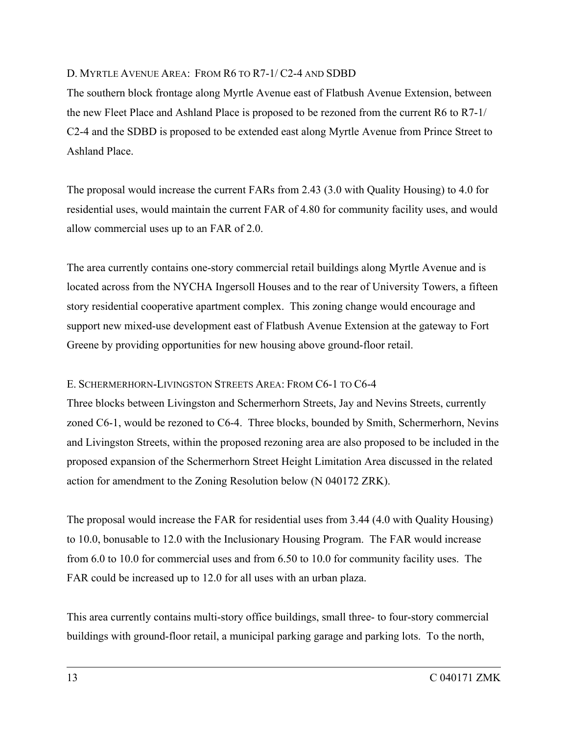### D. MYRTLE AVENUE AREA: FROM R6 TO R7-1/ C2-4 AND SDBD

The southern block frontage along Myrtle Avenue east of Flatbush Avenue Extension, between the new Fleet Place and Ashland Place is proposed to be rezoned from the current R6 to R7-1/ C2-4 and the SDBD is proposed to be extended east along Myrtle Avenue from Prince Street to Ashland Place.

The proposal would increase the current FARs from 2.43 (3.0 with Quality Housing) to 4.0 for residential uses, would maintain the current FAR of 4.80 for community facility uses, and would allow commercial uses up to an FAR of 2.0.

The area currently contains one-story commercial retail buildings along Myrtle Avenue and is located across from the NYCHA Ingersoll Houses and to the rear of University Towers, a fifteen story residential cooperative apartment complex. This zoning change would encourage and support new mixed-use development east of Flatbush Avenue Extension at the gateway to Fort Greene by providing opportunities for new housing above ground-floor retail.

## E. SCHERMERHORN-LIVINGSTON STREETS AREA: FROM C6-1 TO C6-4

Three blocks between Livingston and Schermerhorn Streets, Jay and Nevins Streets, currently zoned C6-1, would be rezoned to C6-4. Three blocks, bounded by Smith, Schermerhorn, Nevins and Livingston Streets, within the proposed rezoning area are also proposed to be included in the proposed expansion of the Schermerhorn Street Height Limitation Area discussed in the related action for amendment to the Zoning Resolution below (N 040172 ZRK).

The proposal would increase the FAR for residential uses from 3.44 (4.0 with Quality Housing) to 10.0, bonusable to 12.0 with the Inclusionary Housing Program. The FAR would increase from 6.0 to 10.0 for commercial uses and from 6.50 to 10.0 for community facility uses. The FAR could be increased up to 12.0 for all uses with an urban plaza.

This area currently contains multi-story office buildings, small three- to four-story commercial buildings with ground-floor retail, a municipal parking garage and parking lots. To the north,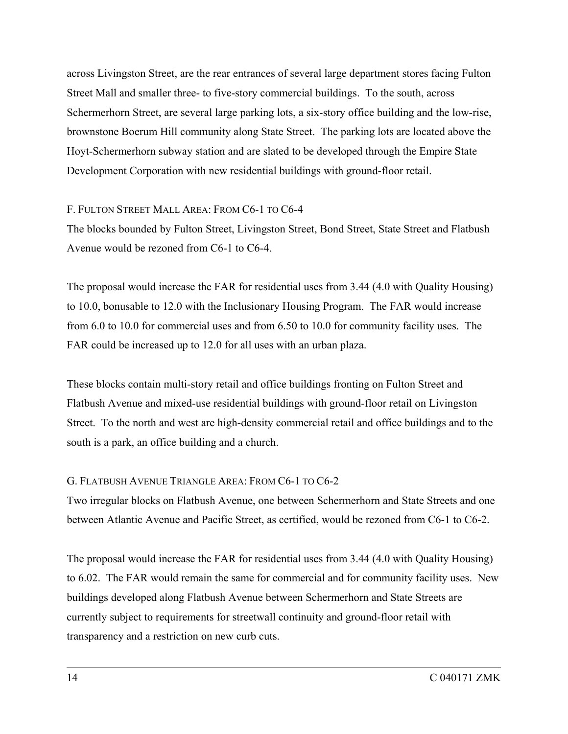across Livingston Street, are the rear entrances of several large department stores facing Fulton Street Mall and smaller three- to five-story commercial buildings. To the south, across Schermerhorn Street, are several large parking lots, a six-story office building and the low-rise, brownstone Boerum Hill community along State Street. The parking lots are located above the Hoyt-Schermerhorn subway station and are slated to be developed through the Empire State Development Corporation with new residential buildings with ground-floor retail.

## F. FULTON STREET MALL AREA: FROM C6-1 TO C6-4

The blocks bounded by Fulton Street, Livingston Street, Bond Street, State Street and Flatbush Avenue would be rezoned from C6-1 to C6-4.

The proposal would increase the FAR for residential uses from 3.44 (4.0 with Quality Housing) to 10.0, bonusable to 12.0 with the Inclusionary Housing Program. The FAR would increase from 6.0 to 10.0 for commercial uses and from 6.50 to 10.0 for community facility uses. The FAR could be increased up to 12.0 for all uses with an urban plaza.

These blocks contain multi-story retail and office buildings fronting on Fulton Street and Flatbush Avenue and mixed-use residential buildings with ground-floor retail on Livingston Street. To the north and west are high-density commercial retail and office buildings and to the south is a park, an office building and a church.

## G. FLATBUSH AVENUE TRIANGLE AREA: FROM C6-1 TO C6-2

Two irregular blocks on Flatbush Avenue, one between Schermerhorn and State Streets and one between Atlantic Avenue and Pacific Street, as certified, would be rezoned from C6-1 to C6-2.

The proposal would increase the FAR for residential uses from 3.44 (4.0 with Quality Housing) to 6.02. The FAR would remain the same for commercial and for community facility uses. New buildings developed along Flatbush Avenue between Schermerhorn and State Streets are currently subject to requirements for streetwall continuity and ground-floor retail with transparency and a restriction on new curb cuts.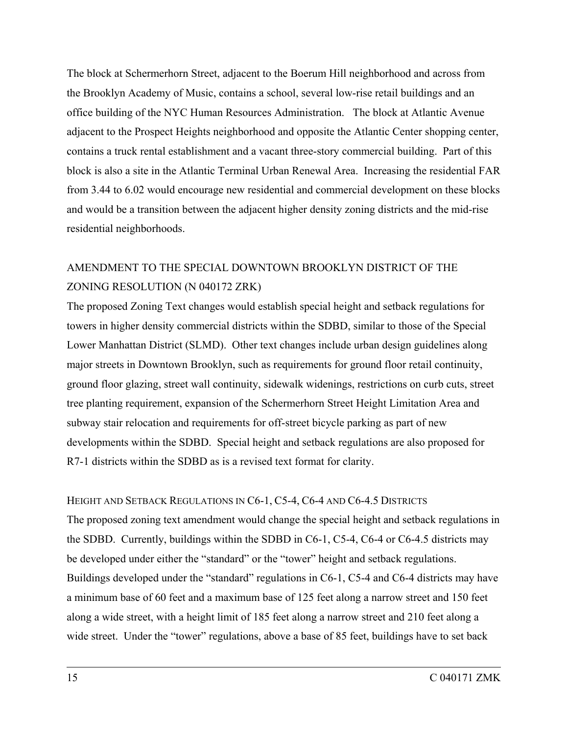The block at Schermerhorn Street, adjacent to the Boerum Hill neighborhood and across from the Brooklyn Academy of Music, contains a school, several low-rise retail buildings and an office building of the NYC Human Resources Administration. The block at Atlantic Avenue adjacent to the Prospect Heights neighborhood and opposite the Atlantic Center shopping center, contains a truck rental establishment and a vacant three-story commercial building. Part of this block is also a site in the Atlantic Terminal Urban Renewal Area. Increasing the residential FAR from 3.44 to 6.02 would encourage new residential and commercial development on these blocks and would be a transition between the adjacent higher density zoning districts and the mid-rise residential neighborhoods.

## AMENDMENT TO THE SPECIAL DOWNTOWN BROOKLYN DISTRICT OF THE ZONING RESOLUTION (N 040172 ZRK)

The proposed Zoning Text changes would establish special height and setback regulations for towers in higher density commercial districts within the SDBD, similar to those of the Special Lower Manhattan District (SLMD). Other text changes include urban design guidelines along major streets in Downtown Brooklyn, such as requirements for ground floor retail continuity, ground floor glazing, street wall continuity, sidewalk widenings, restrictions on curb cuts, street tree planting requirement, expansion of the Schermerhorn Street Height Limitation Area and subway stair relocation and requirements for off-street bicycle parking as part of new developments within the SDBD. Special height and setback regulations are also proposed for R7-1 districts within the SDBD as is a revised text format for clarity.

HEIGHT AND SETBACK REGULATIONS IN C6-1, C5-4, C6-4 AND C6-4.5 DISTRICTS The proposed zoning text amendment would change the special height and setback regulations in the SDBD. Currently, buildings within the SDBD in C6-1, C5-4, C6-4 or C6-4.5 districts may be developed under either the "standard" or the "tower" height and setback regulations. Buildings developed under the "standard" regulations in C6-1, C5-4 and C6-4 districts may have a minimum base of 60 feet and a maximum base of 125 feet along a narrow street and 150 feet along a wide street, with a height limit of 185 feet along a narrow street and 210 feet along a wide street. Under the "tower" regulations, above a base of 85 feet, buildings have to set back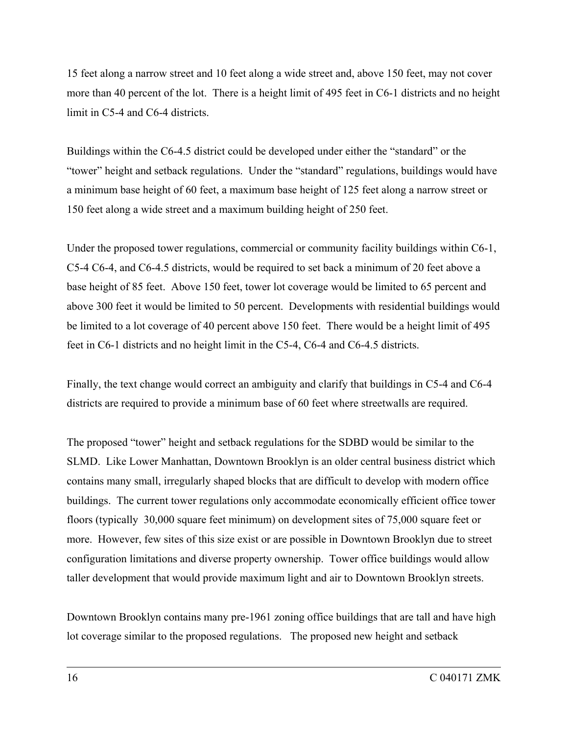15 feet along a narrow street and 10 feet along a wide street and, above 150 feet, may not cover more than 40 percent of the lot. There is a height limit of 495 feet in C6-1 districts and no height limit in C5-4 and C6-4 districts.

Buildings within the C6-4.5 district could be developed under either the "standard" or the "tower" height and setback regulations. Under the "standard" regulations, buildings would have a minimum base height of 60 feet, a maximum base height of 125 feet along a narrow street or 150 feet along a wide street and a maximum building height of 250 feet.

Under the proposed tower regulations, commercial or community facility buildings within C6-1, C5-4 C6-4, and C6-4.5 districts, would be required to set back a minimum of 20 feet above a base height of 85 feet. Above 150 feet, tower lot coverage would be limited to 65 percent and above 300 feet it would be limited to 50 percent. Developments with residential buildings would be limited to a lot coverage of 40 percent above 150 feet. There would be a height limit of 495 feet in C6-1 districts and no height limit in the C5-4, C6-4 and C6-4.5 districts.

Finally, the text change would correct an ambiguity and clarify that buildings in C5-4 and C6-4 districts are required to provide a minimum base of 60 feet where streetwalls are required.

The proposed "tower" height and setback regulations for the SDBD would be similar to the SLMD. Like Lower Manhattan, Downtown Brooklyn is an older central business district which contains many small, irregularly shaped blocks that are difficult to develop with modern office buildings. The current tower regulations only accommodate economically efficient office tower floors (typically 30,000 square feet minimum) on development sites of 75,000 square feet or more. However, few sites of this size exist or are possible in Downtown Brooklyn due to street configuration limitations and diverse property ownership. Tower office buildings would allow taller development that would provide maximum light and air to Downtown Brooklyn streets.

Downtown Brooklyn contains many pre-1961 zoning office buildings that are tall and have high lot coverage similar to the proposed regulations. The proposed new height and setback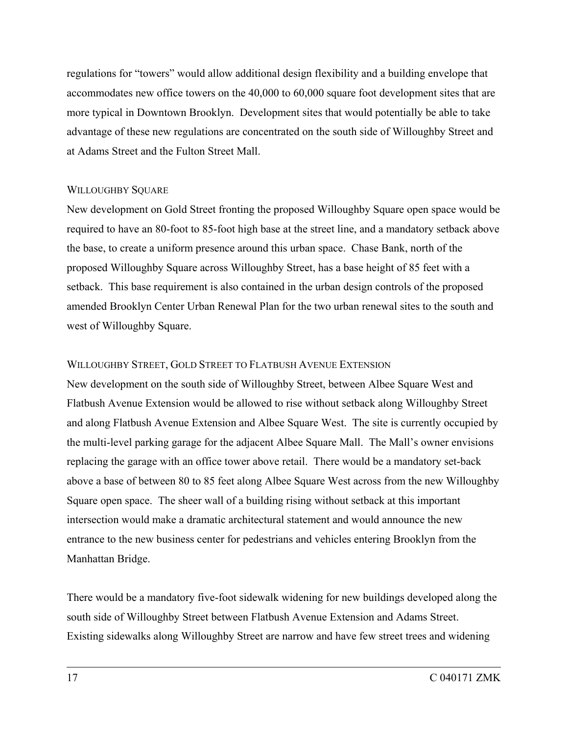regulations for "towers" would allow additional design flexibility and a building envelope that accommodates new office towers on the 40,000 to 60,000 square foot development sites that are more typical in Downtown Brooklyn. Development sites that would potentially be able to take advantage of these new regulations are concentrated on the south side of Willoughby Street and at Adams Street and the Fulton Street Mall.

### WILLOUGHBY SOUARE

New development on Gold Street fronting the proposed Willoughby Square open space would be required to have an 80-foot to 85-foot high base at the street line, and a mandatory setback above the base, to create a uniform presence around this urban space. Chase Bank, north of the proposed Willoughby Square across Willoughby Street, has a base height of 85 feet with a setback. This base requirement is also contained in the urban design controls of the proposed amended Brooklyn Center Urban Renewal Plan for the two urban renewal sites to the south and west of Willoughby Square.

### WILLOUGHBY STREET, GOLD STREET TO FLATBUSH AVENUE EXTENSION

New development on the south side of Willoughby Street, between Albee Square West and Flatbush Avenue Extension would be allowed to rise without setback along Willoughby Street and along Flatbush Avenue Extension and Albee Square West. The site is currently occupied by the multi-level parking garage for the adjacent Albee Square Mall. The Mall's owner envisions replacing the garage with an office tower above retail. There would be a mandatory set-back above a base of between 80 to 85 feet along Albee Square West across from the new Willoughby Square open space. The sheer wall of a building rising without setback at this important intersection would make a dramatic architectural statement and would announce the new entrance to the new business center for pedestrians and vehicles entering Brooklyn from the Manhattan Bridge.

There would be a mandatory five-foot sidewalk widening for new buildings developed along the south side of Willoughby Street between Flatbush Avenue Extension and Adams Street. Existing sidewalks along Willoughby Street are narrow and have few street trees and widening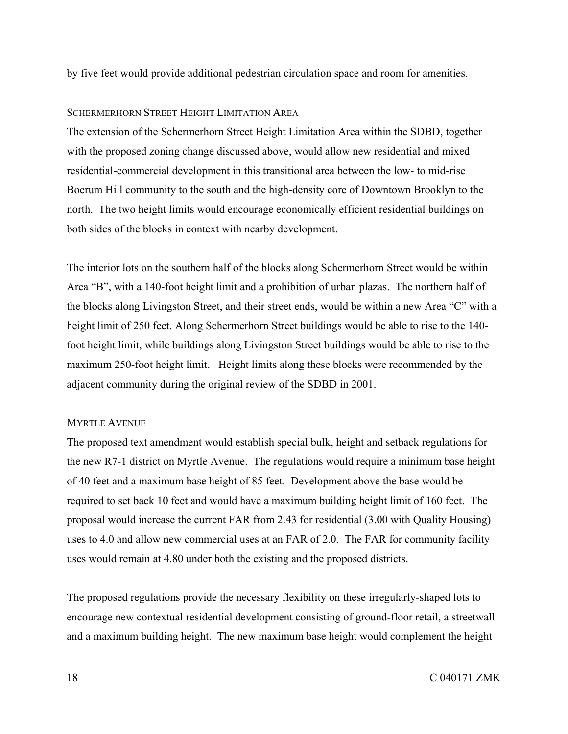by five feet would provide additional pedestrian circulation space and room for amenities.

## SCHERMERHORN STREET HEIGHT LIMITATION AREA

The extension of the Schermerhorn Street Height Limitation Area within the SDBD, together with the proposed zoning change discussed above, would allow new residential and mixed residential-commercial development in this transitional area between the low- to mid-rise Boerum Hill community to the south and the high-density core of Downtown Brooklyn to the north. The two height limits would encourage economically efficient residential buildings on both sides of the blocks in context with nearby development.

The interior lots on the southern half of the blocks along Schermerhorn Street would be within Area "B", with a 140-foot height limit and a prohibition of urban plazas. The northern half of the blocks along Livingston Street, and their street ends, would be within a new Area "C" with a height limit of 250 feet. Along Schermerhorn Street buildings would be able to rise to the 140 foot height limit, while buildings along Livingston Street buildings would be able to rise to the maximum 250-foot height limit. Height limits along these blocks were recommended by the adjacent community during the original review of the SDBD in 2001.

## MYRTLE AVENUE

The proposed text amendment would establish special bulk, height and setback regulations for the new R7-1 district on Myrtle Avenue. The regulations would require a minimum base height of 40 feet and a maximum base height of 85 feet. Development above the base would be required to set back 10 feet and would have a maximum building height limit of 160 feet. The proposal would increase the current FAR from 2.43 for residential (3.00 with Quality Housing) uses to 4.0 and allow new commercial uses at an FAR of 2.0. The FAR for community facility uses would remain at 4.80 under both the existing and the proposed districts.

The proposed regulations provide the necessary flexibility on these irregularly-shaped lots to encourage new contextual residential development consisting of ground-floor retail, a streetwall and a maximum building height. The new maximum base height would complement the height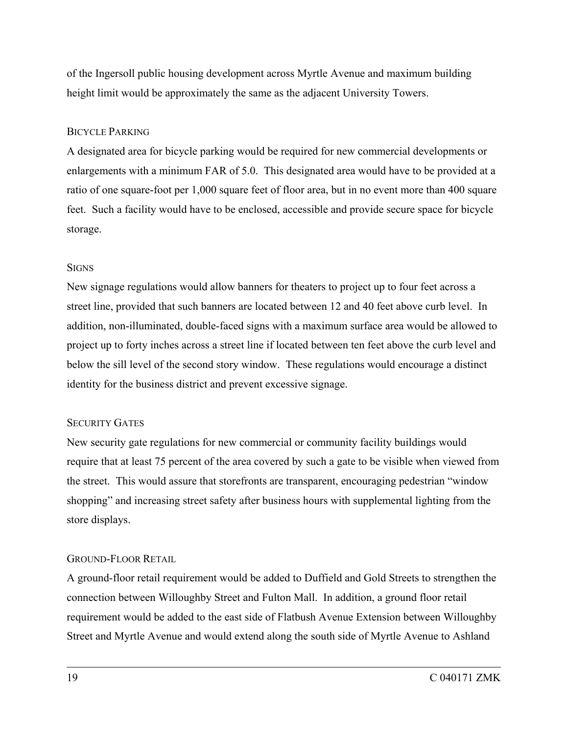of the Ingersoll public housing development across Myrtle Avenue and maximum building height limit would be approximately the same as the adjacent University Towers.

## BICYCLE PARKING

A designated area for bicycle parking would be required for new commercial developments or enlargements with a minimum FAR of 5.0. This designated area would have to be provided at a ratio of one square-foot per 1,000 square feet of floor area, but in no event more than 400 square feet. Such a facility would have to be enclosed, accessible and provide secure space for bicycle storage.

## **SIGNS**

New signage regulations would allow banners for theaters to project up to four feet across a street line, provided that such banners are located between 12 and 40 feet above curb level. In addition, non-illuminated, double-faced signs with a maximum surface area would be allowed to project up to forty inches across a street line if located between ten feet above the curb level and below the sill level of the second story window. These regulations would encourage a distinct identity for the business district and prevent excessive signage.

## SECURITY GATES

New security gate regulations for new commercial or community facility buildings would require that at least 75 percent of the area covered by such a gate to be visible when viewed from the street. This would assure that storefronts are transparent, encouraging pedestrian "window shopping" and increasing street safety after business hours with supplemental lighting from the store displays.

## GROUND-FLOOR RETAIL

A ground-floor retail requirement would be added to Duffield and Gold Streets to strengthen the connection between Willoughby Street and Fulton Mall. In addition, a ground floor retail requirement would be added to the east side of Flatbush Avenue Extension between Willoughby Street and Myrtle Avenue and would extend along the south side of Myrtle Avenue to Ashland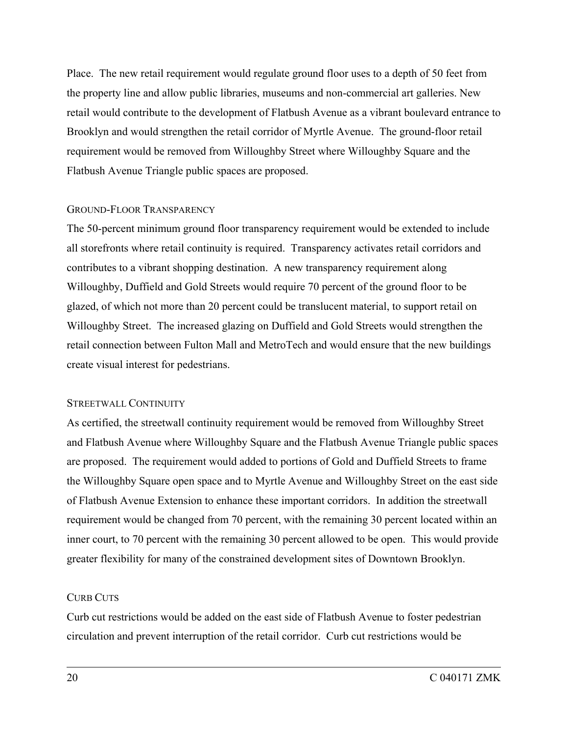Place. The new retail requirement would regulate ground floor uses to a depth of 50 feet from the property line and allow public libraries, museums and non-commercial art galleries. New retail would contribute to the development of Flatbush Avenue as a vibrant boulevard entrance to Brooklyn and would strengthen the retail corridor of Myrtle Avenue. The ground-floor retail requirement would be removed from Willoughby Street where Willoughby Square and the Flatbush Avenue Triangle public spaces are proposed.

## GROUND-FLOOR TRANSPARENCY

The 50-percent minimum ground floor transparency requirement would be extended to include all storefronts where retail continuity is required. Transparency activates retail corridors and contributes to a vibrant shopping destination. A new transparency requirement along Willoughby, Duffield and Gold Streets would require 70 percent of the ground floor to be glazed, of which not more than 20 percent could be translucent material, to support retail on Willoughby Street. The increased glazing on Duffield and Gold Streets would strengthen the retail connection between Fulton Mall and MetroTech and would ensure that the new buildings create visual interest for pedestrians.

#### STREETWALL CONTINUITY

As certified, the streetwall continuity requirement would be removed from Willoughby Street and Flatbush Avenue where Willoughby Square and the Flatbush Avenue Triangle public spaces are proposed. The requirement would added to portions of Gold and Duffield Streets to frame the Willoughby Square open space and to Myrtle Avenue and Willoughby Street on the east side of Flatbush Avenue Extension to enhance these important corridors. In addition the streetwall requirement would be changed from 70 percent, with the remaining 30 percent located within an inner court, to 70 percent with the remaining 30 percent allowed to be open. This would provide greater flexibility for many of the constrained development sites of Downtown Brooklyn.

## CURB CUTS

Curb cut restrictions would be added on the east side of Flatbush Avenue to foster pedestrian circulation and prevent interruption of the retail corridor. Curb cut restrictions would be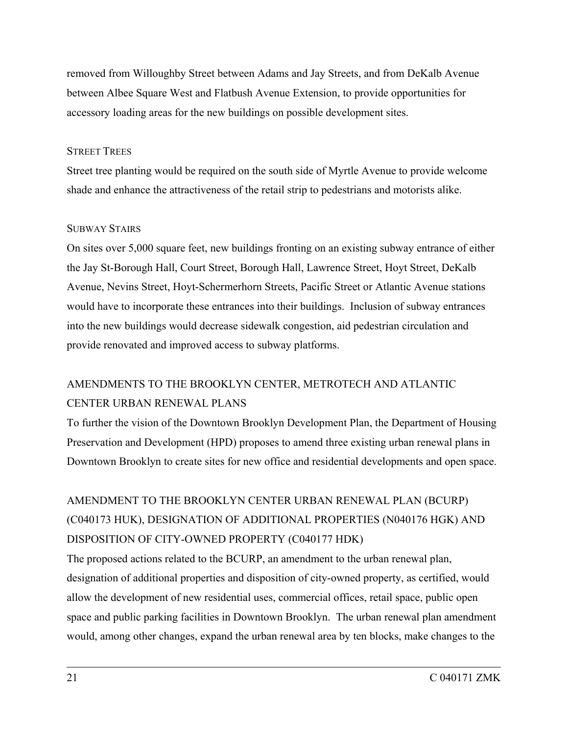removed from Willoughby Street between Adams and Jay Streets, and from DeKalb Avenue between Albee Square West and Flatbush Avenue Extension, to provide opportunities for accessory loading areas for the new buildings on possible development sites.

### STREET TREES

Street tree planting would be required on the south side of Myrtle Avenue to provide welcome shade and enhance the attractiveness of the retail strip to pedestrians and motorists alike.

### SUBWAY STAIRS

On sites over 5,000 square feet, new buildings fronting on an existing subway entrance of either the Jay St-Borough Hall, Court Street, Borough Hall, Lawrence Street, Hoyt Street, DeKalb Avenue, Nevins Street, Hoyt-Schermerhorn Streets, Pacific Street or Atlantic Avenue stations would have to incorporate these entrances into their buildings. Inclusion of subway entrances into the new buildings would decrease sidewalk congestion, aid pedestrian circulation and provide renovated and improved access to subway platforms.

## AMENDMENTS TO THE BROOKLYN CENTER, METROTECH AND ATLANTIC CENTER URBAN RENEWAL PLANS

To further the vision of the Downtown Brooklyn Development Plan, the Department of Housing Preservation and Development (HPD) proposes to amend three existing urban renewal plans in Downtown Brooklyn to create sites for new office and residential developments and open space.

# AMENDMENT TO THE BROOKLYN CENTER URBAN RENEWAL PLAN (BCURP) (C040173 HUK), DESIGNATION OF ADDITIONAL PROPERTIES (N040176 HGK) AND DISPOSITION OF CITY-OWNED PROPERTY (C040177 HDK)

The proposed actions related to the BCURP, an amendment to the urban renewal plan, designation of additional properties and disposition of city-owned property, as certified, would allow the development of new residential uses, commercial offices, retail space, public open space and public parking facilities in Downtown Brooklyn. The urban renewal plan amendment would, among other changes, expand the urban renewal area by ten blocks, make changes to the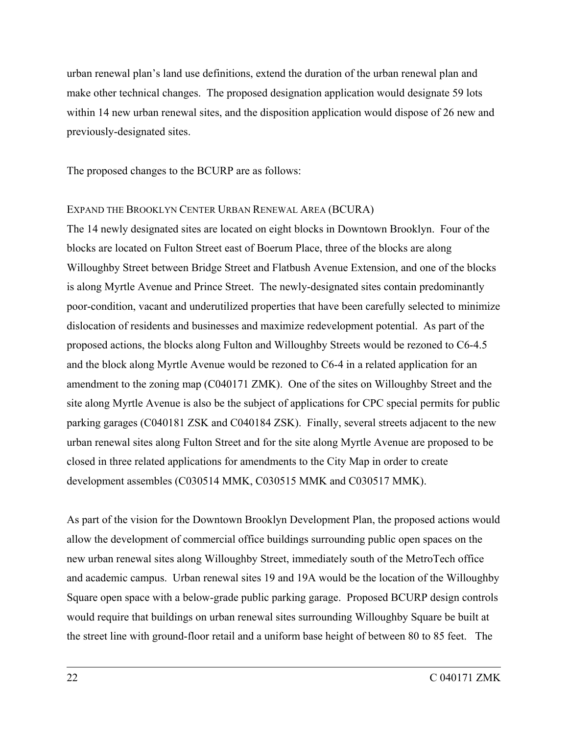urban renewal plan's land use definitions, extend the duration of the urban renewal plan and make other technical changes. The proposed designation application would designate 59 lots within 14 new urban renewal sites, and the disposition application would dispose of 26 new and previously-designated sites.

The proposed changes to the BCURP are as follows:

### EXPAND THE BROOKLYN CENTER URBAN RENEWAL AREA (BCURA)

The 14 newly designated sites are located on eight blocks in Downtown Brooklyn. Four of the blocks are located on Fulton Street east of Boerum Place, three of the blocks are along Willoughby Street between Bridge Street and Flatbush Avenue Extension, and one of the blocks is along Myrtle Avenue and Prince Street. The newly-designated sites contain predominantly poor-condition, vacant and underutilized properties that have been carefully selected to minimize dislocation of residents and businesses and maximize redevelopment potential. As part of the proposed actions, the blocks along Fulton and Willoughby Streets would be rezoned to C6-4.5 and the block along Myrtle Avenue would be rezoned to C6-4 in a related application for an amendment to the zoning map (C040171 ZMK). One of the sites on Willoughby Street and the site along Myrtle Avenue is also be the subject of applications for CPC special permits for public parking garages (C040181 ZSK and C040184 ZSK). Finally, several streets adjacent to the new urban renewal sites along Fulton Street and for the site along Myrtle Avenue are proposed to be closed in three related applications for amendments to the City Map in order to create development assembles (C030514 MMK, C030515 MMK and C030517 MMK).

As part of the vision for the Downtown Brooklyn Development Plan, the proposed actions would allow the development of commercial office buildings surrounding public open spaces on the new urban renewal sites along Willoughby Street, immediately south of the MetroTech office and academic campus. Urban renewal sites 19 and 19A would be the location of the Willoughby Square open space with a below-grade public parking garage. Proposed BCURP design controls would require that buildings on urban renewal sites surrounding Willoughby Square be built at the street line with ground-floor retail and a uniform base height of between 80 to 85 feet. The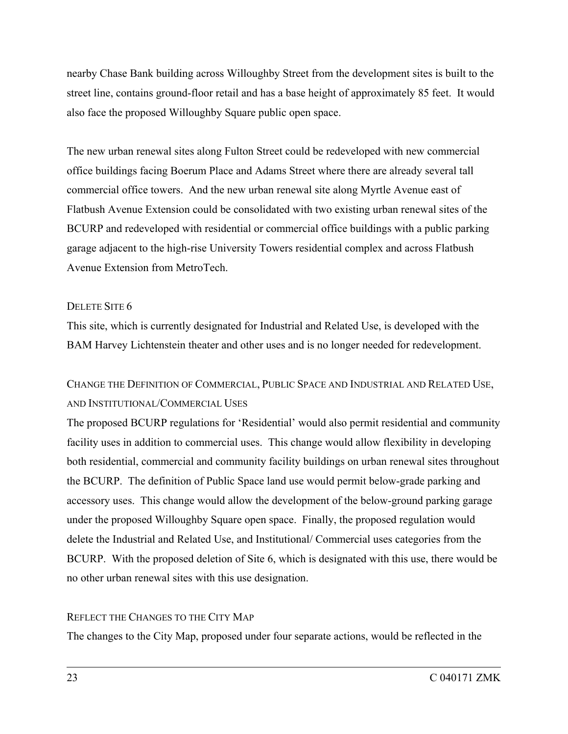nearby Chase Bank building across Willoughby Street from the development sites is built to the street line, contains ground-floor retail and has a base height of approximately 85 feet. It would also face the proposed Willoughby Square public open space.

The new urban renewal sites along Fulton Street could be redeveloped with new commercial office buildings facing Boerum Place and Adams Street where there are already several tall commercial office towers. And the new urban renewal site along Myrtle Avenue east of Flatbush Avenue Extension could be consolidated with two existing urban renewal sites of the BCURP and redeveloped with residential or commercial office buildings with a public parking garage adjacent to the high-rise University Towers residential complex and across Flatbush Avenue Extension from MetroTech.

### DELETE SITE 6

This site, which is currently designated for Industrial and Related Use, is developed with the BAM Harvey Lichtenstein theater and other uses and is no longer needed for redevelopment.

## CHANGE THE DEFINITION OF COMMERCIAL, PUBLIC SPACE AND INDUSTRIAL AND RELATED USE, AND INSTITUTIONAL/COMMERCIAL USES

The proposed BCURP regulations for 'Residential' would also permit residential and community facility uses in addition to commercial uses. This change would allow flexibility in developing both residential, commercial and community facility buildings on urban renewal sites throughout the BCURP. The definition of Public Space land use would permit below-grade parking and accessory uses. This change would allow the development of the below-ground parking garage under the proposed Willoughby Square open space. Finally, the proposed regulation would delete the Industrial and Related Use, and Institutional/ Commercial uses categories from the BCURP. With the proposed deletion of Site 6, which is designated with this use, there would be no other urban renewal sites with this use designation.

#### REFLECT THE CHANGES TO THE CITY MAP

The changes to the City Map, proposed under four separate actions, would be reflected in the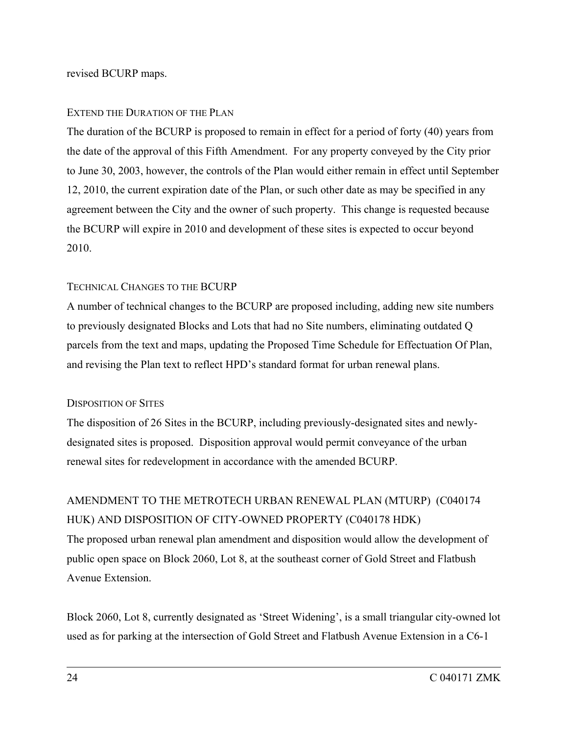#### revised BCURP maps.

#### EXTEND THE DURATION OF THE PLAN

The duration of the BCURP is proposed to remain in effect for a period of forty (40) years from the date of the approval of this Fifth Amendment. For any property conveyed by the City prior to June 30, 2003, however, the controls of the Plan would either remain in effect until September 12, 2010, the current expiration date of the Plan, or such other date as may be specified in any agreement between the City and the owner of such property. This change is requested because the BCURP will expire in 2010 and development of these sites is expected to occur beyond 2010.

### TECHNICAL CHANGES TO THE BCURP

A number of technical changes to the BCURP are proposed including, adding new site numbers to previously designated Blocks and Lots that had no Site numbers, eliminating outdated Q parcels from the text and maps, updating the Proposed Time Schedule for Effectuation Of Plan, and revising the Plan text to reflect HPD's standard format for urban renewal plans.

#### DISPOSITION OF SITES

The disposition of 26 Sites in the BCURP, including previously-designated sites and newlydesignated sites is proposed. Disposition approval would permit conveyance of the urban renewal sites for redevelopment in accordance with the amended BCURP.

AMENDMENT TO THE METROTECH URBAN RENEWAL PLAN (MTURP) (C040174 HUK) AND DISPOSITION OF CITY-OWNED PROPERTY (C040178 HDK) The proposed urban renewal plan amendment and disposition would allow the development of public open space on Block 2060, Lot 8, at the southeast corner of Gold Street and Flatbush Avenue Extension.

Block 2060, Lot 8, currently designated as 'Street Widening', is a small triangular city-owned lot used as for parking at the intersection of Gold Street and Flatbush Avenue Extension in a C6-1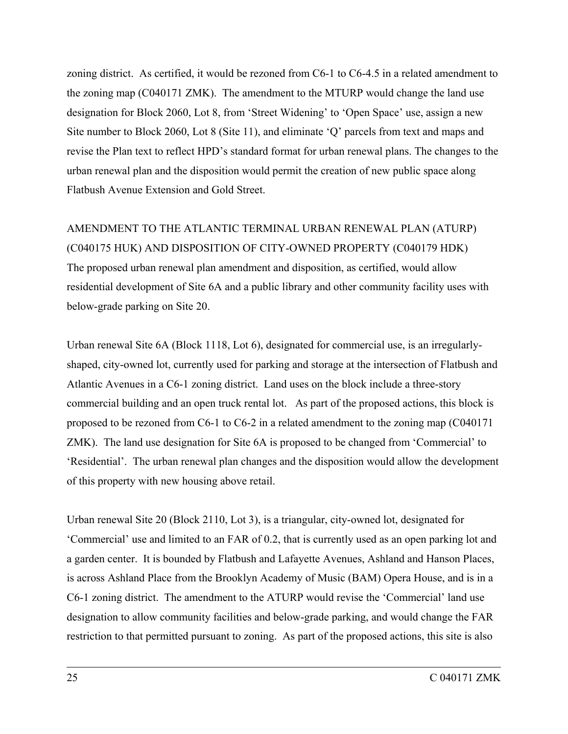zoning district. As certified, it would be rezoned from C6-1 to C6-4.5 in a related amendment to the zoning map (C040171 ZMK). The amendment to the MTURP would change the land use designation for Block 2060, Lot 8, from 'Street Widening' to 'Open Space' use, assign a new Site number to Block 2060, Lot 8 (Site 11), and eliminate 'Q' parcels from text and maps and revise the Plan text to reflect HPD's standard format for urban renewal plans. The changes to the urban renewal plan and the disposition would permit the creation of new public space along Flatbush Avenue Extension and Gold Street.

# AMENDMENT TO THE ATLANTIC TERMINAL URBAN RENEWAL PLAN (ATURP) (C040175 HUK) AND DISPOSITION OF CITY-OWNED PROPERTY (C040179 HDK) The proposed urban renewal plan amendment and disposition, as certified, would allow residential development of Site 6A and a public library and other community facility uses with below-grade parking on Site 20.

Urban renewal Site 6A (Block 1118, Lot 6), designated for commercial use, is an irregularlyshaped, city-owned lot, currently used for parking and storage at the intersection of Flatbush and Atlantic Avenues in a C6-1 zoning district. Land uses on the block include a three-story commercial building and an open truck rental lot. As part of the proposed actions, this block is proposed to be rezoned from C6-1 to C6-2 in a related amendment to the zoning map (C040171 ZMK). The land use designation for Site 6A is proposed to be changed from 'Commercial' to 'Residential'. The urban renewal plan changes and the disposition would allow the development of this property with new housing above retail.

Urban renewal Site 20 (Block 2110, Lot 3), is a triangular, city-owned lot, designated for 'Commercial' use and limited to an FAR of 0.2, that is currently used as an open parking lot and a garden center. It is bounded by Flatbush and Lafayette Avenues, Ashland and Hanson Places, is across Ashland Place from the Brooklyn Academy of Music (BAM) Opera House, and is in a C6-1 zoning district. The amendment to the ATURP would revise the 'Commercial' land use designation to allow community facilities and below-grade parking, and would change the FAR restriction to that permitted pursuant to zoning. As part of the proposed actions, this site is also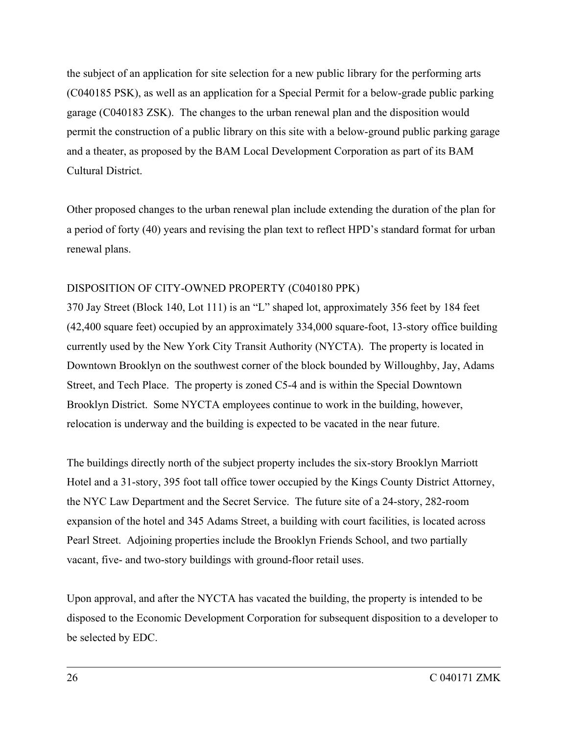the subject of an application for site selection for a new public library for the performing arts (C040185 PSK), as well as an application for a Special Permit for a below-grade public parking garage (C040183 ZSK). The changes to the urban renewal plan and the disposition would permit the construction of a public library on this site with a below-ground public parking garage and a theater, as proposed by the BAM Local Development Corporation as part of its BAM Cultural District.

Other proposed changes to the urban renewal plan include extending the duration of the plan for a period of forty (40) years and revising the plan text to reflect HPD's standard format for urban renewal plans.

## DISPOSITION OF CITY-OWNED PROPERTY (C040180 PPK)

370 Jay Street (Block 140, Lot 111) is an "L" shaped lot, approximately 356 feet by 184 feet (42,400 square feet) occupied by an approximately 334,000 square-foot, 13-story office building currently used by the New York City Transit Authority (NYCTA). The property is located in Downtown Brooklyn on the southwest corner of the block bounded by Willoughby, Jay, Adams Street, and Tech Place. The property is zoned C5-4 and is within the Special Downtown Brooklyn District. Some NYCTA employees continue to work in the building, however, relocation is underway and the building is expected to be vacated in the near future.

The buildings directly north of the subject property includes the six-story Brooklyn Marriott Hotel and a 31-story, 395 foot tall office tower occupied by the Kings County District Attorney, the NYC Law Department and the Secret Service. The future site of a 24-story, 282-room expansion of the hotel and 345 Adams Street, a building with court facilities, is located across Pearl Street. Adjoining properties include the Brooklyn Friends School, and two partially vacant, five- and two-story buildings with ground-floor retail uses.

Upon approval, and after the NYCTA has vacated the building, the property is intended to be disposed to the Economic Development Corporation for subsequent disposition to a developer to be selected by EDC.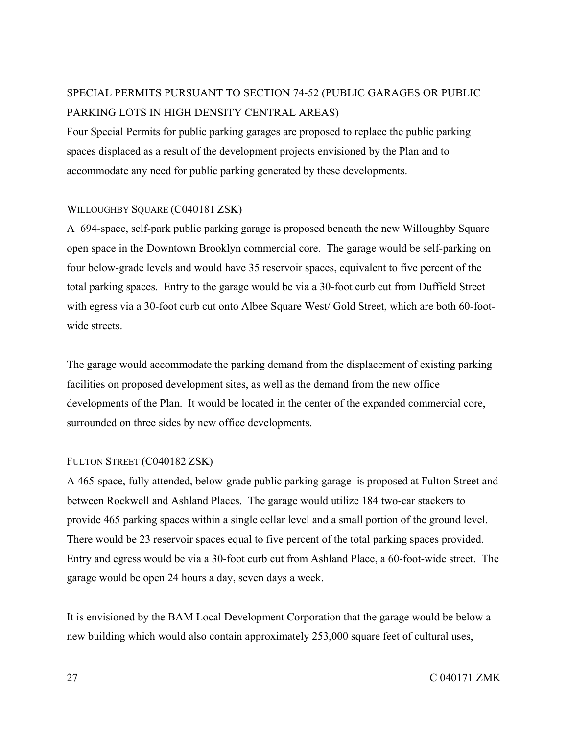## SPECIAL PERMITS PURSUANT TO SECTION 74-52 (PUBLIC GARAGES OR PUBLIC PARKING LOTS IN HIGH DENSITY CENTRAL AREAS)

Four Special Permits for public parking garages are proposed to replace the public parking spaces displaced as a result of the development projects envisioned by the Plan and to accommodate any need for public parking generated by these developments.

## WILLOUGHBY SOUARE (C040181 ZSK)

A 694-space, self-park public parking garage is proposed beneath the new Willoughby Square open space in the Downtown Brooklyn commercial core. The garage would be self-parking on four below-grade levels and would have 35 reservoir spaces, equivalent to five percent of the total parking spaces. Entry to the garage would be via a 30-foot curb cut from Duffield Street with egress via a 30-foot curb cut onto Albee Square West/ Gold Street, which are both 60-footwide streets.

The garage would accommodate the parking demand from the displacement of existing parking facilities on proposed development sites, as well as the demand from the new office developments of the Plan. It would be located in the center of the expanded commercial core, surrounded on three sides by new office developments.

## FULTON STREET (C040182 ZSK)

A 465-space, fully attended, below-grade public parking garage is proposed at Fulton Street and between Rockwell and Ashland Places. The garage would utilize 184 two-car stackers to provide 465 parking spaces within a single cellar level and a small portion of the ground level. There would be 23 reservoir spaces equal to five percent of the total parking spaces provided. Entry and egress would be via a 30-foot curb cut from Ashland Place, a 60-foot-wide street. The garage would be open 24 hours a day, seven days a week.

It is envisioned by the BAM Local Development Corporation that the garage would be below a new building which would also contain approximately 253,000 square feet of cultural uses,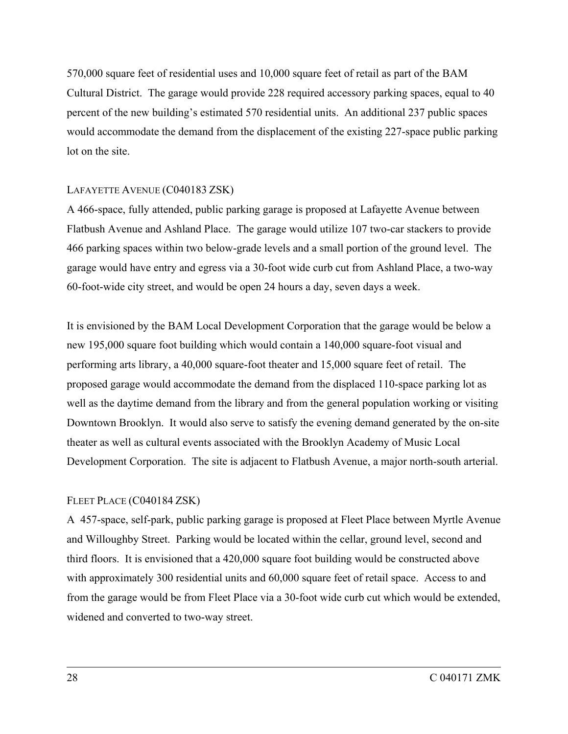570,000 square feet of residential uses and 10,000 square feet of retail as part of the BAM Cultural District. The garage would provide 228 required accessory parking spaces, equal to 40 percent of the new building's estimated 570 residential units. An additional 237 public spaces would accommodate the demand from the displacement of the existing 227-space public parking lot on the site.

## LAFAYETTE AVENUE (C040183 ZSK)

A 466-space, fully attended, public parking garage is proposed at Lafayette Avenue between Flatbush Avenue and Ashland Place. The garage would utilize 107 two-car stackers to provide 466 parking spaces within two below-grade levels and a small portion of the ground level. The garage would have entry and egress via a 30-foot wide curb cut from Ashland Place, a two-way 60-foot-wide city street, and would be open 24 hours a day, seven days a week.

It is envisioned by the BAM Local Development Corporation that the garage would be below a new 195,000 square foot building which would contain a 140,000 square-foot visual and performing arts library, a 40,000 square-foot theater and 15,000 square feet of retail. The proposed garage would accommodate the demand from the displaced 110-space parking lot as well as the daytime demand from the library and from the general population working or visiting Downtown Brooklyn. It would also serve to satisfy the evening demand generated by the on-site theater as well as cultural events associated with the Brooklyn Academy of Music Local Development Corporation. The site is adjacent to Flatbush Avenue, a major north-south arterial.

## FLEET PLACE (C040184 ZSK)

A 457-space, self-park, public parking garage is proposed at Fleet Place between Myrtle Avenue and Willoughby Street. Parking would be located within the cellar, ground level, second and third floors. It is envisioned that a 420,000 square foot building would be constructed above with approximately 300 residential units and 60,000 square feet of retail space. Access to and from the garage would be from Fleet Place via a 30-foot wide curb cut which would be extended, widened and converted to two-way street.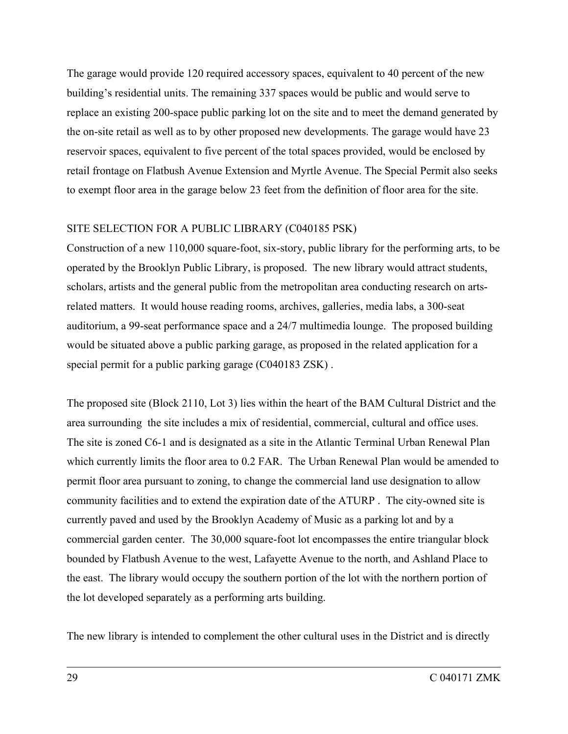The garage would provide 120 required accessory spaces, equivalent to 40 percent of the new building's residential units. The remaining 337 spaces would be public and would serve to replace an existing 200-space public parking lot on the site and to meet the demand generated by the on-site retail as well as to by other proposed new developments. The garage would have 23 reservoir spaces, equivalent to five percent of the total spaces provided, would be enclosed by retail frontage on Flatbush Avenue Extension and Myrtle Avenue. The Special Permit also seeks to exempt floor area in the garage below 23 feet from the definition of floor area for the site.

#### SITE SELECTION FOR A PUBLIC LIBRARY (C040185 PSK)

Construction of a new 110,000 square-foot, six-story, public library for the performing arts, to be operated by the Brooklyn Public Library, is proposed. The new library would attract students, scholars, artists and the general public from the metropolitan area conducting research on artsrelated matters. It would house reading rooms, archives, galleries, media labs, a 300-seat auditorium, a 99-seat performance space and a 24/7 multimedia lounge. The proposed building would be situated above a public parking garage, as proposed in the related application for a special permit for a public parking garage (C040183 ZSK) .

The proposed site (Block 2110, Lot 3) lies within the heart of the BAM Cultural District and the area surrounding the site includes a mix of residential, commercial, cultural and office uses. The site is zoned C6-1 and is designated as a site in the Atlantic Terminal Urban Renewal Plan which currently limits the floor area to 0.2 FAR. The Urban Renewal Plan would be amended to permit floor area pursuant to zoning, to change the commercial land use designation to allow community facilities and to extend the expiration date of the ATURP . The city-owned site is currently paved and used by the Brooklyn Academy of Music as a parking lot and by a commercial garden center. The 30,000 square-foot lot encompasses the entire triangular block bounded by Flatbush Avenue to the west, Lafayette Avenue to the north, and Ashland Place to the east. The library would occupy the southern portion of the lot with the northern portion of the lot developed separately as a performing arts building.

The new library is intended to complement the other cultural uses in the District and is directly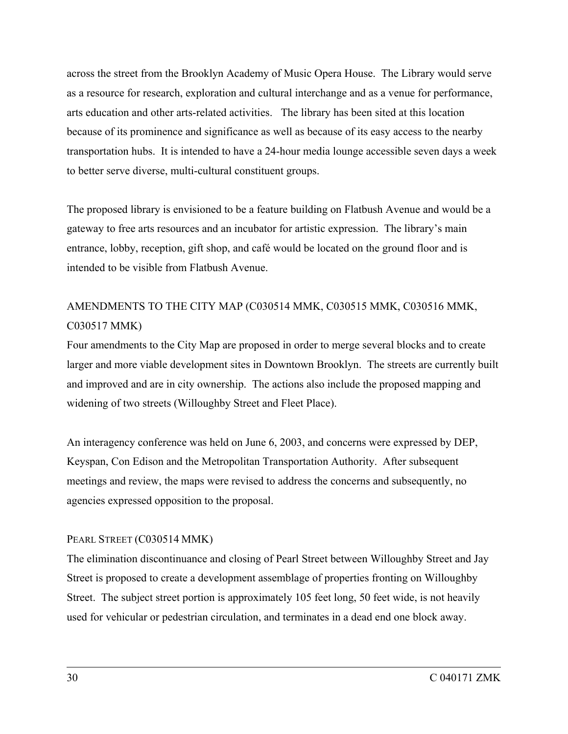across the street from the Brooklyn Academy of Music Opera House. The Library would serve as a resource for research, exploration and cultural interchange and as a venue for performance, arts education and other arts-related activities. The library has been sited at this location because of its prominence and significance as well as because of its easy access to the nearby transportation hubs. It is intended to have a 24-hour media lounge accessible seven days a week to better serve diverse, multi-cultural constituent groups.

The proposed library is envisioned to be a feature building on Flatbush Avenue and would be a gateway to free arts resources and an incubator for artistic expression. The library's main entrance, lobby, reception, gift shop, and café would be located on the ground floor and is intended to be visible from Flatbush Avenue.

## AMENDMENTS TO THE CITY MAP (C030514 MMK, C030515 MMK, C030516 MMK, C030517 MMK)

Four amendments to the City Map are proposed in order to merge several blocks and to create larger and more viable development sites in Downtown Brooklyn. The streets are currently built and improved and are in city ownership. The actions also include the proposed mapping and widening of two streets (Willoughby Street and Fleet Place).

An interagency conference was held on June 6, 2003, and concerns were expressed by DEP, Keyspan, Con Edison and the Metropolitan Transportation Authority. After subsequent meetings and review, the maps were revised to address the concerns and subsequently, no agencies expressed opposition to the proposal.

## PEARL STREET (C030514 MMK)

The elimination discontinuance and closing of Pearl Street between Willoughby Street and Jay Street is proposed to create a development assemblage of properties fronting on Willoughby Street. The subject street portion is approximately 105 feet long, 50 feet wide, is not heavily used for vehicular or pedestrian circulation, and terminates in a dead end one block away.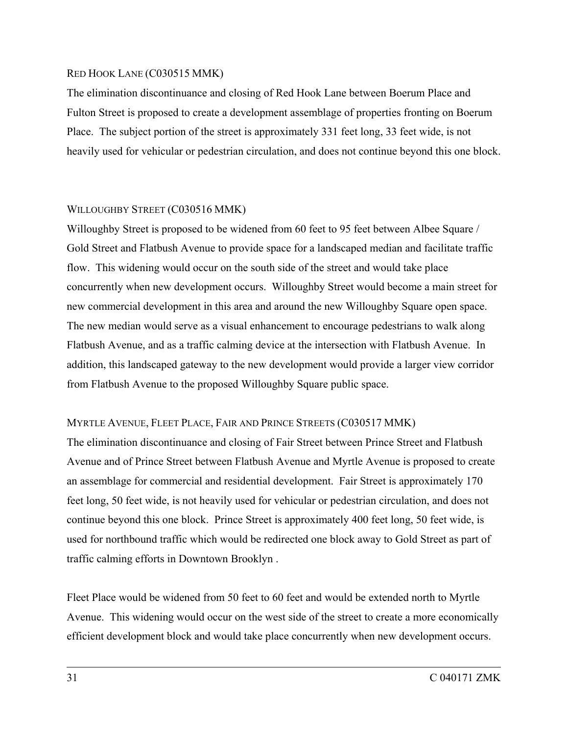### RED HOOK LANE (C030515 MMK)

The elimination discontinuance and closing of Red Hook Lane between Boerum Place and Fulton Street is proposed to create a development assemblage of properties fronting on Boerum Place. The subject portion of the street is approximately 331 feet long, 33 feet wide, is not heavily used for vehicular or pedestrian circulation, and does not continue beyond this one block.

## WILLOUGHBY STREET (C030516 MMK)

Willoughby Street is proposed to be widened from 60 feet to 95 feet between Albee Square / Gold Street and Flatbush Avenue to provide space for a landscaped median and facilitate traffic flow. This widening would occur on the south side of the street and would take place concurrently when new development occurs. Willoughby Street would become a main street for new commercial development in this area and around the new Willoughby Square open space. The new median would serve as a visual enhancement to encourage pedestrians to walk along Flatbush Avenue, and as a traffic calming device at the intersection with Flatbush Avenue. In addition, this landscaped gateway to the new development would provide a larger view corridor from Flatbush Avenue to the proposed Willoughby Square public space.

## MYRTLE AVENUE, FLEET PLACE, FAIR AND PRINCE STREETS (C030517 MMK)

The elimination discontinuance and closing of Fair Street between Prince Street and Flatbush Avenue and of Prince Street between Flatbush Avenue and Myrtle Avenue is proposed to create an assemblage for commercial and residential development. Fair Street is approximately 170 feet long, 50 feet wide, is not heavily used for vehicular or pedestrian circulation, and does not continue beyond this one block. Prince Street is approximately 400 feet long, 50 feet wide, is used for northbound traffic which would be redirected one block away to Gold Street as part of traffic calming efforts in Downtown Brooklyn .

Fleet Place would be widened from 50 feet to 60 feet and would be extended north to Myrtle Avenue. This widening would occur on the west side of the street to create a more economically efficient development block and would take place concurrently when new development occurs.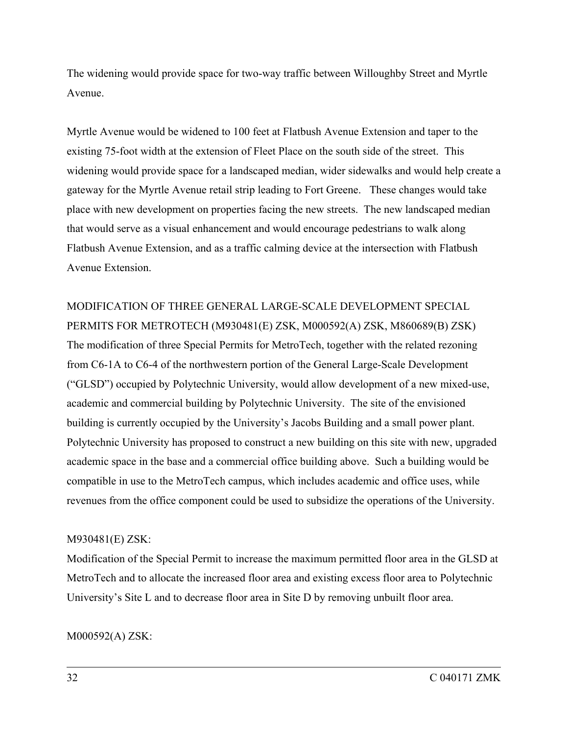The widening would provide space for two-way traffic between Willoughby Street and Myrtle Avenue.

Myrtle Avenue would be widened to 100 feet at Flatbush Avenue Extension and taper to the existing 75-foot width at the extension of Fleet Place on the south side of the street. This widening would provide space for a landscaped median, wider sidewalks and would help create a gateway for the Myrtle Avenue retail strip leading to Fort Greene. These changes would take place with new development on properties facing the new streets. The new landscaped median that would serve as a visual enhancement and would encourage pedestrians to walk along Flatbush Avenue Extension, and as a traffic calming device at the intersection with Flatbush Avenue Extension.

MODIFICATION OF THREE GENERAL LARGE-SCALE DEVELOPMENT SPECIAL PERMITS FOR METROTECH (M930481(E) ZSK, M000592(A) ZSK, M860689(B) ZSK) The modification of three Special Permits for MetroTech, together with the related rezoning from C6-1A to C6-4 of the northwestern portion of the General Large-Scale Development ("GLSD") occupied by Polytechnic University, would allow development of a new mixed-use, academic and commercial building by Polytechnic University. The site of the envisioned building is currently occupied by the University's Jacobs Building and a small power plant. Polytechnic University has proposed to construct a new building on this site with new, upgraded academic space in the base and a commercial office building above. Such a building would be compatible in use to the MetroTech campus, which includes academic and office uses, while revenues from the office component could be used to subsidize the operations of the University.

## M930481(E) ZSK:

Modification of the Special Permit to increase the maximum permitted floor area in the GLSD at MetroTech and to allocate the increased floor area and existing excess floor area to Polytechnic University's Site L and to decrease floor area in Site D by removing unbuilt floor area.

M000592(A) ZSK: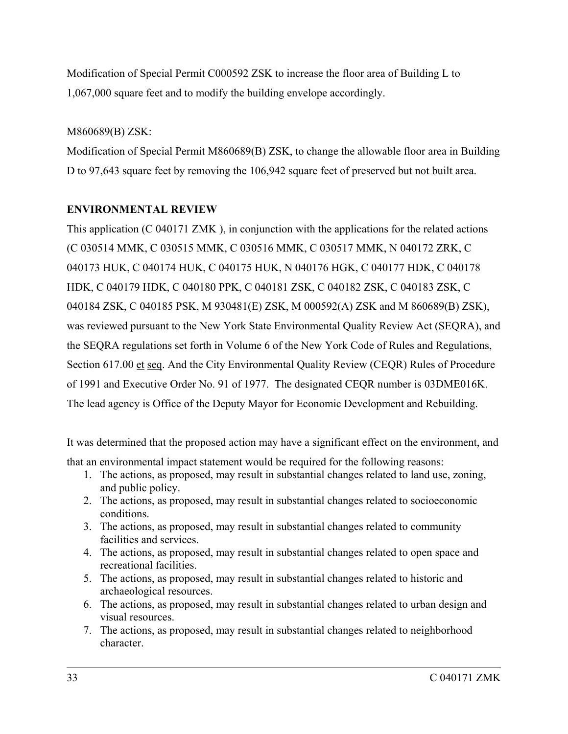Modification of Special Permit C000592 ZSK to increase the floor area of Building L to 1,067,000 square feet and to modify the building envelope accordingly.

## M860689(B) ZSK:

Modification of Special Permit M860689(B) ZSK, to change the allowable floor area in Building D to 97,643 square feet by removing the 106,942 square feet of preserved but not built area.

## **ENVIRONMENTAL REVIEW**

This application (C 040171 ZMK ), in conjunction with the applications for the related actions (C 030514 MMK, C 030515 MMK, C 030516 MMK, C 030517 MMK, N 040172 ZRK, C 040173 HUK, C 040174 HUK, C 040175 HUK, N 040176 HGK, C 040177 HDK, C 040178 HDK, C 040179 HDK, C 040180 PPK, C 040181 ZSK, C 040182 ZSK, C 040183 ZSK, C 040184 ZSK, C 040185 PSK, M 930481(E) ZSK, M 000592(A) ZSK and M 860689(B) ZSK), was reviewed pursuant to the New York State Environmental Quality Review Act (SEQRA), and the SEQRA regulations set forth in Volume 6 of the New York Code of Rules and Regulations, Section 617.00 et seq. And the City Environmental Quality Review (CEQR) Rules of Procedure of 1991 and Executive Order No. 91 of 1977. The designated CEQR number is 03DME016K. The lead agency is Office of the Deputy Mayor for Economic Development and Rebuilding.

It was determined that the proposed action may have a significant effect on the environment, and that an environmental impact statement would be required for the following reasons:

- 1. The actions, as proposed, may result in substantial changes related to land use, zoning, and public policy.
- 2. The actions, as proposed, may result in substantial changes related to socioeconomic conditions.
- 3. The actions, as proposed, may result in substantial changes related to community facilities and services.
- 4. The actions, as proposed, may result in substantial changes related to open space and recreational facilities.
- 5. The actions, as proposed, may result in substantial changes related to historic and archaeological resources.
- 6. The actions, as proposed, may result in substantial changes related to urban design and visual resources.
- 7. The actions, as proposed, may result in substantial changes related to neighborhood character.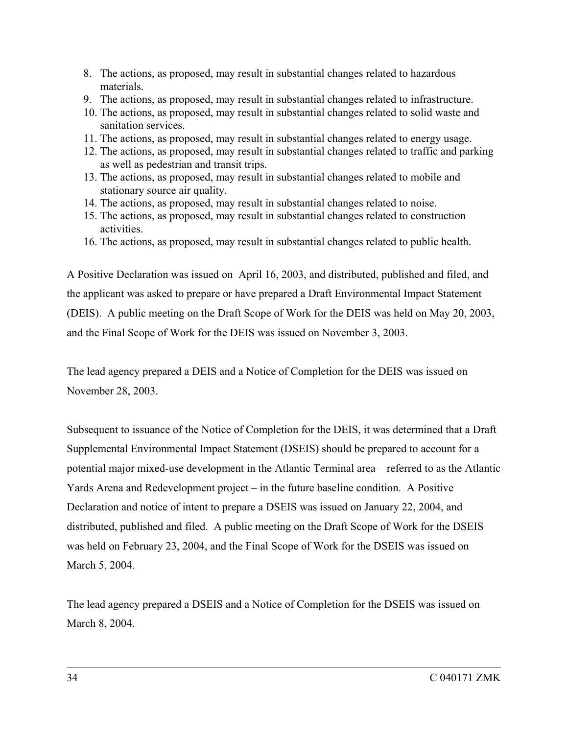- 8. The actions, as proposed, may result in substantial changes related to hazardous materials.
- 9. The actions, as proposed, may result in substantial changes related to infrastructure.
- 10. The actions, as proposed, may result in substantial changes related to solid waste and sanitation services.
- 11. The actions, as proposed, may result in substantial changes related to energy usage.
- 12. The actions, as proposed, may result in substantial changes related to traffic and parking as well as pedestrian and transit trips.
- 13. The actions, as proposed, may result in substantial changes related to mobile and stationary source air quality.
- 14. The actions, as proposed, may result in substantial changes related to noise.
- 15. The actions, as proposed, may result in substantial changes related to construction activities.
- 16. The actions, as proposed, may result in substantial changes related to public health.

A Positive Declaration was issued on April 16, 2003, and distributed, published and filed, and the applicant was asked to prepare or have prepared a Draft Environmental Impact Statement (DEIS). A public meeting on the Draft Scope of Work for the DEIS was held on May 20, 2003, and the Final Scope of Work for the DEIS was issued on November 3, 2003.

The lead agency prepared a DEIS and a Notice of Completion for the DEIS was issued on November 28, 2003.

Subsequent to issuance of the Notice of Completion for the DEIS, it was determined that a Draft Supplemental Environmental Impact Statement (DSEIS) should be prepared to account for a potential major mixed-use development in the Atlantic Terminal area – referred to as the Atlantic Yards Arena and Redevelopment project – in the future baseline condition. A Positive Declaration and notice of intent to prepare a DSEIS was issued on January 22, 2004, and distributed, published and filed. A public meeting on the Draft Scope of Work for the DSEIS was held on February 23, 2004, and the Final Scope of Work for the DSEIS was issued on March 5, 2004.

The lead agency prepared a DSEIS and a Notice of Completion for the DSEIS was issued on March 8, 2004.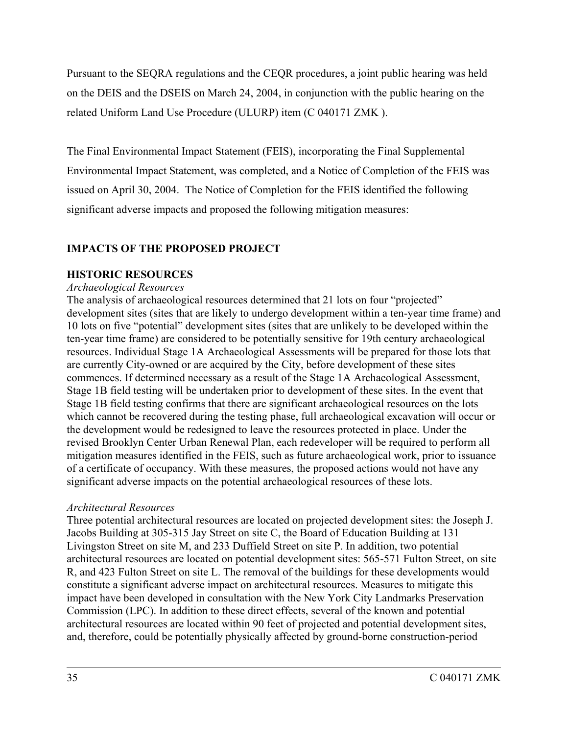Pursuant to the SEQRA regulations and the CEQR procedures, a joint public hearing was held on the DEIS and the DSEIS on March 24, 2004, in conjunction with the public hearing on the related Uniform Land Use Procedure (ULURP) item (C 040171 ZMK ).

The Final Environmental Impact Statement (FEIS), incorporating the Final Supplemental Environmental Impact Statement, was completed, and a Notice of Completion of the FEIS was issued on April 30, 2004. The Notice of Completion for the FEIS identified the following significant adverse impacts and proposed the following mitigation measures:

## **IMPACTS OF THE PROPOSED PROJECT**

## **HISTORIC RESOURCES**

## *Archaeological Resources*

The analysis of archaeological resources determined that 21 lots on four "projected" development sites (sites that are likely to undergo development within a ten-year time frame) and 10 lots on five "potential" development sites (sites that are unlikely to be developed within the ten-year time frame) are considered to be potentially sensitive for 19th century archaeological resources. Individual Stage 1A Archaeological Assessments will be prepared for those lots that are currently City-owned or are acquired by the City, before development of these sites commences. If determined necessary as a result of the Stage 1A Archaeological Assessment, Stage 1B field testing will be undertaken prior to development of these sites. In the event that Stage 1B field testing confirms that there are significant archaeological resources on the lots which cannot be recovered during the testing phase, full archaeological excavation will occur or the development would be redesigned to leave the resources protected in place. Under the revised Brooklyn Center Urban Renewal Plan, each redeveloper will be required to perform all mitigation measures identified in the FEIS, such as future archaeological work, prior to issuance of a certificate of occupancy. With these measures, the proposed actions would not have any significant adverse impacts on the potential archaeological resources of these lots.

## *Architectural Resources*

Three potential architectural resources are located on projected development sites: the Joseph J. Jacobs Building at 305-315 Jay Street on site C, the Board of Education Building at 131 Livingston Street on site M, and 233 Duffield Street on site P. In addition, two potential architectural resources are located on potential development sites: 565-571 Fulton Street, on site R, and 423 Fulton Street on site L. The removal of the buildings for these developments would constitute a significant adverse impact on architectural resources. Measures to mitigate this impact have been developed in consultation with the New York City Landmarks Preservation Commission (LPC). In addition to these direct effects, several of the known and potential architectural resources are located within 90 feet of projected and potential development sites, and, therefore, could be potentially physically affected by ground-borne construction-period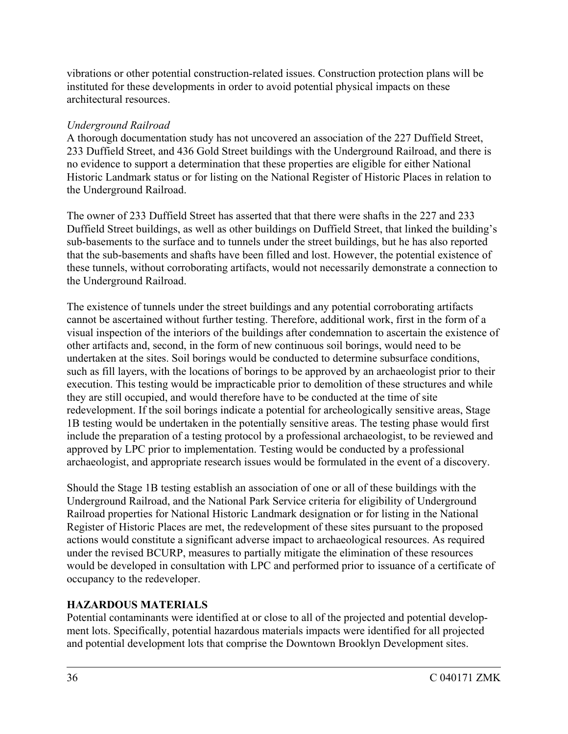vibrations or other potential construction-related issues. Construction protection plans will be instituted for these developments in order to avoid potential physical impacts on these architectural resources.

## *Underground Railroad*

A thorough documentation study has not uncovered an association of the 227 Duffield Street, 233 Duffield Street, and 436 Gold Street buildings with the Underground Railroad, and there is no evidence to support a determination that these properties are eligible for either National Historic Landmark status or for listing on the National Register of Historic Places in relation to the Underground Railroad.

The owner of 233 Duffield Street has asserted that that there were shafts in the 227 and 233 Duffield Street buildings, as well as other buildings on Duffield Street, that linked the building's sub-basements to the surface and to tunnels under the street buildings, but he has also reported that the sub-basements and shafts have been filled and lost. However, the potential existence of these tunnels, without corroborating artifacts, would not necessarily demonstrate a connection to the Underground Railroad.

The existence of tunnels under the street buildings and any potential corroborating artifacts cannot be ascertained without further testing. Therefore, additional work, first in the form of a visual inspection of the interiors of the buildings after condemnation to ascertain the existence of other artifacts and, second, in the form of new continuous soil borings, would need to be undertaken at the sites. Soil borings would be conducted to determine subsurface conditions, such as fill layers, with the locations of borings to be approved by an archaeologist prior to their execution. This testing would be impracticable prior to demolition of these structures and while they are still occupied, and would therefore have to be conducted at the time of site redevelopment. If the soil borings indicate a potential for archeologically sensitive areas, Stage 1B testing would be undertaken in the potentially sensitive areas. The testing phase would first include the preparation of a testing protocol by a professional archaeologist, to be reviewed and approved by LPC prior to implementation. Testing would be conducted by a professional archaeologist, and appropriate research issues would be formulated in the event of a discovery.

Should the Stage 1B testing establish an association of one or all of these buildings with the Underground Railroad, and the National Park Service criteria for eligibility of Underground Railroad properties for National Historic Landmark designation or for listing in the National Register of Historic Places are met, the redevelopment of these sites pursuant to the proposed actions would constitute a significant adverse impact to archaeological resources. As required under the revised BCURP, measures to partially mitigate the elimination of these resources would be developed in consultation with LPC and performed prior to issuance of a certificate of occupancy to the redeveloper.

## **HAZARDOUS MATERIALS**

Potential contaminants were identified at or close to all of the projected and potential development lots. Specifically, potential hazardous materials impacts were identified for all projected and potential development lots that comprise the Downtown Brooklyn Development sites.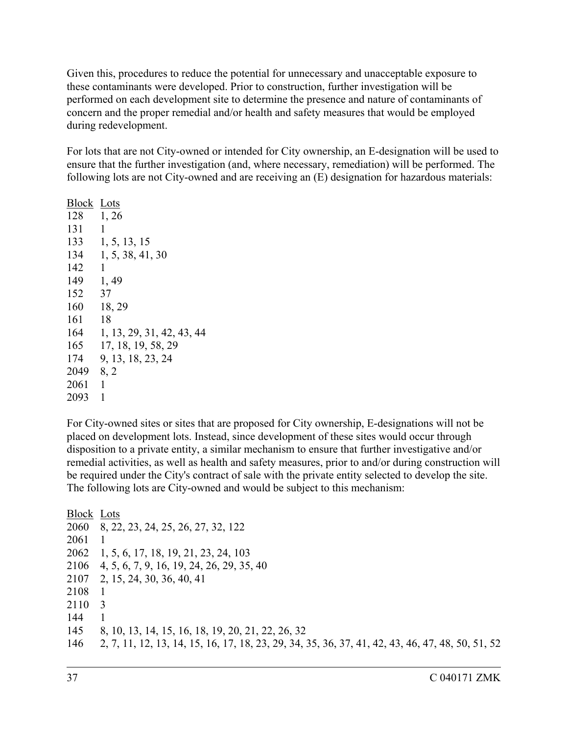Given this, procedures to reduce the potential for unnecessary and unacceptable exposure to these contaminants were developed. Prior to construction, further investigation will be performed on each development site to determine the presence and nature of contaminants of concern and the proper remedial and/or health and safety measures that would be employed during redevelopment.

For lots that are not City-owned or intended for City ownership, an E-designation will be used to ensure that the further investigation (and, where necessary, remediation) will be performed. The following lots are not City-owned and are receiving an (E) designation for hazardous materials:

Block Lots 128 1, 26 131 1 133 1, 5, 13, 15 134 1, 5, 38, 41, 30 142 1 149 1, 49 152 37 160 18, 29 161 18 164 1, 13, 29, 31, 42, 43, 44 165 17, 18, 19, 58, 29 174 9, 13, 18, 23, 24 2049 8, 2 2061 1 2093 1

For City-owned sites or sites that are proposed for City ownership, E-designations will not be placed on development lots. Instead, since development of these sites would occur through disposition to a private entity, a similar mechanism to ensure that further investigative and/or remedial activities, as well as health and safety measures, prior to and/or during construction will be required under the City's contract of sale with the private entity selected to develop the site. The following lots are City-owned and would be subject to this mechanism:

Block Lots 2060 8, 22, 23, 24, 25, 26, 27, 32, 122 2061 1 2062 1, 5, 6, 17, 18, 19, 21, 23, 24, 103 2106 4, 5, 6, 7, 9, 16, 19, 24, 26, 29, 35, 40 2107 2, 15, 24, 30, 36, 40, 41 2108 1 2110 3 144 1 145 8, 10, 13, 14, 15, 16, 18, 19, 20, 21, 22, 26, 32 146 2, 7, 11, 12, 13, 14, 15, 16, 17, 18, 23, 29, 34, 35, 36, 37, 41, 42, 43, 46, 47, 48, 50, 51, 52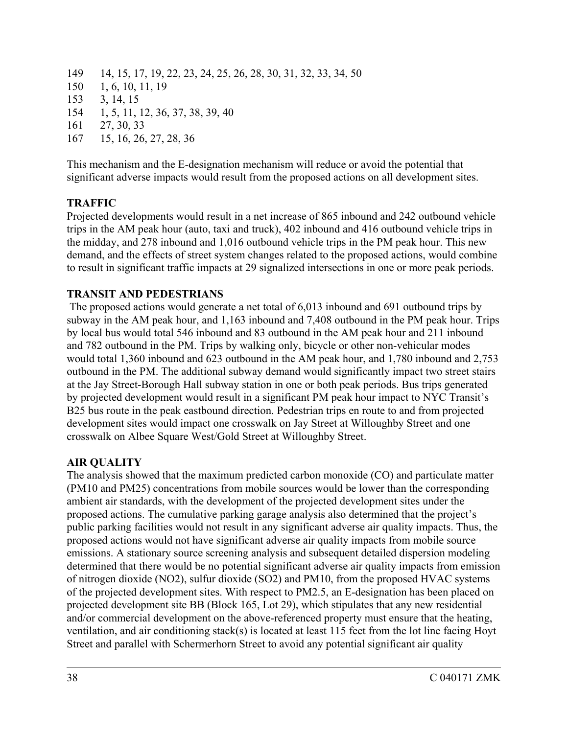- 149 14, 15, 17, 19, 22, 23, 24, 25, 26, 28, 30, 31, 32, 33, 34, 50
- 150 1, 6, 10, 11, 19
- 153 3, 14, 15
- 154 1, 5, 11, 12, 36, 37, 38, 39, 40
- 161 27, 30, 33
- 167 15, 16, 26, 27, 28, 36

This mechanism and the E-designation mechanism will reduce or avoid the potential that significant adverse impacts would result from the proposed actions on all development sites.

## **TRAFFIC**

Projected developments would result in a net increase of 865 inbound and 242 outbound vehicle trips in the AM peak hour (auto, taxi and truck), 402 inbound and 416 outbound vehicle trips in the midday, and 278 inbound and 1,016 outbound vehicle trips in the PM peak hour. This new demand, and the effects of street system changes related to the proposed actions, would combine to result in significant traffic impacts at 29 signalized intersections in one or more peak periods.

## **TRANSIT AND PEDESTRIANS**

 The proposed actions would generate a net total of 6,013 inbound and 691 outbound trips by subway in the AM peak hour, and 1,163 inbound and 7,408 outbound in the PM peak hour. Trips by local bus would total 546 inbound and 83 outbound in the AM peak hour and 211 inbound and 782 outbound in the PM. Trips by walking only, bicycle or other non-vehicular modes would total 1,360 inbound and 623 outbound in the AM peak hour, and 1,780 inbound and 2,753 outbound in the PM. The additional subway demand would significantly impact two street stairs at the Jay Street-Borough Hall subway station in one or both peak periods. Bus trips generated by projected development would result in a significant PM peak hour impact to NYC Transit's B25 bus route in the peak eastbound direction. Pedestrian trips en route to and from projected development sites would impact one crosswalk on Jay Street at Willoughby Street and one crosswalk on Albee Square West/Gold Street at Willoughby Street.

## **AIR QUALITY**

The analysis showed that the maximum predicted carbon monoxide (CO) and particulate matter (PM10 and PM25) concentrations from mobile sources would be lower than the corresponding ambient air standards, with the development of the projected development sites under the proposed actions. The cumulative parking garage analysis also determined that the project's public parking facilities would not result in any significant adverse air quality impacts. Thus, the proposed actions would not have significant adverse air quality impacts from mobile source emissions. A stationary source screening analysis and subsequent detailed dispersion modeling determined that there would be no potential significant adverse air quality impacts from emission of nitrogen dioxide (NO2), sulfur dioxide (SO2) and PM10, from the proposed HVAC systems of the projected development sites. With respect to PM2.5, an E-designation has been placed on projected development site BB (Block 165, Lot 29), which stipulates that any new residential and/or commercial development on the above-referenced property must ensure that the heating, ventilation, and air conditioning stack(s) is located at least 115 feet from the lot line facing Hoyt Street and parallel with Schermerhorn Street to avoid any potential significant air quality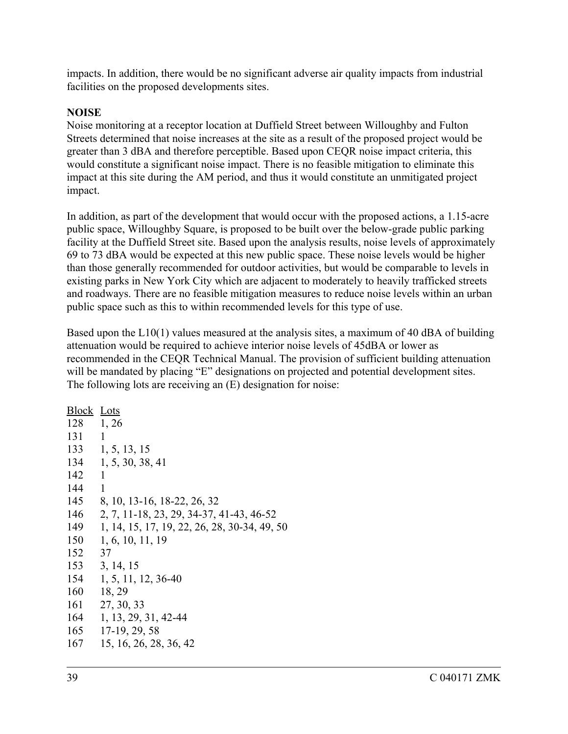impacts. In addition, there would be no significant adverse air quality impacts from industrial facilities on the proposed developments sites.

#### **NOISE**

Noise monitoring at a receptor location at Duffield Street between Willoughby and Fulton Streets determined that noise increases at the site as a result of the proposed project would be greater than 3 dBA and therefore perceptible. Based upon CEQR noise impact criteria, this would constitute a significant noise impact. There is no feasible mitigation to eliminate this impact at this site during the AM period, and thus it would constitute an unmitigated project impact.

In addition, as part of the development that would occur with the proposed actions, a 1.15-acre public space, Willoughby Square, is proposed to be built over the below-grade public parking facility at the Duffield Street site. Based upon the analysis results, noise levels of approximately 69 to 73 dBA would be expected at this new public space. These noise levels would be higher than those generally recommended for outdoor activities, but would be comparable to levels in existing parks in New York City which are adjacent to moderately to heavily trafficked streets and roadways. There are no feasible mitigation measures to reduce noise levels within an urban public space such as this to within recommended levels for this type of use.

Based upon the  $L10(1)$  values measured at the analysis sites, a maximum of 40 dBA of building attenuation would be required to achieve interior noise levels of 45dBA or lower as recommended in the CEQR Technical Manual. The provision of sufficient building attenuation will be mandated by placing "E" designations on projected and potential development sites. The following lots are receiving an (E) designation for noise:

| <b>Block Lots</b> |                                              |
|-------------------|----------------------------------------------|
| 128               | 1, 26                                        |
| 131               | 1                                            |
| 133               | 1, 5, 13, 15                                 |
| 134               | 1, 5, 30, 38, 41                             |
| 142               | 1                                            |
| 144               | 1                                            |
| 145               | 8, 10, 13-16, 18-22, 26, 32                  |
| 146               | 2, 7, 11-18, 23, 29, 34-37, 41-43, 46-52     |
| 149               | 1, 14, 15, 17, 19, 22, 26, 28, 30-34, 49, 50 |
| 150               | 1, 6, 10, 11, 19                             |
| 152               | 37                                           |
| 153               | 3, 14, 15                                    |
| 154               | 1, 5, 11, 12, 36-40                          |
| 160               | 18, 29                                       |
| 161               | 27, 30, 33                                   |
| 164               | 1, 13, 29, 31, 42-44                         |
| 165               | 17-19, 29, 58                                |
| 167               | 15, 16, 26, 28, 36, 42                       |
|                   |                                              |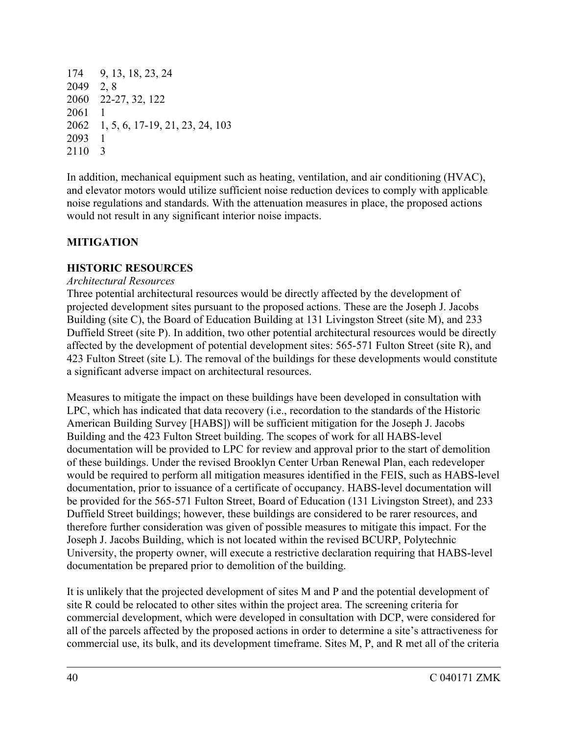174 9, 13, 18, 23, 24 2049 2, 8 2060 22-27, 32, 122 2061 2062 1, 5, 6, 17-19, 21, 23, 24, 103 2093 1 2110 3

In addition, mechanical equipment such as heating, ventilation, and air conditioning (HVAC), and elevator motors would utilize sufficient noise reduction devices to comply with applicable noise regulations and standards. With the attenuation measures in place, the proposed actions would not result in any significant interior noise impacts.

## **MITIGATION**

## **HISTORIC RESOURCES**

## *Architectural Resources*

Three potential architectural resources would be directly affected by the development of projected development sites pursuant to the proposed actions. These are the Joseph J. Jacobs Building (site C), the Board of Education Building at 131 Livingston Street (site M), and 233 Duffield Street (site P). In addition, two other potential architectural resources would be directly affected by the development of potential development sites: 565-571 Fulton Street (site R), and 423 Fulton Street (site L). The removal of the buildings for these developments would constitute a significant adverse impact on architectural resources.

Measures to mitigate the impact on these buildings have been developed in consultation with LPC, which has indicated that data recovery (i.e., recordation to the standards of the Historic American Building Survey [HABS]) will be sufficient mitigation for the Joseph J. Jacobs Building and the 423 Fulton Street building. The scopes of work for all HABS-level documentation will be provided to LPC for review and approval prior to the start of demolition of these buildings. Under the revised Brooklyn Center Urban Renewal Plan, each redeveloper would be required to perform all mitigation measures identified in the FEIS, such as HABS-level documentation, prior to issuance of a certificate of occupancy. HABS-level documentation will be provided for the 565-571 Fulton Street, Board of Education (131 Livingston Street), and 233 Duffield Street buildings; however, these buildings are considered to be rarer resources, and therefore further consideration was given of possible measures to mitigate this impact. For the Joseph J. Jacobs Building, which is not located within the revised BCURP, Polytechnic University, the property owner, will execute a restrictive declaration requiring that HABS-level documentation be prepared prior to demolition of the building.

It is unlikely that the projected development of sites M and P and the potential development of site R could be relocated to other sites within the project area. The screening criteria for commercial development, which were developed in consultation with DCP, were considered for all of the parcels affected by the proposed actions in order to determine a site's attractiveness for commercial use, its bulk, and its development timeframe. Sites M, P, and R met all of the criteria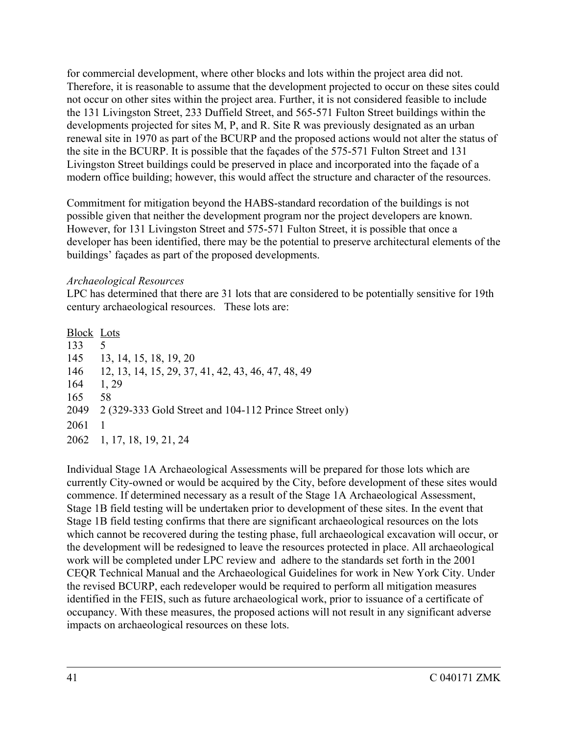for commercial development, where other blocks and lots within the project area did not. Therefore, it is reasonable to assume that the development projected to occur on these sites could not occur on other sites within the project area. Further, it is not considered feasible to include the 131 Livingston Street, 233 Duffield Street, and 565-571 Fulton Street buildings within the developments projected for sites M, P, and R. Site R was previously designated as an urban renewal site in 1970 as part of the BCURP and the proposed actions would not alter the status of the site in the BCURP. It is possible that the façades of the 575-571 Fulton Street and 131 Livingston Street buildings could be preserved in place and incorporated into the façade of a modern office building; however, this would affect the structure and character of the resources.

Commitment for mitigation beyond the HABS-standard recordation of the buildings is not possible given that neither the development program nor the project developers are known. However, for 131 Livingston Street and 575-571 Fulton Street, it is possible that once a developer has been identified, there may be the potential to preserve architectural elements of the buildings' façades as part of the proposed developments.

#### *Archaeological Resources*

LPC has determined that there are 31 lots that are considered to be potentially sensitive for 19th century archaeological resources. These lots are:

Block Lots 133 5 145 13, 14, 15, 18, 19, 20 146 12, 13, 14, 15, 29, 37, 41, 42, 43, 46, 47, 48, 49 164 1, 29 165 58 2049 2 (329-333 Gold Street and 104-112 Prince Street only) 2061 1 2062 1, 17, 18, 19, 21, 24

Individual Stage 1A Archaeological Assessments will be prepared for those lots which are currently City-owned or would be acquired by the City, before development of these sites would commence. If determined necessary as a result of the Stage 1A Archaeological Assessment, Stage 1B field testing will be undertaken prior to development of these sites. In the event that Stage 1B field testing confirms that there are significant archaeological resources on the lots which cannot be recovered during the testing phase, full archaeological excavation will occur, or the development will be redesigned to leave the resources protected in place. All archaeological work will be completed under LPC review and adhere to the standards set forth in the 2001 CEQR Technical Manual and the Archaeological Guidelines for work in New York City. Under the revised BCURP, each redeveloper would be required to perform all mitigation measures identified in the FEIS, such as future archaeological work, prior to issuance of a certificate of occupancy. With these measures, the proposed actions will not result in any significant adverse impacts on archaeological resources on these lots.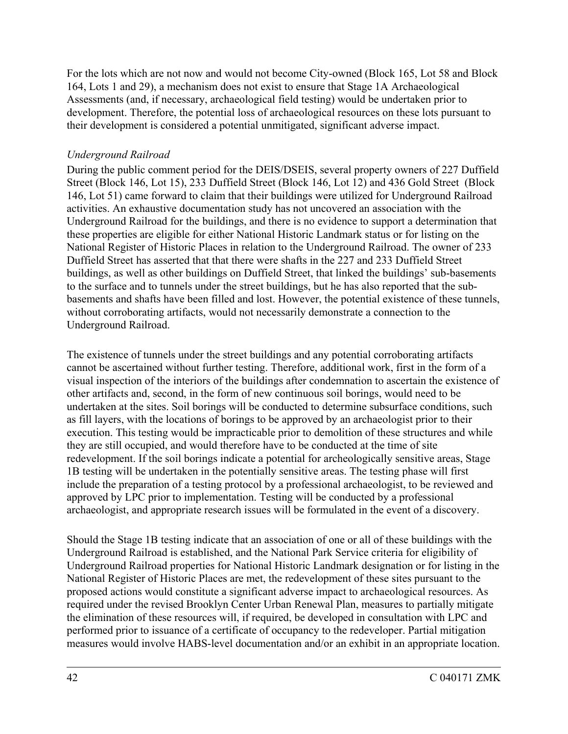For the lots which are not now and would not become City-owned (Block 165, Lot 58 and Block 164, Lots 1 and 29), a mechanism does not exist to ensure that Stage 1A Archaeological Assessments (and, if necessary, archaeological field testing) would be undertaken prior to development. Therefore, the potential loss of archaeological resources on these lots pursuant to their development is considered a potential unmitigated, significant adverse impact.

## *Underground Railroad*

During the public comment period for the DEIS/DSEIS, several property owners of 227 Duffield Street (Block 146, Lot 15), 233 Duffield Street (Block 146, Lot 12) and 436 Gold Street (Block 146, Lot 51) came forward to claim that their buildings were utilized for Underground Railroad activities. An exhaustive documentation study has not uncovered an association with the Underground Railroad for the buildings, and there is no evidence to support a determination that these properties are eligible for either National Historic Landmark status or for listing on the National Register of Historic Places in relation to the Underground Railroad. The owner of 233 Duffield Street has asserted that that there were shafts in the 227 and 233 Duffield Street buildings, as well as other buildings on Duffield Street, that linked the buildings' sub-basements to the surface and to tunnels under the street buildings, but he has also reported that the subbasements and shafts have been filled and lost. However, the potential existence of these tunnels, without corroborating artifacts, would not necessarily demonstrate a connection to the Underground Railroad.

The existence of tunnels under the street buildings and any potential corroborating artifacts cannot be ascertained without further testing. Therefore, additional work, first in the form of a visual inspection of the interiors of the buildings after condemnation to ascertain the existence of other artifacts and, second, in the form of new continuous soil borings, would need to be undertaken at the sites. Soil borings will be conducted to determine subsurface conditions, such as fill layers, with the locations of borings to be approved by an archaeologist prior to their execution. This testing would be impracticable prior to demolition of these structures and while they are still occupied, and would therefore have to be conducted at the time of site redevelopment. If the soil borings indicate a potential for archeologically sensitive areas, Stage 1B testing will be undertaken in the potentially sensitive areas. The testing phase will first include the preparation of a testing protocol by a professional archaeologist, to be reviewed and approved by LPC prior to implementation. Testing will be conducted by a professional archaeologist, and appropriate research issues will be formulated in the event of a discovery.

Should the Stage 1B testing indicate that an association of one or all of these buildings with the Underground Railroad is established, and the National Park Service criteria for eligibility of Underground Railroad properties for National Historic Landmark designation or for listing in the National Register of Historic Places are met, the redevelopment of these sites pursuant to the proposed actions would constitute a significant adverse impact to archaeological resources. As required under the revised Brooklyn Center Urban Renewal Plan, measures to partially mitigate the elimination of these resources will, if required, be developed in consultation with LPC and performed prior to issuance of a certificate of occupancy to the redeveloper. Partial mitigation measures would involve HABS-level documentation and/or an exhibit in an appropriate location.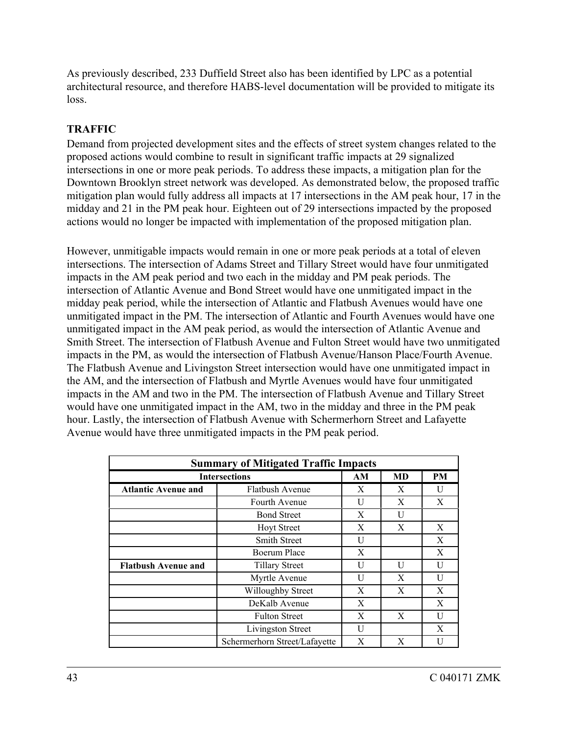As previously described, 233 Duffield Street also has been identified by LPC as a potential architectural resource, and therefore HABS-level documentation will be provided to mitigate its loss.

## **TRAFFIC**

Demand from projected development sites and the effects of street system changes related to the proposed actions would combine to result in significant traffic impacts at 29 signalized intersections in one or more peak periods. To address these impacts, a mitigation plan for the Downtown Brooklyn street network was developed. As demonstrated below, the proposed traffic mitigation plan would fully address all impacts at 17 intersections in the AM peak hour, 17 in the midday and 21 in the PM peak hour. Eighteen out of 29 intersections impacted by the proposed actions would no longer be impacted with implementation of the proposed mitigation plan.

However, unmitigable impacts would remain in one or more peak periods at a total of eleven intersections. The intersection of Adams Street and Tillary Street would have four unmitigated impacts in the AM peak period and two each in the midday and PM peak periods. The intersection of Atlantic Avenue and Bond Street would have one unmitigated impact in the midday peak period, while the intersection of Atlantic and Flatbush Avenues would have one unmitigated impact in the PM. The intersection of Atlantic and Fourth Avenues would have one unmitigated impact in the AM peak period, as would the intersection of Atlantic Avenue and Smith Street. The intersection of Flatbush Avenue and Fulton Street would have two unmitigated impacts in the PM, as would the intersection of Flatbush Avenue/Hanson Place/Fourth Avenue. The Flatbush Avenue and Livingston Street intersection would have one unmitigated impact in the AM, and the intersection of Flatbush and Myrtle Avenues would have four unmitigated impacts in the AM and two in the PM. The intersection of Flatbush Avenue and Tillary Street would have one unmitigated impact in the AM, two in the midday and three in the PM peak hour. Lastly, the intersection of Flatbush Avenue with Schermerhorn Street and Lafayette Avenue would have three unmitigated impacts in the PM peak period.

| <b>Summary of Mitigated Traffic Impacts</b> |                               |   |    |           |  |  |
|---------------------------------------------|-------------------------------|---|----|-----------|--|--|
| <b>Intersections</b>                        |                               |   | MD | <b>PM</b> |  |  |
| <b>Atlantic Avenue and</b>                  | <b>Flatbush Avenue</b>        | X | X  | U         |  |  |
|                                             | Fourth Avenue                 | U | X  | X         |  |  |
|                                             | <b>Bond Street</b>            | X | U  |           |  |  |
|                                             | <b>Hoyt Street</b>            | X | X  | X         |  |  |
|                                             | <b>Smith Street</b>           | U |    | X         |  |  |
|                                             | Boerum Place                  | X |    | X         |  |  |
| <b>Flatbush Avenue and</b>                  | <b>Tillary Street</b>         | U | U  | U         |  |  |
|                                             | Myrtle Avenue                 | U | X  | U         |  |  |
|                                             | Willoughby Street             | X | X  | X         |  |  |
|                                             | DeKalb Avenue                 | X |    | X         |  |  |
|                                             | <b>Fulton Street</b>          | X | X  | U         |  |  |
|                                             | Livingston Street             | U |    | X         |  |  |
|                                             | Schermerhorn Street/Lafayette | X | X  | Н         |  |  |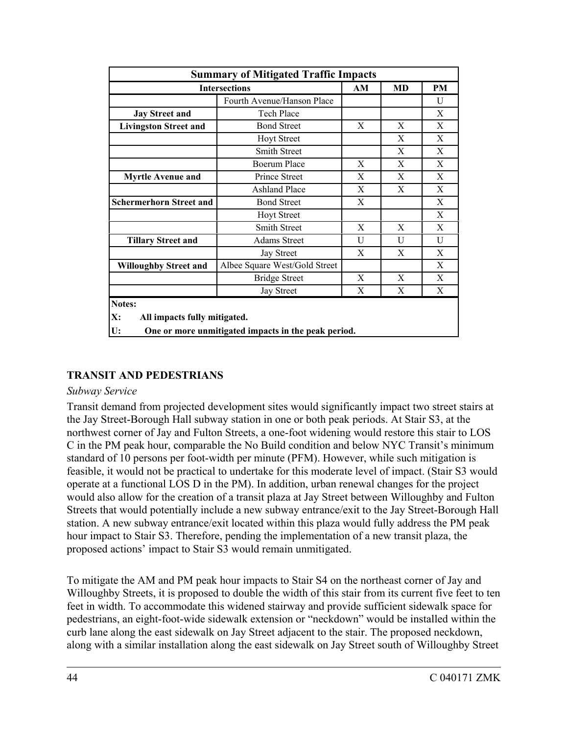| <b>Summary of Mitigated Traffic Impacts</b>        |                                                     |    |    |    |  |
|----------------------------------------------------|-----------------------------------------------------|----|----|----|--|
| <b>Intersections</b>                               |                                                     | AM | MD | PM |  |
|                                                    | Fourth Avenue/Hanson Place                          |    |    | U  |  |
| <b>Jay Street and</b>                              | <b>Tech Place</b>                                   |    |    | X  |  |
| <b>Livingston Street and</b>                       | <b>Bond Street</b>                                  | X  | X  | X  |  |
|                                                    | <b>Hoyt Street</b>                                  |    | X  | X  |  |
|                                                    | <b>Smith Street</b>                                 |    | X  | X  |  |
|                                                    | <b>Boerum Place</b>                                 | X  | X  | X  |  |
| <b>Myrtle Avenue and</b>                           | <b>Prince Street</b>                                | X  | X  | X  |  |
|                                                    | <b>Ashland Place</b>                                | X  | X  | X  |  |
| <b>Schermerhorn Street and</b>                     | <b>Bond Street</b>                                  | X  |    | X  |  |
|                                                    | <b>Hoyt Street</b>                                  |    |    | X  |  |
|                                                    | <b>Smith Street</b>                                 | X  | X  | X  |  |
| <b>Tillary Street and</b>                          | <b>Adams Street</b>                                 | U  | U  | U  |  |
|                                                    | Jay Street                                          | X  | X  | X  |  |
| <b>Willoughby Street and</b>                       | Albee Square West/Gold Street                       |    |    | X  |  |
|                                                    | <b>Bridge Street</b>                                | X  | X  | X  |  |
|                                                    | <b>Jay Street</b>                                   | X  | X  | X  |  |
| Notes:<br>X:<br>All impacts fully mitigated.<br>U: | One or more unmitigated impacts in the peak period. |    |    |    |  |

## **TRANSIT AND PEDESTRIANS**

#### *Subway Service*

Transit demand from projected development sites would significantly impact two street stairs at the Jay Street-Borough Hall subway station in one or both peak periods. At Stair S3, at the northwest corner of Jay and Fulton Streets, a one-foot widening would restore this stair to LOS C in the PM peak hour, comparable the No Build condition and below NYC Transit's minimum standard of 10 persons per foot-width per minute (PFM). However, while such mitigation is feasible, it would not be practical to undertake for this moderate level of impact. (Stair S3 would operate at a functional LOS D in the PM). In addition, urban renewal changes for the project would also allow for the creation of a transit plaza at Jay Street between Willoughby and Fulton Streets that would potentially include a new subway entrance/exit to the Jay Street-Borough Hall station. A new subway entrance/exit located within this plaza would fully address the PM peak hour impact to Stair S3. Therefore, pending the implementation of a new transit plaza, the proposed actions' impact to Stair S3 would remain unmitigated.

To mitigate the AM and PM peak hour impacts to Stair S4 on the northeast corner of Jay and Willoughby Streets, it is proposed to double the width of this stair from its current five feet to ten feet in width. To accommodate this widened stairway and provide sufficient sidewalk space for pedestrians, an eight-foot-wide sidewalk extension or "neckdown" would be installed within the curb lane along the east sidewalk on Jay Street adjacent to the stair. The proposed neckdown, along with a similar installation along the east sidewalk on Jay Street south of Willoughby Street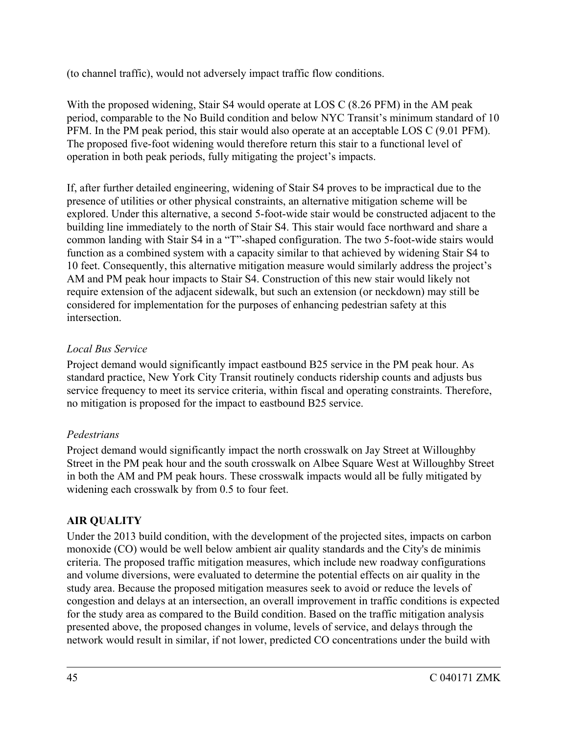(to channel traffic), would not adversely impact traffic flow conditions.

With the proposed widening, Stair S4 would operate at LOS C (8.26 PFM) in the AM peak period, comparable to the No Build condition and below NYC Transit's minimum standard of 10 PFM. In the PM peak period, this stair would also operate at an acceptable LOS C (9.01 PFM). The proposed five-foot widening would therefore return this stair to a functional level of operation in both peak periods, fully mitigating the project's impacts.

If, after further detailed engineering, widening of Stair S4 proves to be impractical due to the presence of utilities or other physical constraints, an alternative mitigation scheme will be explored. Under this alternative, a second 5-foot-wide stair would be constructed adjacent to the building line immediately to the north of Stair S4. This stair would face northward and share a common landing with Stair S4 in a "T"-shaped configuration. The two 5-foot-wide stairs would function as a combined system with a capacity similar to that achieved by widening Stair S4 to 10 feet. Consequently, this alternative mitigation measure would similarly address the project's AM and PM peak hour impacts to Stair S4. Construction of this new stair would likely not require extension of the adjacent sidewalk, but such an extension (or neckdown) may still be considered for implementation for the purposes of enhancing pedestrian safety at this intersection.

## *Local Bus Service*

Project demand would significantly impact eastbound B25 service in the PM peak hour. As standard practice, New York City Transit routinely conducts ridership counts and adjusts bus service frequency to meet its service criteria, within fiscal and operating constraints. Therefore, no mitigation is proposed for the impact to eastbound B25 service.

## *Pedestrians*

Project demand would significantly impact the north crosswalk on Jay Street at Willoughby Street in the PM peak hour and the south crosswalk on Albee Square West at Willoughby Street in both the AM and PM peak hours. These crosswalk impacts would all be fully mitigated by widening each crosswalk by from 0.5 to four feet.

## **AIR QUALITY**

Under the 2013 build condition, with the development of the projected sites, impacts on carbon monoxide (CO) would be well below ambient air quality standards and the City's de minimis criteria. The proposed traffic mitigation measures, which include new roadway configurations and volume diversions, were evaluated to determine the potential effects on air quality in the study area. Because the proposed mitigation measures seek to avoid or reduce the levels of congestion and delays at an intersection, an overall improvement in traffic conditions is expected for the study area as compared to the Build condition. Based on the traffic mitigation analysis presented above, the proposed changes in volume, levels of service, and delays through the network would result in similar, if not lower, predicted CO concentrations under the build with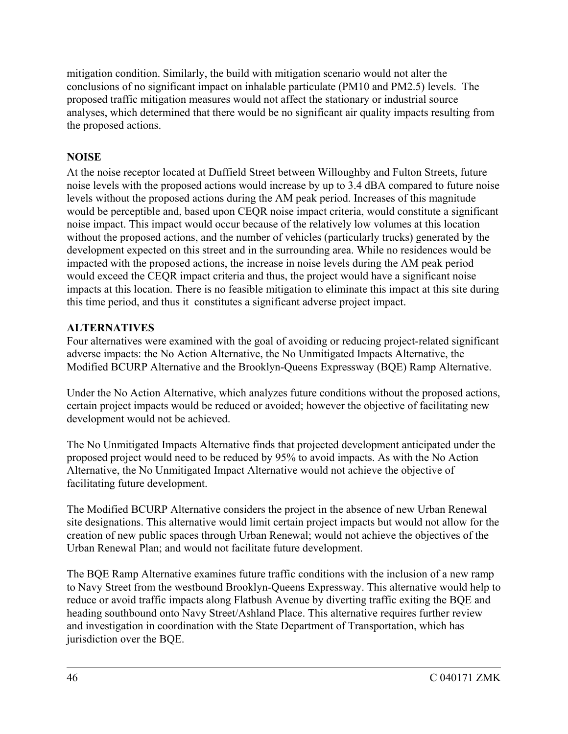mitigation condition. Similarly, the build with mitigation scenario would not alter the conclusions of no significant impact on inhalable particulate (PM10 and PM2.5) levels. The proposed traffic mitigation measures would not affect the stationary or industrial source analyses, which determined that there would be no significant air quality impacts resulting from the proposed actions.

## **NOISE**

At the noise receptor located at Duffield Street between Willoughby and Fulton Streets, future noise levels with the proposed actions would increase by up to 3.4 dBA compared to future noise levels without the proposed actions during the AM peak period. Increases of this magnitude would be perceptible and, based upon CEQR noise impact criteria, would constitute a significant noise impact. This impact would occur because of the relatively low volumes at this location without the proposed actions, and the number of vehicles (particularly trucks) generated by the development expected on this street and in the surrounding area. While no residences would be impacted with the proposed actions, the increase in noise levels during the AM peak period would exceed the CEQR impact criteria and thus, the project would have a significant noise impacts at this location. There is no feasible mitigation to eliminate this impact at this site during this time period, and thus it constitutes a significant adverse project impact.

## **ALTERNATIVES**

Four alternatives were examined with the goal of avoiding or reducing project-related significant adverse impacts: the No Action Alternative, the No Unmitigated Impacts Alternative, the Modified BCURP Alternative and the Brooklyn-Queens Expressway (BQE) Ramp Alternative.

Under the No Action Alternative, which analyzes future conditions without the proposed actions, certain project impacts would be reduced or avoided; however the objective of facilitating new development would not be achieved.

The No Unmitigated Impacts Alternative finds that projected development anticipated under the proposed project would need to be reduced by 95% to avoid impacts. As with the No Action Alternative, the No Unmitigated Impact Alternative would not achieve the objective of facilitating future development.

The Modified BCURP Alternative considers the project in the absence of new Urban Renewal site designations. This alternative would limit certain project impacts but would not allow for the creation of new public spaces through Urban Renewal; would not achieve the objectives of the Urban Renewal Plan; and would not facilitate future development.

The BQE Ramp Alternative examines future traffic conditions with the inclusion of a new ramp to Navy Street from the westbound Brooklyn-Queens Expressway. This alternative would help to reduce or avoid traffic impacts along Flatbush Avenue by diverting traffic exiting the BQE and heading southbound onto Navy Street/Ashland Place. This alternative requires further review and investigation in coordination with the State Department of Transportation, which has jurisdiction over the BQE.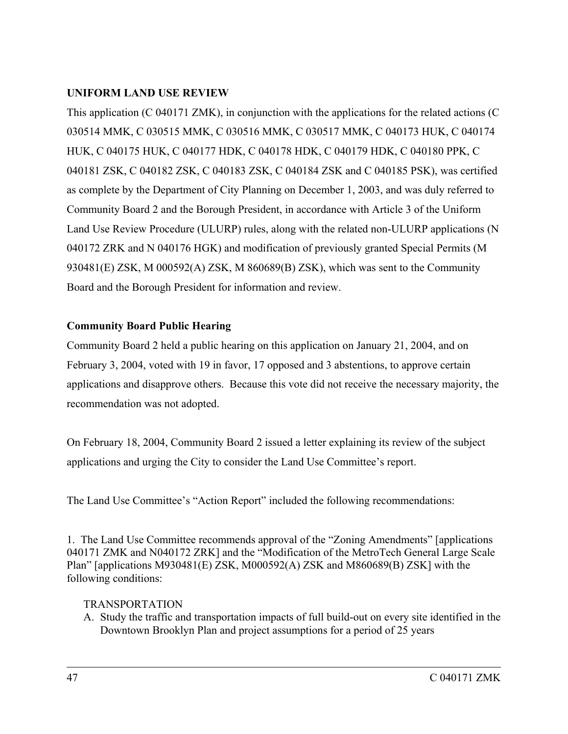## **UNIFORM LAND USE REVIEW**

This application (C 040171 ZMK), in conjunction with the applications for the related actions (C 030514 MMK, C 030515 MMK, C 030516 MMK, C 030517 MMK, C 040173 HUK, C 040174 HUK, C 040175 HUK, C 040177 HDK, C 040178 HDK, C 040179 HDK, C 040180 PPK, C 040181 ZSK, C 040182 ZSK, C 040183 ZSK, C 040184 ZSK and C 040185 PSK), was certified as complete by the Department of City Planning on December 1, 2003, and was duly referred to Community Board 2 and the Borough President, in accordance with Article 3 of the Uniform Land Use Review Procedure (ULURP) rules, along with the related non-ULURP applications (N 040172 ZRK and N 040176 HGK) and modification of previously granted Special Permits (M 930481(E) ZSK, M 000592(A) ZSK, M 860689(B) ZSK), which was sent to the Community Board and the Borough President for information and review.

## **Community Board Public Hearing**

Community Board 2 held a public hearing on this application on January 21, 2004, and on February 3, 2004, voted with 19 in favor, 17 opposed and 3 abstentions, to approve certain applications and disapprove others. Because this vote did not receive the necessary majority, the recommendation was not adopted.

On February 18, 2004, Community Board 2 issued a letter explaining its review of the subject applications and urging the City to consider the Land Use Committee's report.

The Land Use Committee's "Action Report" included the following recommendations:

1. The Land Use Committee recommends approval of the "Zoning Amendments" [applications 040171 ZMK and N040172 ZRK] and the "Modification of the MetroTech General Large Scale Plan" [applications M930481(E) ZSK, M000592(A) ZSK and M860689(B) ZSK] with the following conditions:

#### TRANSPORTATION

A. Study the traffic and transportation impacts of full build-out on every site identified in the Downtown Brooklyn Plan and project assumptions for a period of 25 years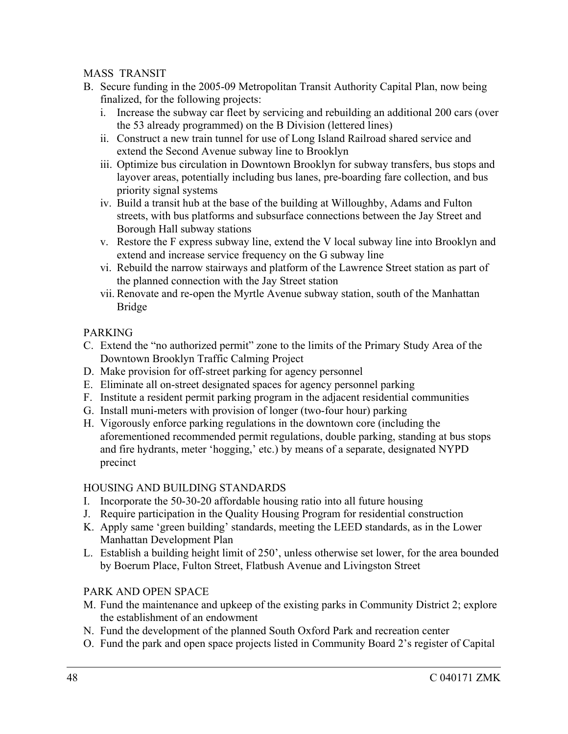#### MASS TRANSIT

- B. Secure funding in the 2005-09 Metropolitan Transit Authority Capital Plan, now being finalized, for the following projects:
	- i. Increase the subway car fleet by servicing and rebuilding an additional 200 cars (over the 53 already programmed) on the B Division (lettered lines)
	- ii. Construct a new train tunnel for use of Long Island Railroad shared service and extend the Second Avenue subway line to Brooklyn
	- iii. Optimize bus circulation in Downtown Brooklyn for subway transfers, bus stops and layover areas, potentially including bus lanes, pre-boarding fare collection, and bus priority signal systems
	- iv. Build a transit hub at the base of the building at Willoughby, Adams and Fulton streets, with bus platforms and subsurface connections between the Jay Street and Borough Hall subway stations
	- v. Restore the F express subway line, extend the V local subway line into Brooklyn and extend and increase service frequency on the G subway line
	- vi. Rebuild the narrow stairways and platform of the Lawrence Street station as part of the planned connection with the Jay Street station
	- vii. Renovate and re-open the Myrtle Avenue subway station, south of the Manhattan Bridge

#### PARKING

- C. Extend the "no authorized permit" zone to the limits of the Primary Study Area of the Downtown Brooklyn Traffic Calming Project
- D. Make provision for off-street parking for agency personnel
- E. Eliminate all on-street designated spaces for agency personnel parking
- F. Institute a resident permit parking program in the adjacent residential communities
- G. Install muni-meters with provision of longer (two-four hour) parking
- H. Vigorously enforce parking regulations in the downtown core (including the aforementioned recommended permit regulations, double parking, standing at bus stops and fire hydrants, meter 'hogging,' etc.) by means of a separate, designated NYPD precinct

#### HOUSING AND BUILDING STANDARDS

- I. Incorporate the 50-30-20 affordable housing ratio into all future housing
- J. Require participation in the Quality Housing Program for residential construction
- K. Apply same 'green building' standards, meeting the LEED standards, as in the Lower Manhattan Development Plan
- L. Establish a building height limit of 250', unless otherwise set lower, for the area bounded by Boerum Place, Fulton Street, Flatbush Avenue and Livingston Street

## PARK AND OPEN SPACE

- M. Fund the maintenance and upkeep of the existing parks in Community District 2; explore the establishment of an endowment
- N. Fund the development of the planned South Oxford Park and recreation center
- O. Fund the park and open space projects listed in Community Board 2's register of Capital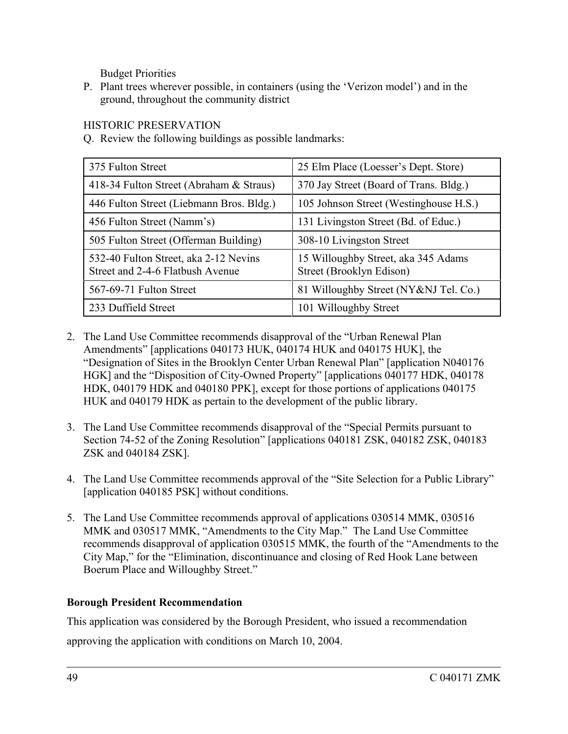Budget Priorities

P. Plant trees wherever possible, in containers (using the 'Verizon model') and in the ground, throughout the community district

#### HISTORIC PRESERVATION

Q. Review the following buildings as possible landmarks:

| 375 Fulton Street                                                         | 25 Elm Place (Loesser's Dept. Store)                            |  |  |
|---------------------------------------------------------------------------|-----------------------------------------------------------------|--|--|
| 418-34 Fulton Street (Abraham & Straus)                                   | 370 Jay Street (Board of Trans. Bldg.)                          |  |  |
| 446 Fulton Street (Liebmann Bros. Bldg.)                                  | 105 Johnson Street (Westinghouse H.S.)                          |  |  |
| 456 Fulton Street (Namm's)                                                | 131 Livingston Street (Bd. of Educ.)                            |  |  |
| 505 Fulton Street (Offerman Building)                                     | 308-10 Livingston Street                                        |  |  |
| 532-40 Fulton Street, aka 2-12 Nevins<br>Street and 2-4-6 Flatbush Avenue | 15 Willoughby Street, aka 345 Adams<br>Street (Brooklyn Edison) |  |  |
| 567-69-71 Fulton Street                                                   | 81 Willoughby Street (NY&NJ Tel. Co.)                           |  |  |
| 233 Duffield Street                                                       | 101 Willoughby Street                                           |  |  |

- 2. The Land Use Committee recommends disapproval of the "Urban Renewal Plan Amendments" [applications 040173 HUK, 040174 HUK and 040175 HUK], the "Designation of Sites in the Brooklyn Center Urban Renewal Plan" [application N040176 HGK] and the "Disposition of City-Owned Property" [applications 040177 HDK, 040178 HDK, 040179 HDK and 040180 PPK], except for those portions of applications 040175 HUK and 040179 HDK as pertain to the development of the public library.
- 3. The Land Use Committee recommends disapproval of the "Special Permits pursuant to Section 74-52 of the Zoning Resolution" [applications 040181 ZSK, 040182 ZSK, 040183 ZSK and 040184 ZSK].
- 4. The Land Use Committee recommends approval of the "Site Selection for a Public Library" [application 040185 PSK] without conditions.
- 5. The Land Use Committee recommends approval of applications 030514 MMK, 030516 MMK and 030517 MMK, "Amendments to the City Map." The Land Use Committee recommends disapproval of application 030515 MMK, the fourth of the "Amendments to the City Map," for the "Elimination, discontinuance and closing of Red Hook Lane between Boerum Place and Willoughby Street."

## **Borough President Recommendation**

This application was considered by the Borough President, who issued a recommendation approving the application with conditions on March 10, 2004.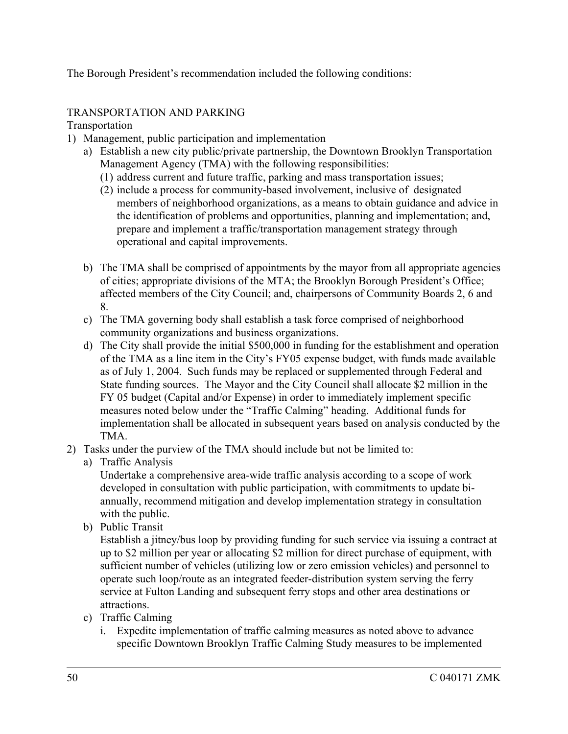The Borough President's recommendation included the following conditions:

## TRANSPORTATION AND PARKING

Transportation

- 1) Management, public participation and implementation
	- a) Establish a new city public/private partnership, the Downtown Brooklyn Transportation Management Agency (TMA) with the following responsibilities:
		- (1) address current and future traffic, parking and mass transportation issues;
		- (2) include a process for community-based involvement, inclusive of designated members of neighborhood organizations, as a means to obtain guidance and advice in the identification of problems and opportunities, planning and implementation; and, prepare and implement a traffic/transportation management strategy through operational and capital improvements.
	- b) The TMA shall be comprised of appointments by the mayor from all appropriate agencies of cities; appropriate divisions of the MTA; the Brooklyn Borough President's Office; affected members of the City Council; and, chairpersons of Community Boards 2, 6 and 8.
	- c) The TMA governing body shall establish a task force comprised of neighborhood community organizations and business organizations.
	- d) The City shall provide the initial \$500,000 in funding for the establishment and operation of the TMA as a line item in the City's FY05 expense budget, with funds made available as of July 1, 2004. Such funds may be replaced or supplemented through Federal and State funding sources. The Mayor and the City Council shall allocate \$2 million in the FY 05 budget (Capital and/or Expense) in order to immediately implement specific measures noted below under the "Traffic Calming" heading. Additional funds for implementation shall be allocated in subsequent years based on analysis conducted by the TMA.
- 2) Tasks under the purview of the TMA should include but not be limited to:
	- a) Traffic Analysis

Undertake a comprehensive area-wide traffic analysis according to a scope of work developed in consultation with public participation, with commitments to update biannually, recommend mitigation and develop implementation strategy in consultation with the public.

b) Public Transit

Establish a jitney/bus loop by providing funding for such service via issuing a contract at up to \$2 million per year or allocating \$2 million for direct purchase of equipment, with sufficient number of vehicles (utilizing low or zero emission vehicles) and personnel to operate such loop/route as an integrated feeder-distribution system serving the ferry service at Fulton Landing and subsequent ferry stops and other area destinations or attractions.

- c) Traffic Calming
	- i. Expedite implementation of traffic calming measures as noted above to advance specific Downtown Brooklyn Traffic Calming Study measures to be implemented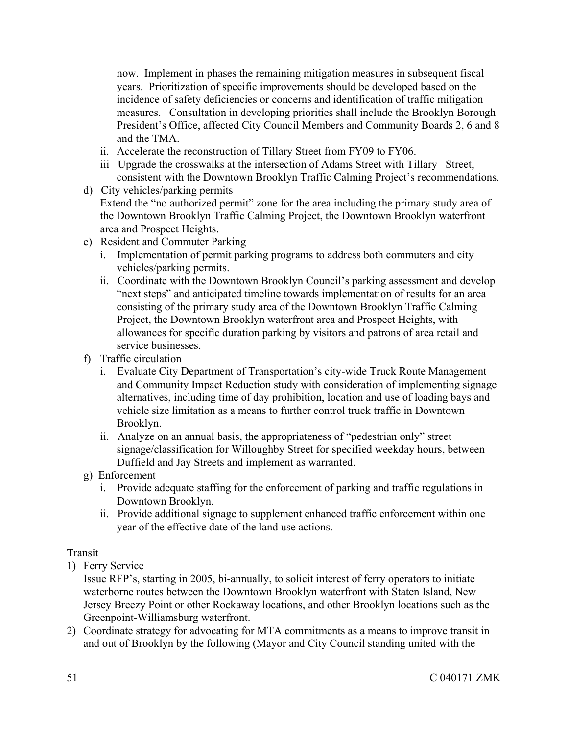now. Implement in phases the remaining mitigation measures in subsequent fiscal years. Prioritization of specific improvements should be developed based on the incidence of safety deficiencies or concerns and identification of traffic mitigation measures. Consultation in developing priorities shall include the Brooklyn Borough President's Office, affected City Council Members and Community Boards 2, 6 and 8 and the TMA.

- ii. Accelerate the reconstruction of Tillary Street from FY09 to FY06.
- iii Upgrade the crosswalks at the intersection of Adams Street with Tillary Street, consistent with the Downtown Brooklyn Traffic Calming Project's recommendations.
- d) City vehicles/parking permits Extend the "no authorized permit" zone for the area including the primary study area of the Downtown Brooklyn Traffic Calming Project, the Downtown Brooklyn waterfront area and Prospect Heights.
- e) Resident and Commuter Parking
	- i. Implementation of permit parking programs to address both commuters and city vehicles/parking permits.
	- ii. Coordinate with the Downtown Brooklyn Council's parking assessment and develop "next steps" and anticipated timeline towards implementation of results for an area consisting of the primary study area of the Downtown Brooklyn Traffic Calming Project, the Downtown Brooklyn waterfront area and Prospect Heights, with allowances for specific duration parking by visitors and patrons of area retail and service businesses.
- f) Traffic circulation
	- i. Evaluate City Department of Transportation's city-wide Truck Route Management and Community Impact Reduction study with consideration of implementing signage alternatives, including time of day prohibition, location and use of loading bays and vehicle size limitation as a means to further control truck traffic in Downtown Brooklyn.
	- ii. Analyze on an annual basis, the appropriateness of "pedestrian only" street signage/classification for Willoughby Street for specified weekday hours, between Duffield and Jay Streets and implement as warranted.
- g) Enforcement
	- i. Provide adequate staffing for the enforcement of parking and traffic regulations in Downtown Brooklyn.
	- ii. Provide additional signage to supplement enhanced traffic enforcement within one year of the effective date of the land use actions.

## Transit

1) Ferry Service

Issue RFP's, starting in 2005, bi-annually, to solicit interest of ferry operators to initiate waterborne routes between the Downtown Brooklyn waterfront with Staten Island, New Jersey Breezy Point or other Rockaway locations, and other Brooklyn locations such as the Greenpoint-Williamsburg waterfront.

2) Coordinate strategy for advocating for MTA commitments as a means to improve transit in and out of Brooklyn by the following (Mayor and City Council standing united with the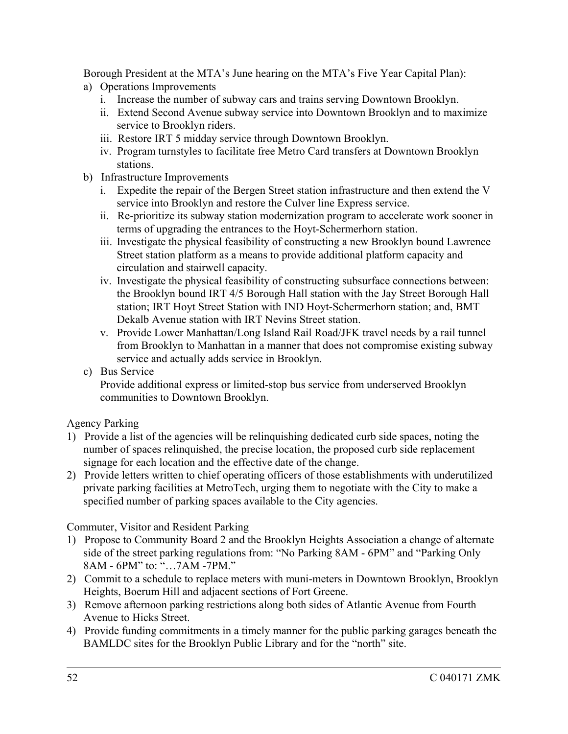Borough President at the MTA's June hearing on the MTA's Five Year Capital Plan):

- a) Operations Improvements
	- i. Increase the number of subway cars and trains serving Downtown Brooklyn.
	- ii. Extend Second Avenue subway service into Downtown Brooklyn and to maximize service to Brooklyn riders.
	- iii. Restore IRT 5 midday service through Downtown Brooklyn.
	- iv. Program turnstyles to facilitate free Metro Card transfers at Downtown Brooklyn stations.
- b) Infrastructure Improvements
	- i. Expedite the repair of the Bergen Street station infrastructure and then extend the V service into Brooklyn and restore the Culver line Express service.
	- ii. Re-prioritize its subway station modernization program to accelerate work sooner in terms of upgrading the entrances to the Hoyt-Schermerhorn station.
	- iii. Investigate the physical feasibility of constructing a new Brooklyn bound Lawrence Street station platform as a means to provide additional platform capacity and circulation and stairwell capacity.
	- iv. Investigate the physical feasibility of constructing subsurface connections between: the Brooklyn bound IRT 4/5 Borough Hall station with the Jay Street Borough Hall station; IRT Hoyt Street Station with IND Hoyt-Schermerhorn station; and, BMT Dekalb Avenue station with IRT Nevins Street station.
	- v. Provide Lower Manhattan/Long Island Rail Road/JFK travel needs by a rail tunnel from Brooklyn to Manhattan in a manner that does not compromise existing subway service and actually adds service in Brooklyn.
- c) Bus Service

Provide additional express or limited-stop bus service from underserved Brooklyn communities to Downtown Brooklyn.

## Agency Parking

- 1) Provide a list of the agencies will be relinquishing dedicated curb side spaces, noting the number of spaces relinquished, the precise location, the proposed curb side replacement signage for each location and the effective date of the change.
- 2) Provide letters written to chief operating officers of those establishments with underutilized private parking facilities at MetroTech, urging them to negotiate with the City to make a specified number of parking spaces available to the City agencies.

Commuter, Visitor and Resident Parking

- 1) Propose to Community Board 2 and the Brooklyn Heights Association a change of alternate side of the street parking regulations from: "No Parking 8AM - 6PM" and "Parking Only 8AM - 6PM" to: "…7AM -7PM."
- 2) Commit to a schedule to replace meters with muni-meters in Downtown Brooklyn, Brooklyn Heights, Boerum Hill and adjacent sections of Fort Greene.
- 3) Remove afternoon parking restrictions along both sides of Atlantic Avenue from Fourth Avenue to Hicks Street.
- 4) Provide funding commitments in a timely manner for the public parking garages beneath the BAMLDC sites for the Brooklyn Public Library and for the "north" site.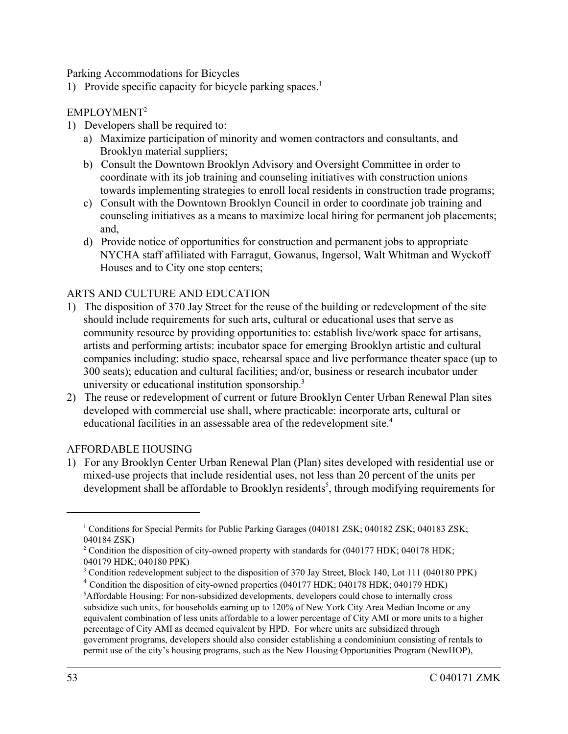Parking Accommodations for Bicycles

1) Provide specific capacity for bicycle parking spaces.<sup>1</sup>

#### EMPLOYMENT2

- 1) Developers shall be required to:
	- a) Maximize participation of minority and women contractors and consultants, and Brooklyn material suppliers;
	- b) Consult the Downtown Brooklyn Advisory and Oversight Committee in order to coordinate with its job training and counseling initiatives with construction unions towards implementing strategies to enroll local residents in construction trade programs;
	- c) Consult with the Downtown Brooklyn Council in order to coordinate job training and counseling initiatives as a means to maximize local hiring for permanent job placements; and,
	- d) Provide notice of opportunities for construction and permanent jobs to appropriate NYCHA staff affiliated with Farragut, Gowanus, Ingersol, Walt Whitman and Wyckoff Houses and to City one stop centers;

#### ARTS AND CULTURE AND EDUCATION

- 1) The disposition of 370 Jay Street for the reuse of the building or redevelopment of the site should include requirements for such arts, cultural or educational uses that serve as community resource by providing opportunities to: establish live/work space for artisans, artists and performing artists: incubator space for emerging Brooklyn artistic and cultural companies including: studio space, rehearsal space and live performance theater space (up to 300 seats); education and cultural facilities; and/or, business or research incubator under university or educational institution sponsorship.<sup>3</sup>
- 2) The reuse or redevelopment of current or future Brooklyn Center Urban Renewal Plan sites developed with commercial use shall, where practicable: incorporate arts, cultural or educational facilities in an assessable area of the redevelopment site.<sup>4</sup>

#### AFFORDABLE HOUSING

1) For any Brooklyn Center Urban Renewal Plan (Plan) sites developed with residential use or mixed-use projects that include residential uses, not less than 20 percent of the units per development shall be affordable to Brooklyn residents<sup>5</sup>, through modifying requirements for

<sup>&</sup>lt;sup>1</sup> Conditions for Special Permits for Public Parking Garages (040181 ZSK; 040182 ZSK; 040183 ZSK; 040184 ZSK)

<sup>&</sup>lt;sup>2</sup> Condition the disposition of city-owned property with standards for (040177 HDK; 040178 HDK; 040179 HDK; 040180 PPK)

<sup>&</sup>lt;sup>3</sup> Condition redevelopment subject to the disposition of 370 Jay Street, Block 140, Lot 111 (040180 PPK)

<sup>&</sup>lt;sup>4</sup> Condition the disposition of city-owned properties (040177 HDK; 040178 HDK; 040179 HDK) 5 Affordable Housing: For non-subsidized developments, developers could chose to internally cross subsidize such units, for households earning up to 120% of New York City Area Median Income or any equivalent combination of less units affordable to a lower percentage of City AMI or more units to a higher percentage of City AMI as deemed equivalent by HPD. For where units are subsidized through government programs, developers should also consider establishing a condominium consisting of rentals to permit use of the city's housing programs, such as the New Housing Opportunities Program (NewHOP),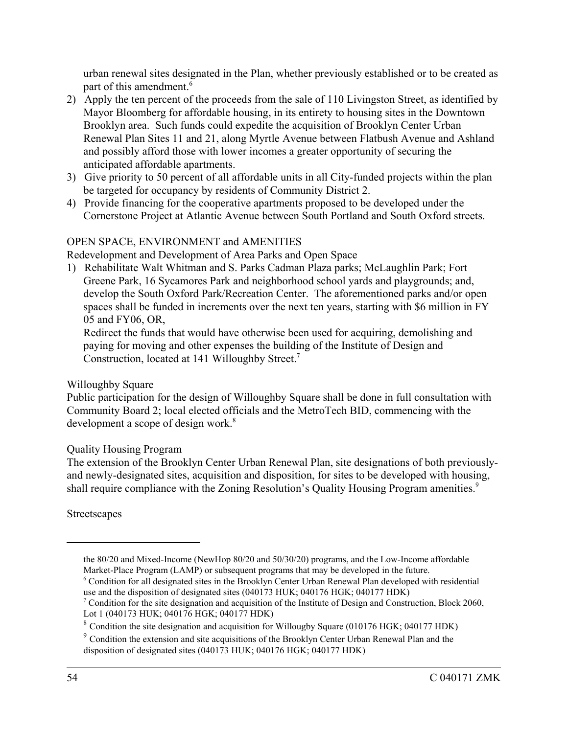urban renewal sites designated in the Plan, whether previously established or to be created as part of this amendment.<sup>6</sup>

- 2) Apply the ten percent of the proceeds from the sale of 110 Livingston Street, as identified by Mayor Bloomberg for affordable housing, in its entirety to housing sites in the Downtown Brooklyn area. Such funds could expedite the acquisition of Brooklyn Center Urban Renewal Plan Sites 11 and 21, along Myrtle Avenue between Flatbush Avenue and Ashland and possibly afford those with lower incomes a greater opportunity of securing the anticipated affordable apartments.
- 3) Give priority to 50 percent of all affordable units in all City-funded projects within the plan be targeted for occupancy by residents of Community District 2.
- 4) Provide financing for the cooperative apartments proposed to be developed under the Cornerstone Project at Atlantic Avenue between South Portland and South Oxford streets.

## OPEN SPACE, ENVIRONMENT and AMENITIES

Redevelopment and Development of Area Parks and Open Space

1) Rehabilitate Walt Whitman and S. Parks Cadman Plaza parks; McLaughlin Park; Fort Greene Park, 16 Sycamores Park and neighborhood school yards and playgrounds; and, develop the South Oxford Park/Recreation Center. The aforementioned parks and/or open spaces shall be funded in increments over the next ten years, starting with \$6 million in FY 05 and FY06, OR,

Redirect the funds that would have otherwise been used for acquiring, demolishing and paying for moving and other expenses the building of the Institute of Design and Construction, located at 141 Willoughby Street.<sup>7</sup>

#### Willoughby Square

Public participation for the design of Willoughby Square shall be done in full consultation with Community Board 2; local elected officials and the MetroTech BID, commencing with the development a scope of design work.<sup>8</sup>

#### Quality Housing Program

The extension of the Brooklyn Center Urban Renewal Plan, site designations of both previouslyand newly-designated sites, acquisition and disposition, for sites to be developed with housing, shall require compliance with the Zoning Resolution's Quality Housing Program amenities.<sup>9</sup>

Streetscapes

- the 80/20 and Mixed-Income (NewHop 80/20 and 50/30/20) programs, and the Low-Income affordable Market-Place Program (LAMP) or subsequent programs that may be developed in the future.
- <sup>6</sup> Condition for all designated sites in the Brooklyn Center Urban Renewal Plan developed with residential use and the disposition of designated sites (040173 HUK; 040176 HGK; 040177 HDK)

<sup>&</sup>lt;sup>7</sup> Condition for the site designation and acquisition of the Institute of Design and Construction, Block 2060, Lot 1 (040173 HUK; 040176 HGK; 040177 HDK)

<sup>&</sup>lt;sup>8</sup> Condition the site designation and acquisition for Willougby Square (010176 HGK; 040177 HDK)

<sup>&</sup>lt;sup>9</sup> Condition the extension and site acquisitions of the Brooklyn Center Urban Renewal Plan and the disposition of designated sites (040173 HUK; 040176 HGK; 040177 HDK)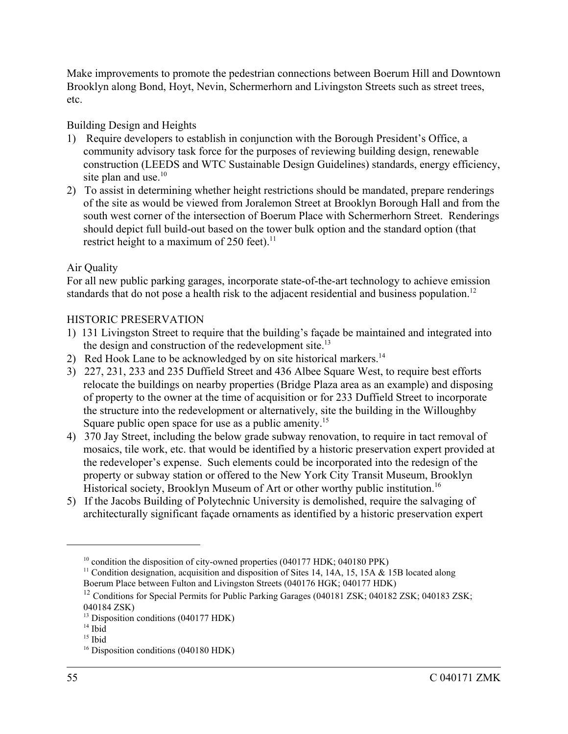Make improvements to promote the pedestrian connections between Boerum Hill and Downtown Brooklyn along Bond, Hoyt, Nevin, Schermerhorn and Livingston Streets such as street trees, etc.

## Building Design and Heights

- 1) Require developers to establish in conjunction with the Borough President's Office, a community advisory task force for the purposes of reviewing building design, renewable construction (LEEDS and WTC Sustainable Design Guidelines) standards, energy efficiency, site plan and use.<sup>10</sup>
- 2) To assist in determining whether height restrictions should be mandated, prepare renderings of the site as would be viewed from Joralemon Street at Brooklyn Borough Hall and from the south west corner of the intersection of Boerum Place with Schermerhorn Street. Renderings should depict full build-out based on the tower bulk option and the standard option (that restrict height to a maximum of 250 feet). $^{11}$

## Air Quality

For all new public parking garages, incorporate state-of-the-art technology to achieve emission standards that do not pose a health risk to the adjacent residential and business population.<sup>12</sup>

## HISTORIC PRESERVATION

- 1) 131 Livingston Street to require that the building's façade be maintained and integrated into the design and construction of the redevelopment site.<sup>13</sup>
- 2) Red Hook Lane to be acknowledged by on site historical markers.<sup>14</sup>
- 3) 227, 231, 233 and 235 Duffield Street and 436 Albee Square West, to require best efforts relocate the buildings on nearby properties (Bridge Plaza area as an example) and disposing of property to the owner at the time of acquisition or for 233 Duffield Street to incorporate the structure into the redevelopment or alternatively, site the building in the Willoughby Square public open space for use as a public amenity.<sup>15</sup>
- 4) 370 Jay Street, including the below grade subway renovation, to require in tact removal of mosaics, tile work, etc. that would be identified by a historic preservation expert provided at the redeveloper's expense. Such elements could be incorporated into the redesign of the property or subway station or offered to the New York City Transit Museum, Brooklyn Historical society, Brooklyn Museum of Art or other worthy public institution.<sup>16</sup>
- 5) If the Jacobs Building of Polytechnic University is demolished, require the salvaging of architecturally significant façade ornaments as identified by a historic preservation expert

 $10$  condition the disposition of city-owned properties (040177 HDK; 040180 PPK)

<sup>&</sup>lt;sup>11</sup> Condition designation, acquisition and disposition of Sites 14, 14A, 15, 15A  $\&$  15B located along Boerum Place between Fulton and Livingston Streets (040176 HGK; 040177 HDK)

<sup>&</sup>lt;sup>12</sup> Conditions for Special Permits for Public Parking Garages (040181 ZSK; 040182 ZSK; 040183 ZSK; 040184 ZSK)

 $^{13}$  Disposition conditions (040177 HDK)

 $14$  Ibid

 $15$  Ibid

<sup>&</sup>lt;sup>16</sup> Disposition conditions (040180 HDK)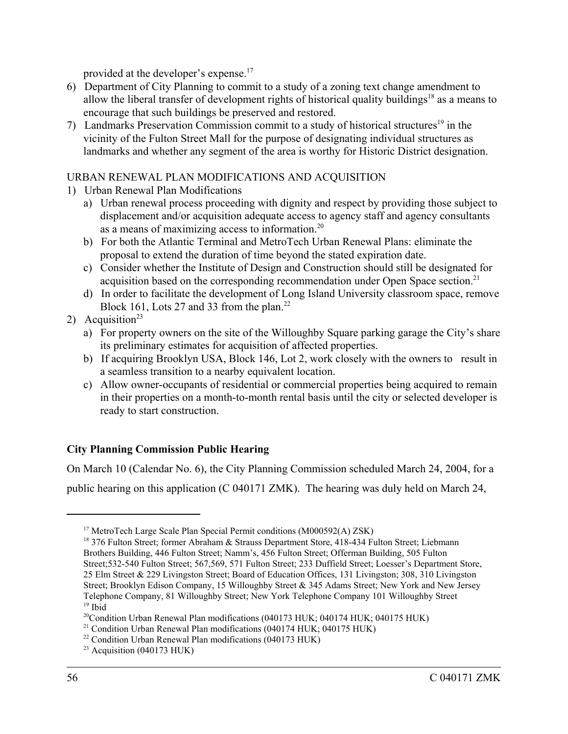provided at the developer's expense.17

- 6) Department of City Planning to commit to a study of a zoning text change amendment to allow the liberal transfer of development rights of historical quality buildings<sup>18</sup> as a means to encourage that such buildings be preserved and restored.
- 7) Landmarks Preservation Commission commit to a study of historical structures<sup>19</sup> in the vicinity of the Fulton Street Mall for the purpose of designating individual structures as landmarks and whether any segment of the area is worthy for Historic District designation.

## URBAN RENEWAL PLAN MODIFICATIONS AND ACQUISITION

- 1) Urban Renewal Plan Modifications
	- a) Urban renewal process proceeding with dignity and respect by providing those subject to displacement and/or acquisition adequate access to agency staff and agency consultants as a means of maximizing access to information.20
	- b) For both the Atlantic Terminal and MetroTech Urban Renewal Plans: eliminate the proposal to extend the duration of time beyond the stated expiration date.
	- c) Consider whether the Institute of Design and Construction should still be designated for acquisition based on the corresponding recommendation under Open Space section.<sup>21</sup>
	- d) In order to facilitate the development of Long Island University classroom space, remove Block 161, Lots 27 and 33 from the plan.<sup>22</sup>

## 2) Acquisition<sup>23</sup>

- a) For property owners on the site of the Willoughby Square parking garage the City's share its preliminary estimates for acquisition of affected properties.
- b) If acquiring Brooklyn USA, Block 146, Lot 2, work closely with the owners to result in a seamless transition to a nearby equivalent location.
- c) Allow owner-occupants of residential or commercial properties being acquired to remain in their properties on a month-to-month rental basis until the city or selected developer is ready to start construction.

## **City Planning Commission Public Hearing**

On March 10 (Calendar No. 6), the City Planning Commission scheduled March 24, 2004, for a public hearing on this application (C 040171 ZMK). The hearing was duly held on March 24,

<sup>17</sup> MetroTech Large Scale Plan Special Permit conditions (M000592(A) ZSK)

<sup>&</sup>lt;sup>18</sup> 376 Fulton Street; former Abraham & Strauss Department Store, 418-434 Fulton Street; Liebmann Brothers Building, 446 Fulton Street; Namm's, 456 Fulton Street; Offerman Building, 505 Fulton Street;532-540 Fulton Street; 567,569, 571 Fulton Street; 233 Duffield Street; Loesser's Department Store, 25 Elm Street & 229 Livingston Street; Board of Education Offices, 131 Livingston; 308, 310 Livingston Street; Brooklyn Edison Company, 15 Willoughby Street & 345 Adams Street; New York and New Jersey Telephone Company, 81 Willoughby Street; New York Telephone Company 101 Willoughby Street 19 Ibid

 $^{20}$ Condition Urban Renewal Plan modifications (040173 HUK; 040174 HUK; 040175 HUK)

<sup>&</sup>lt;sup>21</sup> Condition Urban Renewal Plan modifications (040174 HUK; 040175 HUK)

<sup>22</sup> Condition Urban Renewal Plan modifications (040173 HUK)

 $23$  Acquisition (040173 HUK)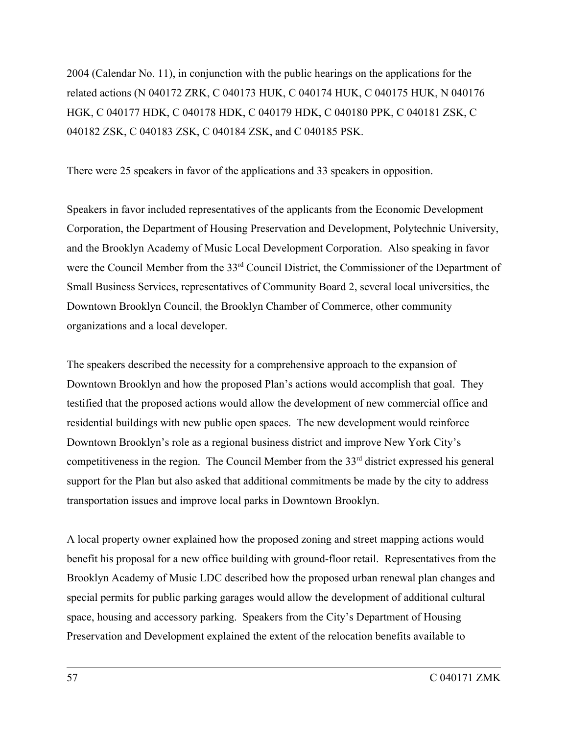2004 (Calendar No. 11), in conjunction with the public hearings on the applications for the related actions (N 040172 ZRK, C 040173 HUK, C 040174 HUK, C 040175 HUK, N 040176 HGK, C 040177 HDK, C 040178 HDK, C 040179 HDK, C 040180 PPK, C 040181 ZSK, C 040182 ZSK, C 040183 ZSK, C 040184 ZSK, and C 040185 PSK.

There were 25 speakers in favor of the applications and 33 speakers in opposition.

Speakers in favor included representatives of the applicants from the Economic Development Corporation, the Department of Housing Preservation and Development, Polytechnic University, and the Brooklyn Academy of Music Local Development Corporation. Also speaking in favor were the Council Member from the 33<sup>rd</sup> Council District, the Commissioner of the Department of Small Business Services, representatives of Community Board 2, several local universities, the Downtown Brooklyn Council, the Brooklyn Chamber of Commerce, other community organizations and a local developer.

The speakers described the necessity for a comprehensive approach to the expansion of Downtown Brooklyn and how the proposed Plan's actions would accomplish that goal. They testified that the proposed actions would allow the development of new commercial office and residential buildings with new public open spaces. The new development would reinforce Downtown Brooklyn's role as a regional business district and improve New York City's competitiveness in the region. The Council Member from the 33<sup>rd</sup> district expressed his general support for the Plan but also asked that additional commitments be made by the city to address transportation issues and improve local parks in Downtown Brooklyn.

A local property owner explained how the proposed zoning and street mapping actions would benefit his proposal for a new office building with ground-floor retail. Representatives from the Brooklyn Academy of Music LDC described how the proposed urban renewal plan changes and special permits for public parking garages would allow the development of additional cultural space, housing and accessory parking. Speakers from the City's Department of Housing Preservation and Development explained the extent of the relocation benefits available to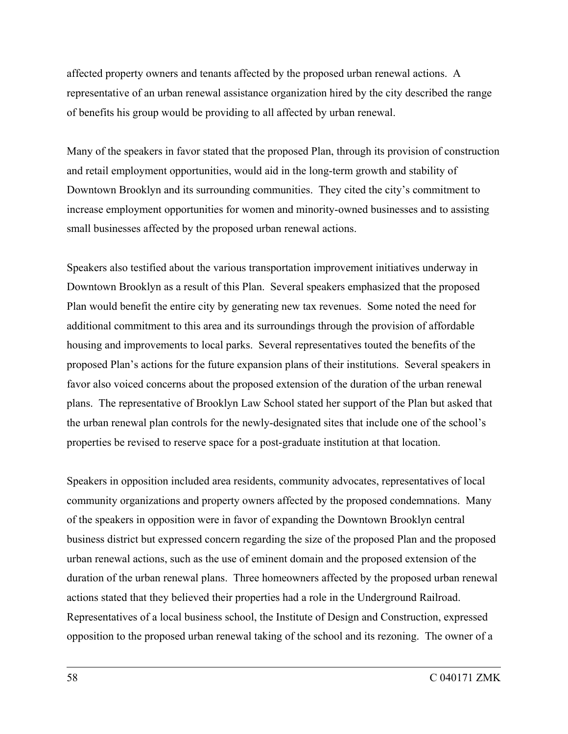affected property owners and tenants affected by the proposed urban renewal actions. A representative of an urban renewal assistance organization hired by the city described the range of benefits his group would be providing to all affected by urban renewal.

Many of the speakers in favor stated that the proposed Plan, through its provision of construction and retail employment opportunities, would aid in the long-term growth and stability of Downtown Brooklyn and its surrounding communities. They cited the city's commitment to increase employment opportunities for women and minority-owned businesses and to assisting small businesses affected by the proposed urban renewal actions.

Speakers also testified about the various transportation improvement initiatives underway in Downtown Brooklyn as a result of this Plan. Several speakers emphasized that the proposed Plan would benefit the entire city by generating new tax revenues. Some noted the need for additional commitment to this area and its surroundings through the provision of affordable housing and improvements to local parks. Several representatives touted the benefits of the proposed Plan's actions for the future expansion plans of their institutions. Several speakers in favor also voiced concerns about the proposed extension of the duration of the urban renewal plans. The representative of Brooklyn Law School stated her support of the Plan but asked that the urban renewal plan controls for the newly-designated sites that include one of the school's properties be revised to reserve space for a post-graduate institution at that location.

Speakers in opposition included area residents, community advocates, representatives of local community organizations and property owners affected by the proposed condemnations. Many of the speakers in opposition were in favor of expanding the Downtown Brooklyn central business district but expressed concern regarding the size of the proposed Plan and the proposed urban renewal actions, such as the use of eminent domain and the proposed extension of the duration of the urban renewal plans. Three homeowners affected by the proposed urban renewal actions stated that they believed their properties had a role in the Underground Railroad. Representatives of a local business school, the Institute of Design and Construction, expressed opposition to the proposed urban renewal taking of the school and its rezoning. The owner of a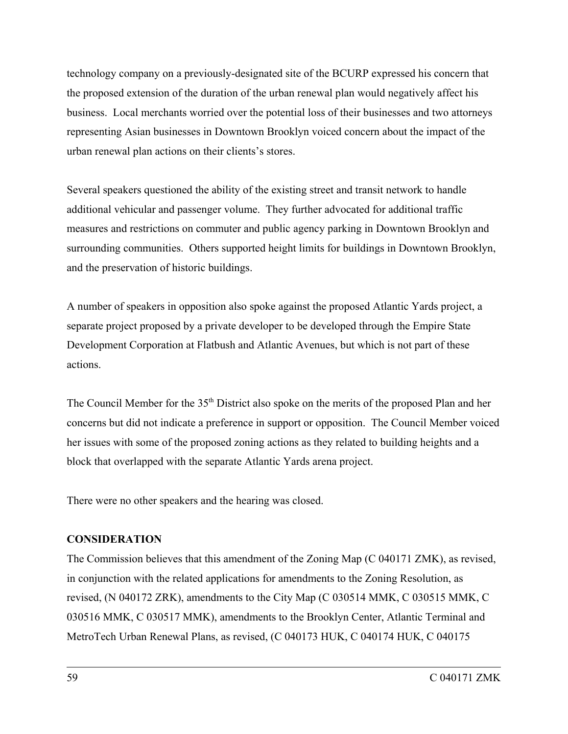technology company on a previously-designated site of the BCURP expressed his concern that the proposed extension of the duration of the urban renewal plan would negatively affect his business. Local merchants worried over the potential loss of their businesses and two attorneys representing Asian businesses in Downtown Brooklyn voiced concern about the impact of the urban renewal plan actions on their clients's stores.

Several speakers questioned the ability of the existing street and transit network to handle additional vehicular and passenger volume. They further advocated for additional traffic measures and restrictions on commuter and public agency parking in Downtown Brooklyn and surrounding communities. Others supported height limits for buildings in Downtown Brooklyn, and the preservation of historic buildings.

A number of speakers in opposition also spoke against the proposed Atlantic Yards project, a separate project proposed by a private developer to be developed through the Empire State Development Corporation at Flatbush and Atlantic Avenues, but which is not part of these actions.

The Council Member for the 35<sup>th</sup> District also spoke on the merits of the proposed Plan and her concerns but did not indicate a preference in support or opposition. The Council Member voiced her issues with some of the proposed zoning actions as they related to building heights and a block that overlapped with the separate Atlantic Yards arena project.

There were no other speakers and the hearing was closed.

## **CONSIDERATION**

The Commission believes that this amendment of the Zoning Map (C 040171 ZMK), as revised, in conjunction with the related applications for amendments to the Zoning Resolution, as revised, (N 040172 ZRK), amendments to the City Map (C 030514 MMK, C 030515 MMK, C 030516 MMK, C 030517 MMK), amendments to the Brooklyn Center, Atlantic Terminal and MetroTech Urban Renewal Plans, as revised, (C 040173 HUK, C 040174 HUK, C 040175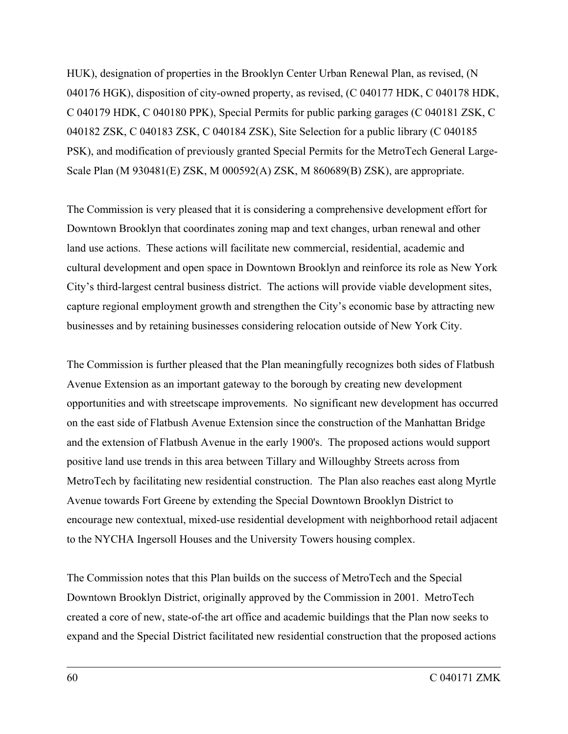HUK), designation of properties in the Brooklyn Center Urban Renewal Plan, as revised, (N 040176 HGK), disposition of city-owned property, as revised, (C 040177 HDK, C 040178 HDK, C 040179 HDK, C 040180 PPK), Special Permits for public parking garages (C 040181 ZSK, C 040182 ZSK, C 040183 ZSK, C 040184 ZSK), Site Selection for a public library (C 040185 PSK), and modification of previously granted Special Permits for the MetroTech General Large-Scale Plan (M 930481(E) ZSK, M 000592(A) ZSK, M 860689(B) ZSK), are appropriate.

The Commission is very pleased that it is considering a comprehensive development effort for Downtown Brooklyn that coordinates zoning map and text changes, urban renewal and other land use actions. These actions will facilitate new commercial, residential, academic and cultural development and open space in Downtown Brooklyn and reinforce its role as New York City's third-largest central business district. The actions will provide viable development sites, capture regional employment growth and strengthen the City's economic base by attracting new businesses and by retaining businesses considering relocation outside of New York City.

The Commission is further pleased that the Plan meaningfully recognizes both sides of Flatbush Avenue Extension as an important gateway to the borough by creating new development opportunities and with streetscape improvements. No significant new development has occurred on the east side of Flatbush Avenue Extension since the construction of the Manhattan Bridge and the extension of Flatbush Avenue in the early 1900's. The proposed actions would support positive land use trends in this area between Tillary and Willoughby Streets across from MetroTech by facilitating new residential construction. The Plan also reaches east along Myrtle Avenue towards Fort Greene by extending the Special Downtown Brooklyn District to encourage new contextual, mixed-use residential development with neighborhood retail adjacent to the NYCHA Ingersoll Houses and the University Towers housing complex.

The Commission notes that this Plan builds on the success of MetroTech and the Special Downtown Brooklyn District, originally approved by the Commission in 2001. MetroTech created a core of new, state-of-the art office and academic buildings that the Plan now seeks to expand and the Special District facilitated new residential construction that the proposed actions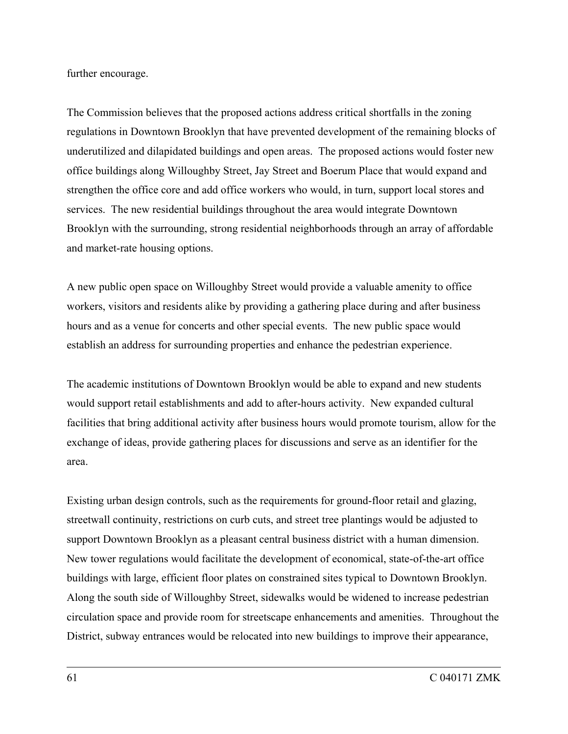further encourage.

The Commission believes that the proposed actions address critical shortfalls in the zoning regulations in Downtown Brooklyn that have prevented development of the remaining blocks of underutilized and dilapidated buildings and open areas. The proposed actions would foster new office buildings along Willoughby Street, Jay Street and Boerum Place that would expand and strengthen the office core and add office workers who would, in turn, support local stores and services. The new residential buildings throughout the area would integrate Downtown Brooklyn with the surrounding, strong residential neighborhoods through an array of affordable and market-rate housing options.

A new public open space on Willoughby Street would provide a valuable amenity to office workers, visitors and residents alike by providing a gathering place during and after business hours and as a venue for concerts and other special events. The new public space would establish an address for surrounding properties and enhance the pedestrian experience.

The academic institutions of Downtown Brooklyn would be able to expand and new students would support retail establishments and add to after-hours activity. New expanded cultural facilities that bring additional activity after business hours would promote tourism, allow for the exchange of ideas, provide gathering places for discussions and serve as an identifier for the area.

Existing urban design controls, such as the requirements for ground-floor retail and glazing, streetwall continuity, restrictions on curb cuts, and street tree plantings would be adjusted to support Downtown Brooklyn as a pleasant central business district with a human dimension. New tower regulations would facilitate the development of economical, state-of-the-art office buildings with large, efficient floor plates on constrained sites typical to Downtown Brooklyn. Along the south side of Willoughby Street, sidewalks would be widened to increase pedestrian circulation space and provide room for streetscape enhancements and amenities. Throughout the District, subway entrances would be relocated into new buildings to improve their appearance,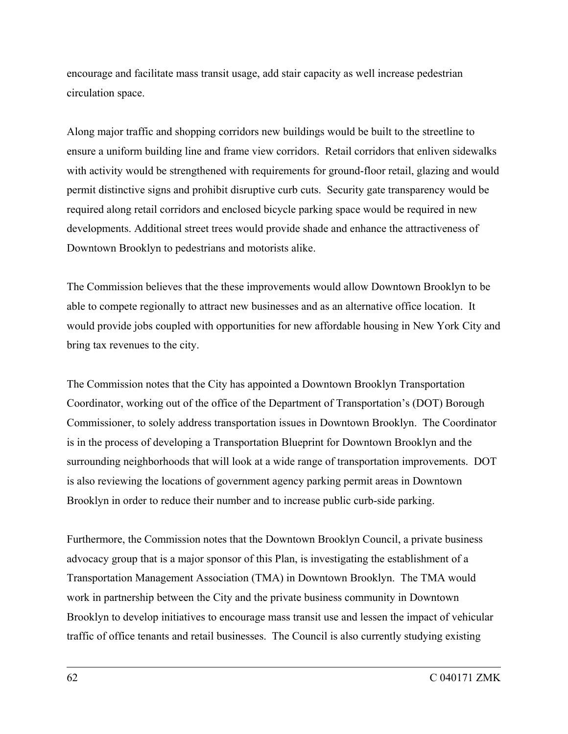encourage and facilitate mass transit usage, add stair capacity as well increase pedestrian circulation space.

Along major traffic and shopping corridors new buildings would be built to the streetline to ensure a uniform building line and frame view corridors. Retail corridors that enliven sidewalks with activity would be strengthened with requirements for ground-floor retail, glazing and would permit distinctive signs and prohibit disruptive curb cuts. Security gate transparency would be required along retail corridors and enclosed bicycle parking space would be required in new developments. Additional street trees would provide shade and enhance the attractiveness of Downtown Brooklyn to pedestrians and motorists alike.

The Commission believes that the these improvements would allow Downtown Brooklyn to be able to compete regionally to attract new businesses and as an alternative office location. It would provide jobs coupled with opportunities for new affordable housing in New York City and bring tax revenues to the city.

The Commission notes that the City has appointed a Downtown Brooklyn Transportation Coordinator, working out of the office of the Department of Transportation's (DOT) Borough Commissioner, to solely address transportation issues in Downtown Brooklyn. The Coordinator is in the process of developing a Transportation Blueprint for Downtown Brooklyn and the surrounding neighborhoods that will look at a wide range of transportation improvements. DOT is also reviewing the locations of government agency parking permit areas in Downtown Brooklyn in order to reduce their number and to increase public curb-side parking.

Furthermore, the Commission notes that the Downtown Brooklyn Council, a private business advocacy group that is a major sponsor of this Plan, is investigating the establishment of a Transportation Management Association (TMA) in Downtown Brooklyn. The TMA would work in partnership between the City and the private business community in Downtown Brooklyn to develop initiatives to encourage mass transit use and lessen the impact of vehicular traffic of office tenants and retail businesses. The Council is also currently studying existing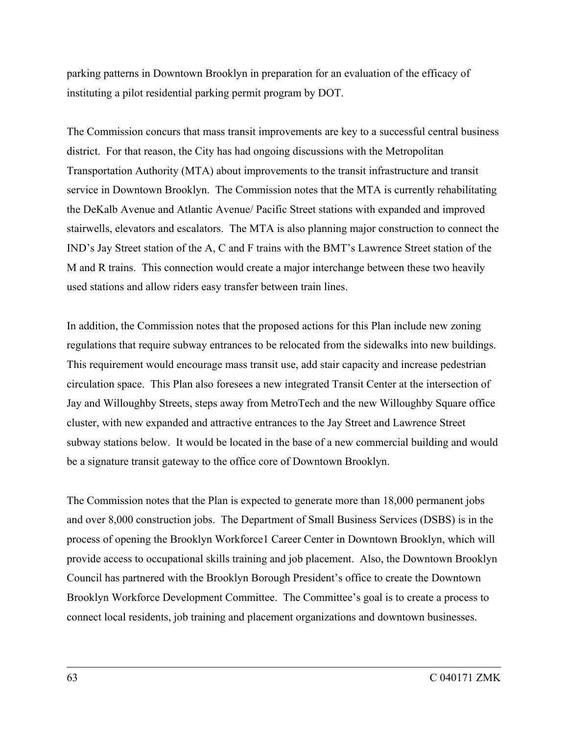parking patterns in Downtown Brooklyn in preparation for an evaluation of the efficacy of instituting a pilot residential parking permit program by DOT.

The Commission concurs that mass transit improvements are key to a successful central business district. For that reason, the City has had ongoing discussions with the Metropolitan Transportation Authority (MTA) about improvements to the transit infrastructure and transit service in Downtown Brooklyn. The Commission notes that the MTA is currently rehabilitating the DeKalb Avenue and Atlantic Avenue/ Pacific Street stations with expanded and improved stairwells, elevators and escalators. The MTA is also planning major construction to connect the IND's Jay Street station of the A, C and F trains with the BMT's Lawrence Street station of the M and R trains. This connection would create a major interchange between these two heavily used stations and allow riders easy transfer between train lines.

In addition, the Commission notes that the proposed actions for this Plan include new zoning regulations that require subway entrances to be relocated from the sidewalks into new buildings. This requirement would encourage mass transit use, add stair capacity and increase pedestrian circulation space. This Plan also foresees a new integrated Transit Center at the intersection of Jay and Willoughby Streets, steps away from MetroTech and the new Willoughby Square office cluster, with new expanded and attractive entrances to the Jay Street and Lawrence Street subway stations below. It would be located in the base of a new commercial building and would be a signature transit gateway to the office core of Downtown Brooklyn.

The Commission notes that the Plan is expected to generate more than 18,000 permanent jobs and over 8,000 construction jobs. The Department of Small Business Services (DSBS) is in the process of opening the Brooklyn Workforce1 Career Center in Downtown Brooklyn, which will provide access to occupational skills training and job placement. Also, the Downtown Brooklyn Council has partnered with the Brooklyn Borough President's office to create the Downtown Brooklyn Workforce Development Committee. The Committee's goal is to create a process to connect local residents, job training and placement organizations and downtown businesses.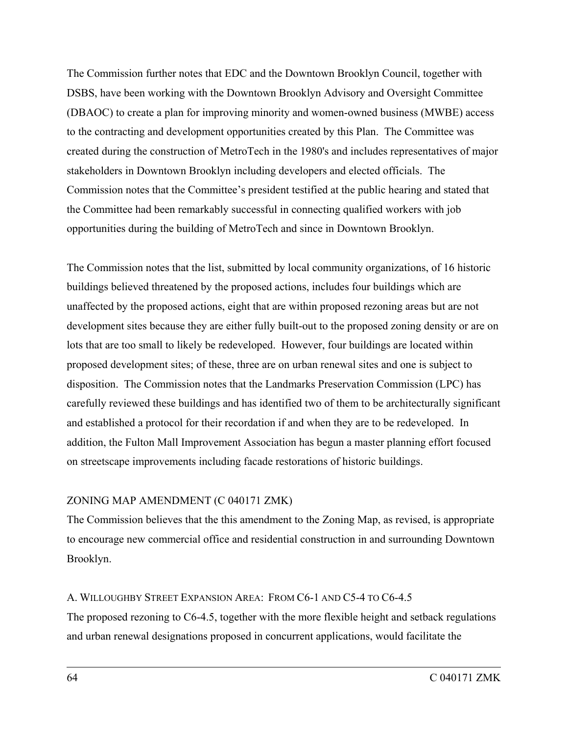The Commission further notes that EDC and the Downtown Brooklyn Council, together with DSBS, have been working with the Downtown Brooklyn Advisory and Oversight Committee (DBAOC) to create a plan for improving minority and women-owned business (MWBE) access to the contracting and development opportunities created by this Plan. The Committee was created during the construction of MetroTech in the 1980's and includes representatives of major stakeholders in Downtown Brooklyn including developers and elected officials. The Commission notes that the Committee's president testified at the public hearing and stated that the Committee had been remarkably successful in connecting qualified workers with job opportunities during the building of MetroTech and since in Downtown Brooklyn.

The Commission notes that the list, submitted by local community organizations, of 16 historic buildings believed threatened by the proposed actions, includes four buildings which are unaffected by the proposed actions, eight that are within proposed rezoning areas but are not development sites because they are either fully built-out to the proposed zoning density or are on lots that are too small to likely be redeveloped. However, four buildings are located within proposed development sites; of these, three are on urban renewal sites and one is subject to disposition. The Commission notes that the Landmarks Preservation Commission (LPC) has carefully reviewed these buildings and has identified two of them to be architecturally significant and established a protocol for their recordation if and when they are to be redeveloped. In addition, the Fulton Mall Improvement Association has begun a master planning effort focused on streetscape improvements including facade restorations of historic buildings.

## ZONING MAP AMENDMENT (C 040171 ZMK)

The Commission believes that the this amendment to the Zoning Map, as revised, is appropriate to encourage new commercial office and residential construction in and surrounding Downtown Brooklyn.

## A. WILLOUGHBY STREET EXPANSION AREA: FROM C6-1 AND C5-4 TO C6-4.5

The proposed rezoning to C6-4.5, together with the more flexible height and setback regulations and urban renewal designations proposed in concurrent applications, would facilitate the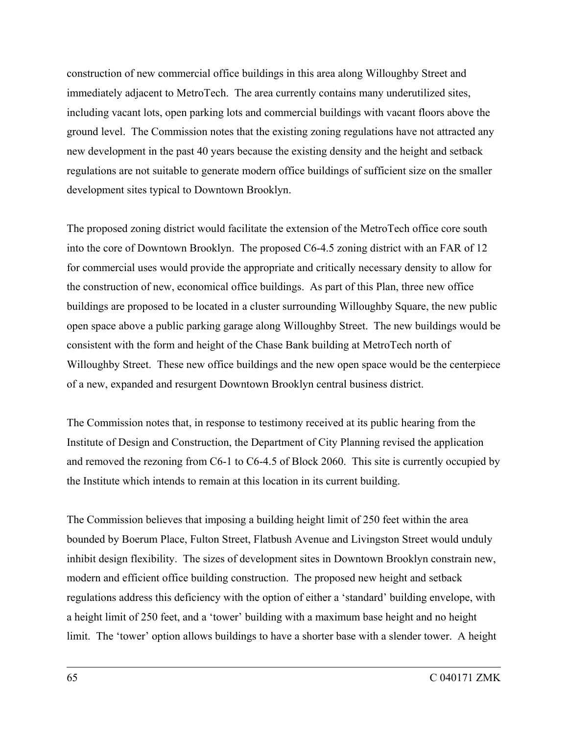construction of new commercial office buildings in this area along Willoughby Street and immediately adjacent to MetroTech. The area currently contains many underutilized sites, including vacant lots, open parking lots and commercial buildings with vacant floors above the ground level. The Commission notes that the existing zoning regulations have not attracted any new development in the past 40 years because the existing density and the height and setback regulations are not suitable to generate modern office buildings of sufficient size on the smaller development sites typical to Downtown Brooklyn.

The proposed zoning district would facilitate the extension of the MetroTech office core south into the core of Downtown Brooklyn. The proposed C6-4.5 zoning district with an FAR of 12 for commercial uses would provide the appropriate and critically necessary density to allow for the construction of new, economical office buildings. As part of this Plan, three new office buildings are proposed to be located in a cluster surrounding Willoughby Square, the new public open space above a public parking garage along Willoughby Street. The new buildings would be consistent with the form and height of the Chase Bank building at MetroTech north of Willoughby Street. These new office buildings and the new open space would be the centerpiece of a new, expanded and resurgent Downtown Brooklyn central business district.

The Commission notes that, in response to testimony received at its public hearing from the Institute of Design and Construction, the Department of City Planning revised the application and removed the rezoning from C6-1 to C6-4.5 of Block 2060. This site is currently occupied by the Institute which intends to remain at this location in its current building.

The Commission believes that imposing a building height limit of 250 feet within the area bounded by Boerum Place, Fulton Street, Flatbush Avenue and Livingston Street would unduly inhibit design flexibility. The sizes of development sites in Downtown Brooklyn constrain new, modern and efficient office building construction. The proposed new height and setback regulations address this deficiency with the option of either a 'standard' building envelope, with a height limit of 250 feet, and a 'tower' building with a maximum base height and no height limit. The 'tower' option allows buildings to have a shorter base with a slender tower. A height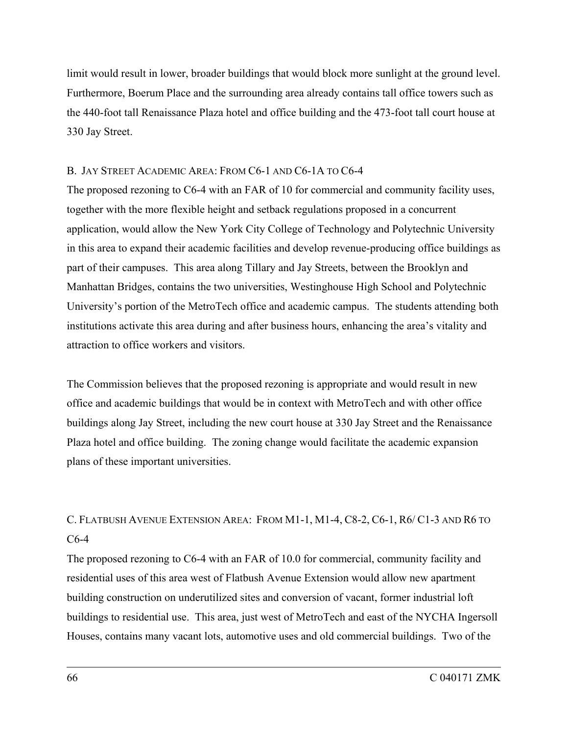limit would result in lower, broader buildings that would block more sunlight at the ground level. Furthermore, Boerum Place and the surrounding area already contains tall office towers such as the 440-foot tall Renaissance Plaza hotel and office building and the 473-foot tall court house at 330 Jay Street.

## B. JAY STREET ACADEMIC AREA: FROM C6-1 AND C6-1A TO C6-4

The proposed rezoning to C6-4 with an FAR of 10 for commercial and community facility uses, together with the more flexible height and setback regulations proposed in a concurrent application, would allow the New York City College of Technology and Polytechnic University in this area to expand their academic facilities and develop revenue-producing office buildings as part of their campuses. This area along Tillary and Jay Streets, between the Brooklyn and Manhattan Bridges, contains the two universities, Westinghouse High School and Polytechnic University's portion of the MetroTech office and academic campus. The students attending both institutions activate this area during and after business hours, enhancing the area's vitality and attraction to office workers and visitors.

The Commission believes that the proposed rezoning is appropriate and would result in new office and academic buildings that would be in context with MetroTech and with other office buildings along Jay Street, including the new court house at 330 Jay Street and the Renaissance Plaza hotel and office building. The zoning change would facilitate the academic expansion plans of these important universities.

# C. FLATBUSH AVENUE EXTENSION AREA: FROM M1-1, M1-4, C8-2, C6-1, R6/ C1-3 AND R6 TO C6-4

The proposed rezoning to C6-4 with an FAR of 10.0 for commercial, community facility and residential uses of this area west of Flatbush Avenue Extension would allow new apartment building construction on underutilized sites and conversion of vacant, former industrial loft buildings to residential use. This area, just west of MetroTech and east of the NYCHA Ingersoll Houses, contains many vacant lots, automotive uses and old commercial buildings. Two of the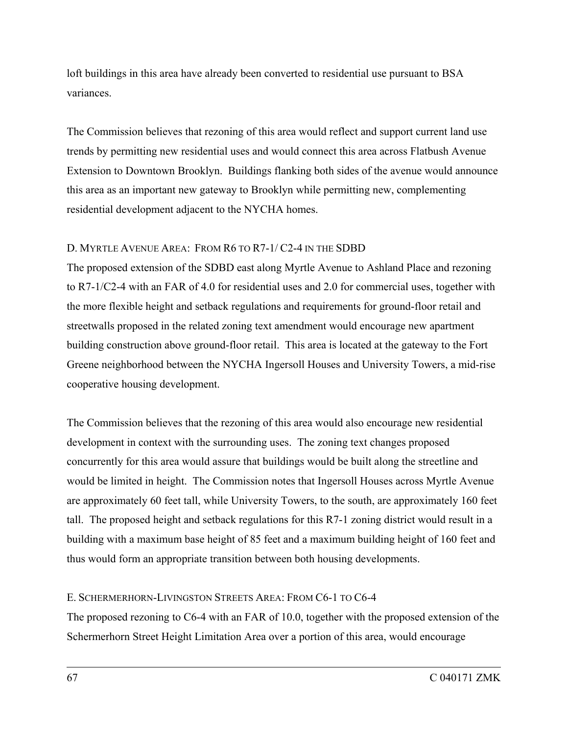loft buildings in this area have already been converted to residential use pursuant to BSA variances.

The Commission believes that rezoning of this area would reflect and support current land use trends by permitting new residential uses and would connect this area across Flatbush Avenue Extension to Downtown Brooklyn. Buildings flanking both sides of the avenue would announce this area as an important new gateway to Brooklyn while permitting new, complementing residential development adjacent to the NYCHA homes.

## D. MYRTLE AVENUE AREA: FROM R6 TO R7-1/ C2-4 IN THE SDBD

The proposed extension of the SDBD east along Myrtle Avenue to Ashland Place and rezoning to R7-1/C2-4 with an FAR of 4.0 for residential uses and 2.0 for commercial uses, together with the more flexible height and setback regulations and requirements for ground-floor retail and streetwalls proposed in the related zoning text amendment would encourage new apartment building construction above ground-floor retail. This area is located at the gateway to the Fort Greene neighborhood between the NYCHA Ingersoll Houses and University Towers, a mid-rise cooperative housing development.

The Commission believes that the rezoning of this area would also encourage new residential development in context with the surrounding uses. The zoning text changes proposed concurrently for this area would assure that buildings would be built along the streetline and would be limited in height. The Commission notes that Ingersoll Houses across Myrtle Avenue are approximately 60 feet tall, while University Towers, to the south, are approximately 160 feet tall. The proposed height and setback regulations for this R7-1 zoning district would result in a building with a maximum base height of 85 feet and a maximum building height of 160 feet and thus would form an appropriate transition between both housing developments.

## E. SCHERMERHORN-LIVINGSTON STREETS AREA: FROM C6-1 TO C6-4

The proposed rezoning to C6-4 with an FAR of 10.0, together with the proposed extension of the Schermerhorn Street Height Limitation Area over a portion of this area, would encourage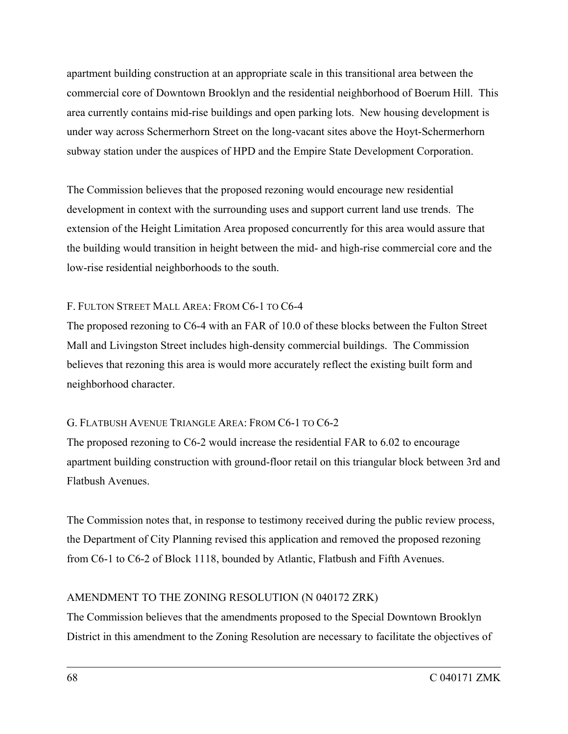apartment building construction at an appropriate scale in this transitional area between the commercial core of Downtown Brooklyn and the residential neighborhood of Boerum Hill. This area currently contains mid-rise buildings and open parking lots. New housing development is under way across Schermerhorn Street on the long-vacant sites above the Hoyt-Schermerhorn subway station under the auspices of HPD and the Empire State Development Corporation.

The Commission believes that the proposed rezoning would encourage new residential development in context with the surrounding uses and support current land use trends. The extension of the Height Limitation Area proposed concurrently for this area would assure that the building would transition in height between the mid- and high-rise commercial core and the low-rise residential neighborhoods to the south.

## F. FULTON STREET MALL AREA: FROM C6-1 TO C6-4

The proposed rezoning to C6-4 with an FAR of 10.0 of these blocks between the Fulton Street Mall and Livingston Street includes high-density commercial buildings. The Commission believes that rezoning this area is would more accurately reflect the existing built form and neighborhood character.

## G. FLATBUSH AVENUE TRIANGLE AREA: FROM C6-1 TO C6-2

The proposed rezoning to C6-2 would increase the residential FAR to 6.02 to encourage apartment building construction with ground-floor retail on this triangular block between 3rd and Flatbush Avenues.

The Commission notes that, in response to testimony received during the public review process, the Department of City Planning revised this application and removed the proposed rezoning from C6-1 to C6-2 of Block 1118, bounded by Atlantic, Flatbush and Fifth Avenues.

## AMENDMENT TO THE ZONING RESOLUTION (N 040172 ZRK)

The Commission believes that the amendments proposed to the Special Downtown Brooklyn District in this amendment to the Zoning Resolution are necessary to facilitate the objectives of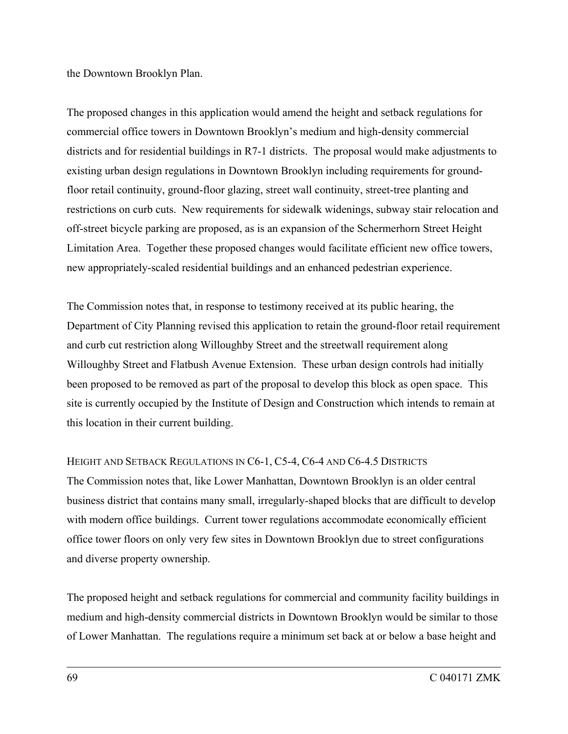the Downtown Brooklyn Plan.

The proposed changes in this application would amend the height and setback regulations for commercial office towers in Downtown Brooklyn's medium and high-density commercial districts and for residential buildings in R7-1 districts. The proposal would make adjustments to existing urban design regulations in Downtown Brooklyn including requirements for groundfloor retail continuity, ground-floor glazing, street wall continuity, street-tree planting and restrictions on curb cuts. New requirements for sidewalk widenings, subway stair relocation and off-street bicycle parking are proposed, as is an expansion of the Schermerhorn Street Height Limitation Area. Together these proposed changes would facilitate efficient new office towers, new appropriately-scaled residential buildings and an enhanced pedestrian experience.

The Commission notes that, in response to testimony received at its public hearing, the Department of City Planning revised this application to retain the ground-floor retail requirement and curb cut restriction along Willoughby Street and the streetwall requirement along Willoughby Street and Flatbush Avenue Extension. These urban design controls had initially been proposed to be removed as part of the proposal to develop this block as open space. This site is currently occupied by the Institute of Design and Construction which intends to remain at this location in their current building.

#### HEIGHT AND SETBACK REGULATIONS IN C6-1, C5-4, C6-4 AND C6-4.5 DISTRICTS

The Commission notes that, like Lower Manhattan, Downtown Brooklyn is an older central business district that contains many small, irregularly-shaped blocks that are difficult to develop with modern office buildings. Current tower regulations accommodate economically efficient office tower floors on only very few sites in Downtown Brooklyn due to street configurations and diverse property ownership.

The proposed height and setback regulations for commercial and community facility buildings in medium and high-density commercial districts in Downtown Brooklyn would be similar to those of Lower Manhattan. The regulations require a minimum set back at or below a base height and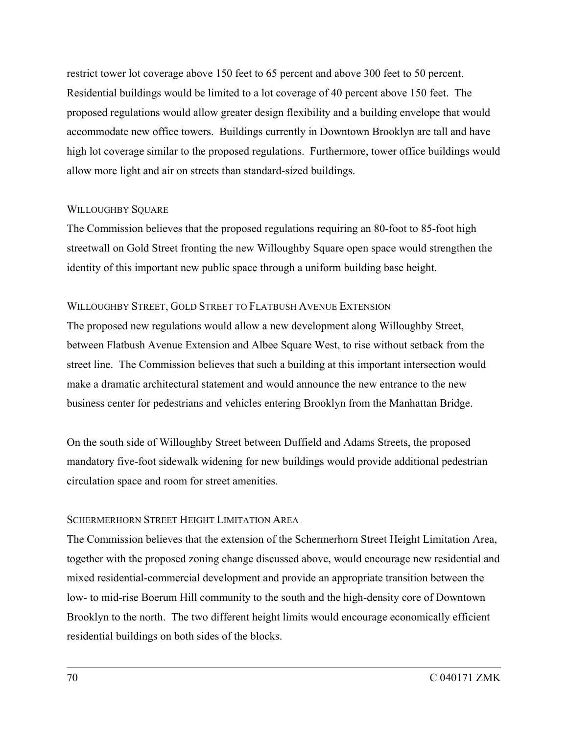restrict tower lot coverage above 150 feet to 65 percent and above 300 feet to 50 percent. Residential buildings would be limited to a lot coverage of 40 percent above 150 feet. The proposed regulations would allow greater design flexibility and a building envelope that would accommodate new office towers. Buildings currently in Downtown Brooklyn are tall and have high lot coverage similar to the proposed regulations. Furthermore, tower office buildings would allow more light and air on streets than standard-sized buildings.

## WILLOUGHBY SQUARE

The Commission believes that the proposed regulations requiring an 80-foot to 85-foot high streetwall on Gold Street fronting the new Willoughby Square open space would strengthen the identity of this important new public space through a uniform building base height.

#### WILLOUGHBY STREET, GOLD STREET TO FLATBUSH AVENUE EXTENSION

The proposed new regulations would allow a new development along Willoughby Street, between Flatbush Avenue Extension and Albee Square West, to rise without setback from the street line. The Commission believes that such a building at this important intersection would make a dramatic architectural statement and would announce the new entrance to the new business center for pedestrians and vehicles entering Brooklyn from the Manhattan Bridge.

On the south side of Willoughby Street between Duffield and Adams Streets, the proposed mandatory five-foot sidewalk widening for new buildings would provide additional pedestrian circulation space and room for street amenities.

## SCHERMERHORN STREET HEIGHT LIMITATION AREA

The Commission believes that the extension of the Schermerhorn Street Height Limitation Area, together with the proposed zoning change discussed above, would encourage new residential and mixed residential-commercial development and provide an appropriate transition between the low- to mid-rise Boerum Hill community to the south and the high-density core of Downtown Brooklyn to the north. The two different height limits would encourage economically efficient residential buildings on both sides of the blocks.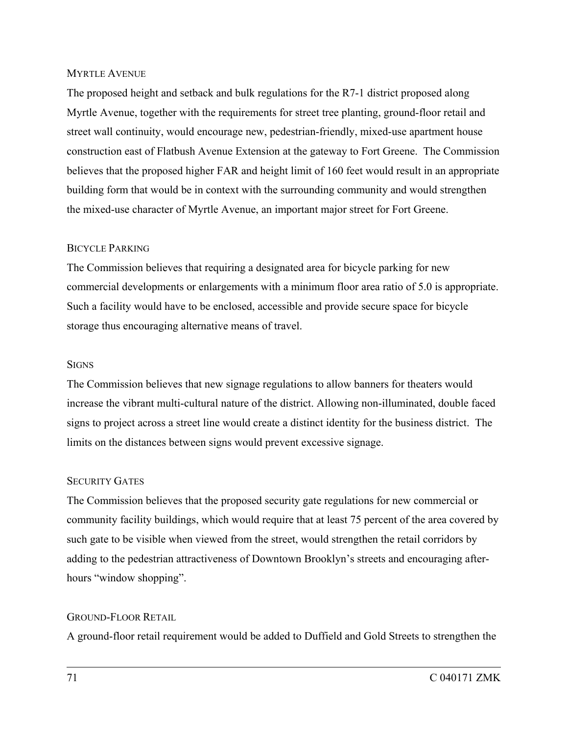#### MYRTLE AVENUE

The proposed height and setback and bulk regulations for the R7-1 district proposed along Myrtle Avenue, together with the requirements for street tree planting, ground-floor retail and street wall continuity, would encourage new, pedestrian-friendly, mixed-use apartment house construction east of Flatbush Avenue Extension at the gateway to Fort Greene. The Commission believes that the proposed higher FAR and height limit of 160 feet would result in an appropriate building form that would be in context with the surrounding community and would strengthen the mixed-use character of Myrtle Avenue, an important major street for Fort Greene.

#### BICYCLE PARKING

The Commission believes that requiring a designated area for bicycle parking for new commercial developments or enlargements with a minimum floor area ratio of 5.0 is appropriate. Such a facility would have to be enclosed, accessible and provide secure space for bicycle storage thus encouraging alternative means of travel.

#### **SIGNS**

The Commission believes that new signage regulations to allow banners for theaters would increase the vibrant multi-cultural nature of the district. Allowing non-illuminated, double faced signs to project across a street line would create a distinct identity for the business district. The limits on the distances between signs would prevent excessive signage.

#### SECURITY GATES

The Commission believes that the proposed security gate regulations for new commercial or community facility buildings, which would require that at least 75 percent of the area covered by such gate to be visible when viewed from the street, would strengthen the retail corridors by adding to the pedestrian attractiveness of Downtown Brooklyn's streets and encouraging afterhours "window shopping".

#### GROUND-FLOOR RETAIL

A ground-floor retail requirement would be added to Duffield and Gold Streets to strengthen the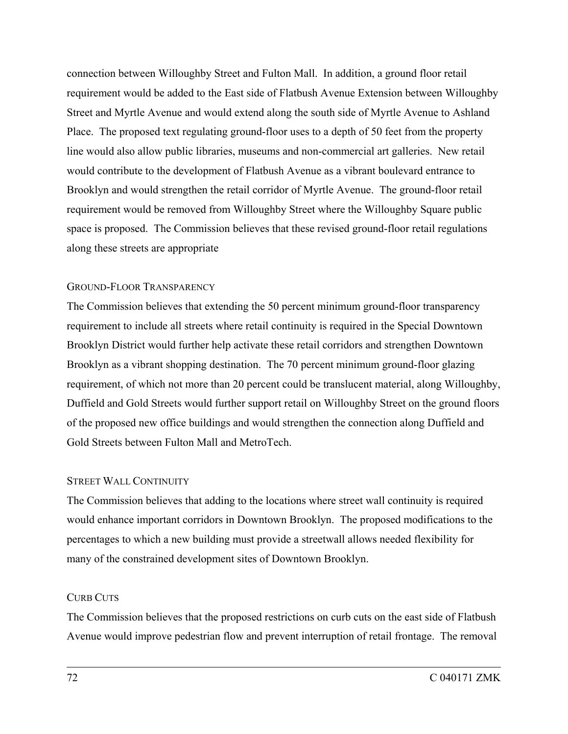connection between Willoughby Street and Fulton Mall. In addition, a ground floor retail requirement would be added to the East side of Flatbush Avenue Extension between Willoughby Street and Myrtle Avenue and would extend along the south side of Myrtle Avenue to Ashland Place. The proposed text regulating ground-floor uses to a depth of 50 feet from the property line would also allow public libraries, museums and non-commercial art galleries. New retail would contribute to the development of Flatbush Avenue as a vibrant boulevard entrance to Brooklyn and would strengthen the retail corridor of Myrtle Avenue. The ground-floor retail requirement would be removed from Willoughby Street where the Willoughby Square public space is proposed. The Commission believes that these revised ground-floor retail regulations along these streets are appropriate

#### GROUND-FLOOR TRANSPARENCY

The Commission believes that extending the 50 percent minimum ground-floor transparency requirement to include all streets where retail continuity is required in the Special Downtown Brooklyn District would further help activate these retail corridors and strengthen Downtown Brooklyn as a vibrant shopping destination. The 70 percent minimum ground-floor glazing requirement, of which not more than 20 percent could be translucent material, along Willoughby, Duffield and Gold Streets would further support retail on Willoughby Street on the ground floors of the proposed new office buildings and would strengthen the connection along Duffield and Gold Streets between Fulton Mall and MetroTech.

#### STREET WALL CONTINUITY

The Commission believes that adding to the locations where street wall continuity is required would enhance important corridors in Downtown Brooklyn. The proposed modifications to the percentages to which a new building must provide a streetwall allows needed flexibility for many of the constrained development sites of Downtown Brooklyn.

#### CURB CUTS

The Commission believes that the proposed restrictions on curb cuts on the east side of Flatbush Avenue would improve pedestrian flow and prevent interruption of retail frontage. The removal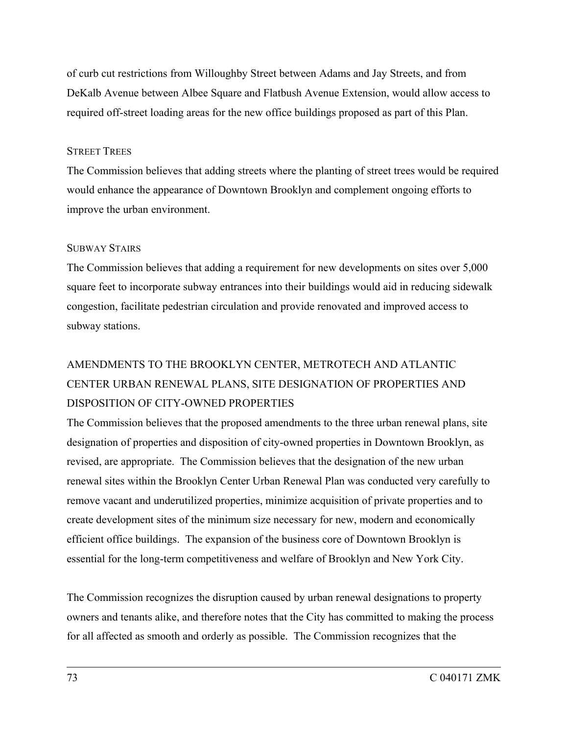of curb cut restrictions from Willoughby Street between Adams and Jay Streets, and from DeKalb Avenue between Albee Square and Flatbush Avenue Extension, would allow access to required off-street loading areas for the new office buildings proposed as part of this Plan.

#### STREET TREES

The Commission believes that adding streets where the planting of street trees would be required would enhance the appearance of Downtown Brooklyn and complement ongoing efforts to improve the urban environment.

### SUBWAY STAIRS

The Commission believes that adding a requirement for new developments on sites over 5,000 square feet to incorporate subway entrances into their buildings would aid in reducing sidewalk congestion, facilitate pedestrian circulation and provide renovated and improved access to subway stations.

# AMENDMENTS TO THE BROOKLYN CENTER, METROTECH AND ATLANTIC CENTER URBAN RENEWAL PLANS, SITE DESIGNATION OF PROPERTIES AND DISPOSITION OF CITY-OWNED PROPERTIES

The Commission believes that the proposed amendments to the three urban renewal plans, site designation of properties and disposition of city-owned properties in Downtown Brooklyn, as revised, are appropriate. The Commission believes that the designation of the new urban renewal sites within the Brooklyn Center Urban Renewal Plan was conducted very carefully to remove vacant and underutilized properties, minimize acquisition of private properties and to create development sites of the minimum size necessary for new, modern and economically efficient office buildings. The expansion of the business core of Downtown Brooklyn is essential for the long-term competitiveness and welfare of Brooklyn and New York City.

The Commission recognizes the disruption caused by urban renewal designations to property owners and tenants alike, and therefore notes that the City has committed to making the process for all affected as smooth and orderly as possible. The Commission recognizes that the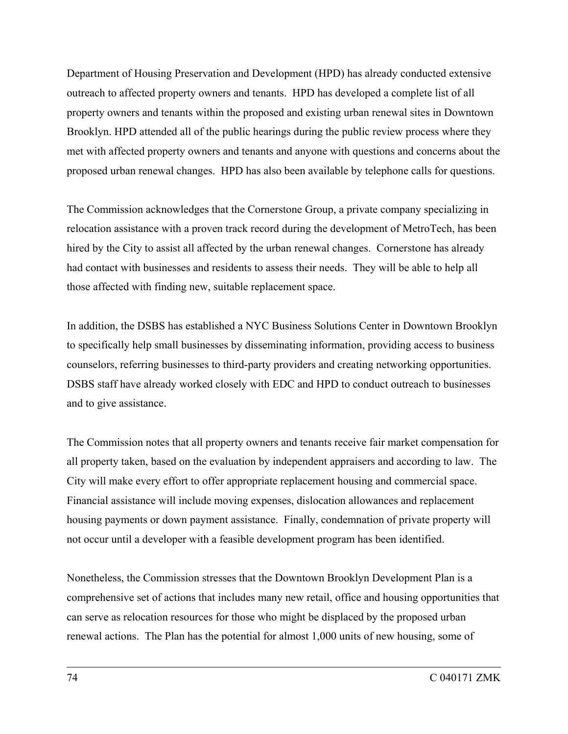Department of Housing Preservation and Development (HPD) has already conducted extensive outreach to affected property owners and tenants. HPD has developed a complete list of all property owners and tenants within the proposed and existing urban renewal sites in Downtown Brooklyn. HPD attended all of the public hearings during the public review process where they met with affected property owners and tenants and anyone with questions and concerns about the proposed urban renewal changes. HPD has also been available by telephone calls for questions.

The Commission acknowledges that the Cornerstone Group, a private company specializing in relocation assistance with a proven track record during the development of MetroTech, has been hired by the City to assist all affected by the urban renewal changes. Cornerstone has already had contact with businesses and residents to assess their needs. They will be able to help all those affected with finding new, suitable replacement space.

In addition, the DSBS has established a NYC Business Solutions Center in Downtown Brooklyn to specifically help small businesses by disseminating information, providing access to business counselors, referring businesses to third-party providers and creating networking opportunities. DSBS staff have already worked closely with EDC and HPD to conduct outreach to businesses and to give assistance.

The Commission notes that all property owners and tenants receive fair market compensation for all property taken, based on the evaluation by independent appraisers and according to law. The City will make every effort to offer appropriate replacement housing and commercial space. Financial assistance will include moving expenses, dislocation allowances and replacement housing payments or down payment assistance. Finally, condemnation of private property will not occur until a developer with a feasible development program has been identified.

Nonetheless, the Commission stresses that the Downtown Brooklyn Development Plan is a comprehensive set of actions that includes many new retail, office and housing opportunities that can serve as relocation resources for those who might be displaced by the proposed urban renewal actions. The Plan has the potential for almost 1,000 units of new housing, some of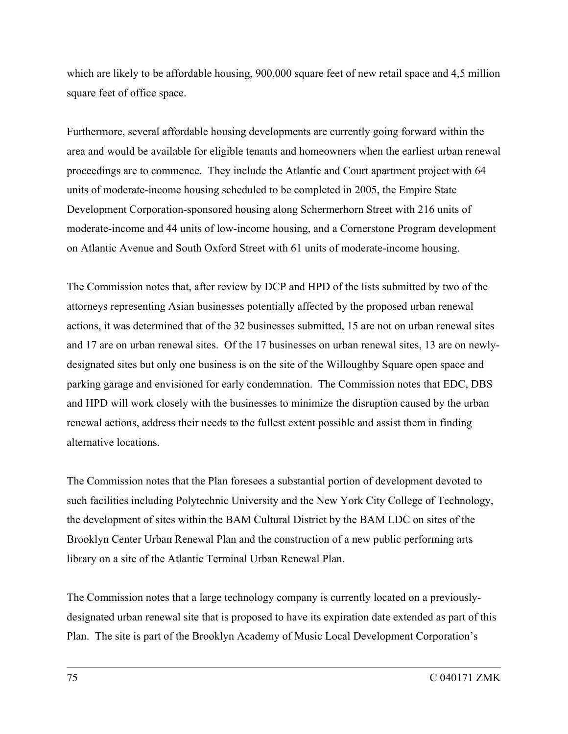which are likely to be affordable housing, 900,000 square feet of new retail space and 4,5 million square feet of office space.

Furthermore, several affordable housing developments are currently going forward within the area and would be available for eligible tenants and homeowners when the earliest urban renewal proceedings are to commence. They include the Atlantic and Court apartment project with 64 units of moderate-income housing scheduled to be completed in 2005, the Empire State Development Corporation-sponsored housing along Schermerhorn Street with 216 units of moderate-income and 44 units of low-income housing, and a Cornerstone Program development on Atlantic Avenue and South Oxford Street with 61 units of moderate-income housing.

The Commission notes that, after review by DCP and HPD of the lists submitted by two of the attorneys representing Asian businesses potentially affected by the proposed urban renewal actions, it was determined that of the 32 businesses submitted, 15 are not on urban renewal sites and 17 are on urban renewal sites. Of the 17 businesses on urban renewal sites, 13 are on newlydesignated sites but only one business is on the site of the Willoughby Square open space and parking garage and envisioned for early condemnation. The Commission notes that EDC, DBS and HPD will work closely with the businesses to minimize the disruption caused by the urban renewal actions, address their needs to the fullest extent possible and assist them in finding alternative locations.

The Commission notes that the Plan foresees a substantial portion of development devoted to such facilities including Polytechnic University and the New York City College of Technology, the development of sites within the BAM Cultural District by the BAM LDC on sites of the Brooklyn Center Urban Renewal Plan and the construction of a new public performing arts library on a site of the Atlantic Terminal Urban Renewal Plan.

The Commission notes that a large technology company is currently located on a previouslydesignated urban renewal site that is proposed to have its expiration date extended as part of this Plan. The site is part of the Brooklyn Academy of Music Local Development Corporation's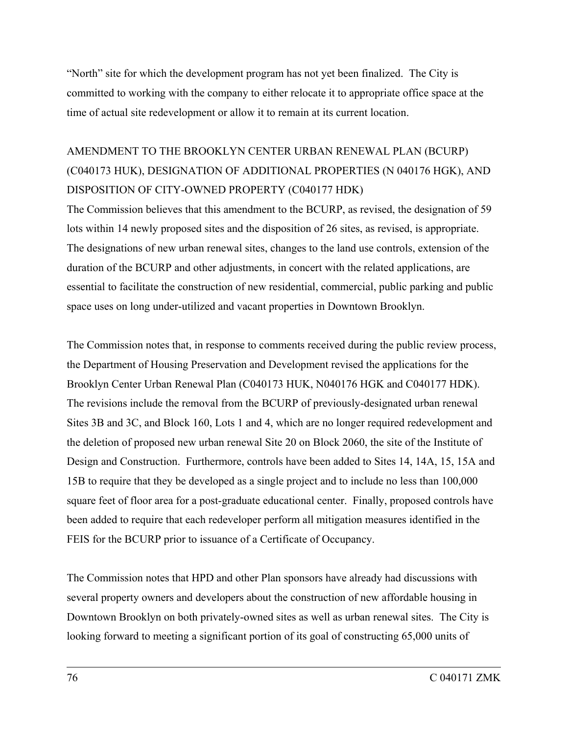"North" site for which the development program has not yet been finalized. The City is committed to working with the company to either relocate it to appropriate office space at the time of actual site redevelopment or allow it to remain at its current location.

# AMENDMENT TO THE BROOKLYN CENTER URBAN RENEWAL PLAN (BCURP) (C040173 HUK), DESIGNATION OF ADDITIONAL PROPERTIES (N 040176 HGK), AND DISPOSITION OF CITY-OWNED PROPERTY (C040177 HDK)

The Commission believes that this amendment to the BCURP, as revised, the designation of 59 lots within 14 newly proposed sites and the disposition of 26 sites, as revised, is appropriate. The designations of new urban renewal sites, changes to the land use controls, extension of the duration of the BCURP and other adjustments, in concert with the related applications, are essential to facilitate the construction of new residential, commercial, public parking and public space uses on long under-utilized and vacant properties in Downtown Brooklyn.

The Commission notes that, in response to comments received during the public review process, the Department of Housing Preservation and Development revised the applications for the Brooklyn Center Urban Renewal Plan (C040173 HUK, N040176 HGK and C040177 HDK). The revisions include the removal from the BCURP of previously-designated urban renewal Sites 3B and 3C, and Block 160, Lots 1 and 4, which are no longer required redevelopment and the deletion of proposed new urban renewal Site 20 on Block 2060, the site of the Institute of Design and Construction. Furthermore, controls have been added to Sites 14, 14A, 15, 15A and 15B to require that they be developed as a single project and to include no less than 100,000 square feet of floor area for a post-graduate educational center. Finally, proposed controls have been added to require that each redeveloper perform all mitigation measures identified in the FEIS for the BCURP prior to issuance of a Certificate of Occupancy.

The Commission notes that HPD and other Plan sponsors have already had discussions with several property owners and developers about the construction of new affordable housing in Downtown Brooklyn on both privately-owned sites as well as urban renewal sites. The City is looking forward to meeting a significant portion of its goal of constructing 65,000 units of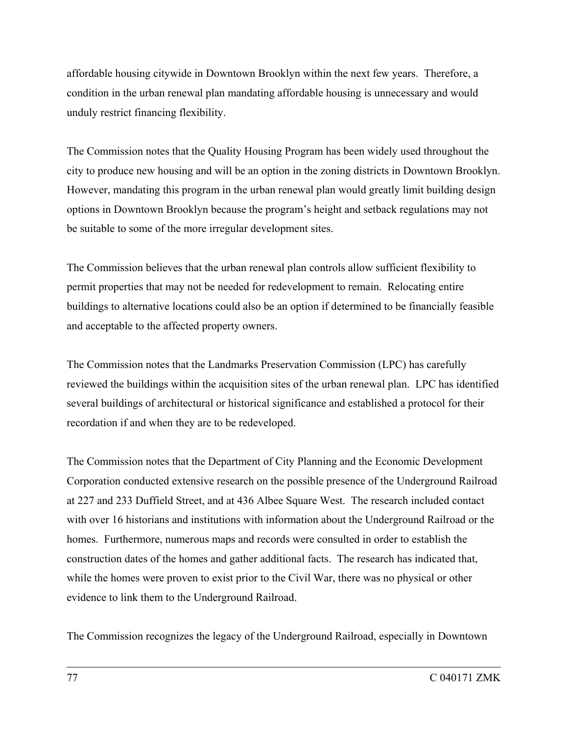affordable housing citywide in Downtown Brooklyn within the next few years. Therefore, a condition in the urban renewal plan mandating affordable housing is unnecessary and would unduly restrict financing flexibility.

The Commission notes that the Quality Housing Program has been widely used throughout the city to produce new housing and will be an option in the zoning districts in Downtown Brooklyn. However, mandating this program in the urban renewal plan would greatly limit building design options in Downtown Brooklyn because the program's height and setback regulations may not be suitable to some of the more irregular development sites.

The Commission believes that the urban renewal plan controls allow sufficient flexibility to permit properties that may not be needed for redevelopment to remain. Relocating entire buildings to alternative locations could also be an option if determined to be financially feasible and acceptable to the affected property owners.

The Commission notes that the Landmarks Preservation Commission (LPC) has carefully reviewed the buildings within the acquisition sites of the urban renewal plan. LPC has identified several buildings of architectural or historical significance and established a protocol for their recordation if and when they are to be redeveloped.

The Commission notes that the Department of City Planning and the Economic Development Corporation conducted extensive research on the possible presence of the Underground Railroad at 227 and 233 Duffield Street, and at 436 Albee Square West. The research included contact with over 16 historians and institutions with information about the Underground Railroad or the homes. Furthermore, numerous maps and records were consulted in order to establish the construction dates of the homes and gather additional facts. The research has indicated that, while the homes were proven to exist prior to the Civil War, there was no physical or other evidence to link them to the Underground Railroad.

The Commission recognizes the legacy of the Underground Railroad, especially in Downtown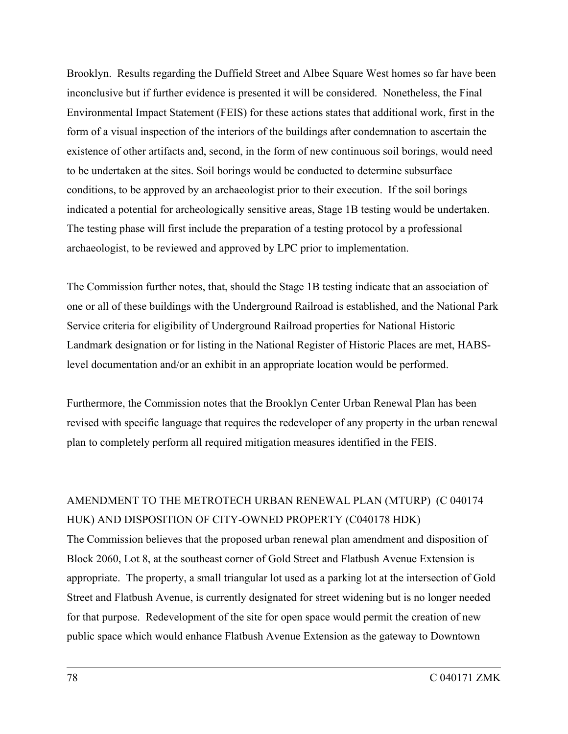Brooklyn. Results regarding the Duffield Street and Albee Square West homes so far have been inconclusive but if further evidence is presented it will be considered. Nonetheless, the Final Environmental Impact Statement (FEIS) for these actions states that additional work, first in the form of a visual inspection of the interiors of the buildings after condemnation to ascertain the existence of other artifacts and, second, in the form of new continuous soil borings, would need to be undertaken at the sites. Soil borings would be conducted to determine subsurface conditions, to be approved by an archaeologist prior to their execution. If the soil borings indicated a potential for archeologically sensitive areas, Stage 1B testing would be undertaken. The testing phase will first include the preparation of a testing protocol by a professional archaeologist, to be reviewed and approved by LPC prior to implementation.

The Commission further notes, that, should the Stage 1B testing indicate that an association of one or all of these buildings with the Underground Railroad is established, and the National Park Service criteria for eligibility of Underground Railroad properties for National Historic Landmark designation or for listing in the National Register of Historic Places are met, HABSlevel documentation and/or an exhibit in an appropriate location would be performed.

Furthermore, the Commission notes that the Brooklyn Center Urban Renewal Plan has been revised with specific language that requires the redeveloper of any property in the urban renewal plan to completely perform all required mitigation measures identified in the FEIS.

### AMENDMENT TO THE METROTECH URBAN RENEWAL PLAN (MTURP) (C 040174 HUK) AND DISPOSITION OF CITY-OWNED PROPERTY (C040178 HDK)

The Commission believes that the proposed urban renewal plan amendment and disposition of Block 2060, Lot 8, at the southeast corner of Gold Street and Flatbush Avenue Extension is appropriate. The property, a small triangular lot used as a parking lot at the intersection of Gold Street and Flatbush Avenue, is currently designated for street widening but is no longer needed for that purpose. Redevelopment of the site for open space would permit the creation of new public space which would enhance Flatbush Avenue Extension as the gateway to Downtown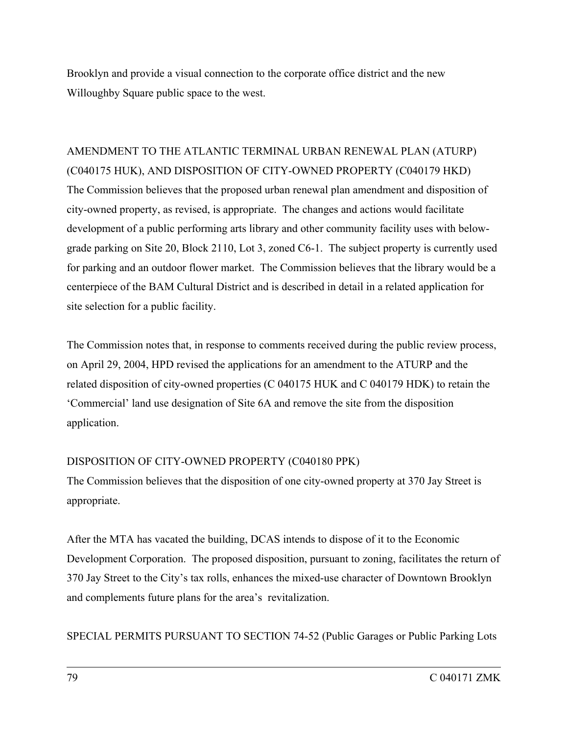Brooklyn and provide a visual connection to the corporate office district and the new Willoughby Square public space to the west.

AMENDMENT TO THE ATLANTIC TERMINAL URBAN RENEWAL PLAN (ATURP) (C040175 HUK), AND DISPOSITION OF CITY-OWNED PROPERTY (C040179 HKD) The Commission believes that the proposed urban renewal plan amendment and disposition of city-owned property, as revised, is appropriate. The changes and actions would facilitate development of a public performing arts library and other community facility uses with belowgrade parking on Site 20, Block 2110, Lot 3, zoned C6-1. The subject property is currently used for parking and an outdoor flower market. The Commission believes that the library would be a centerpiece of the BAM Cultural District and is described in detail in a related application for site selection for a public facility.

The Commission notes that, in response to comments received during the public review process, on April 29, 2004, HPD revised the applications for an amendment to the ATURP and the related disposition of city-owned properties (C 040175 HUK and C 040179 HDK) to retain the 'Commercial' land use designation of Site 6A and remove the site from the disposition application.

### DISPOSITION OF CITY-OWNED PROPERTY (C040180 PPK)

The Commission believes that the disposition of one city-owned property at 370 Jay Street is appropriate.

After the MTA has vacated the building, DCAS intends to dispose of it to the Economic Development Corporation. The proposed disposition, pursuant to zoning, facilitates the return of 370 Jay Street to the City's tax rolls, enhances the mixed-use character of Downtown Brooklyn and complements future plans for the area's revitalization.

SPECIAL PERMITS PURSUANT TO SECTION 74-52 (Public Garages or Public Parking Lots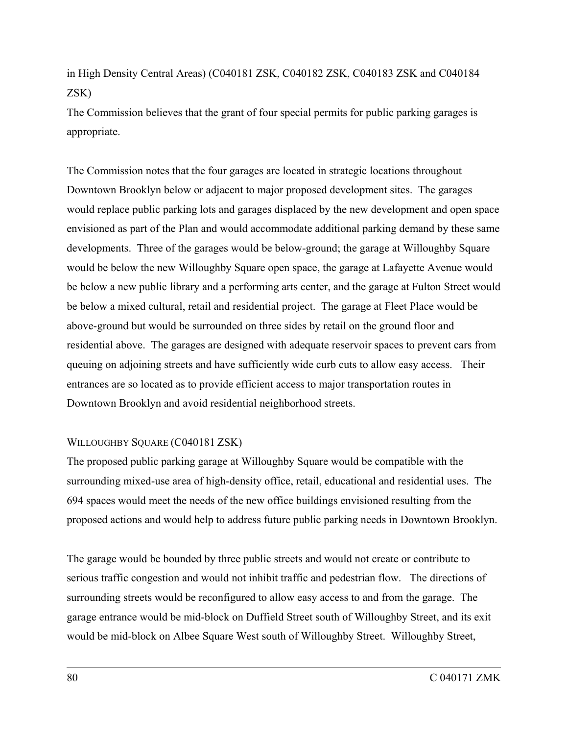in High Density Central Areas) (C040181 ZSK, C040182 ZSK, C040183 ZSK and C040184 ZSK)

The Commission believes that the grant of four special permits for public parking garages is appropriate.

The Commission notes that the four garages are located in strategic locations throughout Downtown Brooklyn below or adjacent to major proposed development sites. The garages would replace public parking lots and garages displaced by the new development and open space envisioned as part of the Plan and would accommodate additional parking demand by these same developments. Three of the garages would be below-ground; the garage at Willoughby Square would be below the new Willoughby Square open space, the garage at Lafayette Avenue would be below a new public library and a performing arts center, and the garage at Fulton Street would be below a mixed cultural, retail and residential project. The garage at Fleet Place would be above-ground but would be surrounded on three sides by retail on the ground floor and residential above. The garages are designed with adequate reservoir spaces to prevent cars from queuing on adjoining streets and have sufficiently wide curb cuts to allow easy access. Their entrances are so located as to provide efficient access to major transportation routes in Downtown Brooklyn and avoid residential neighborhood streets.

### WILLOUGHBY SQUARE (C040181 ZSK)

The proposed public parking garage at Willoughby Square would be compatible with the surrounding mixed-use area of high-density office, retail, educational and residential uses. The 694 spaces would meet the needs of the new office buildings envisioned resulting from the proposed actions and would help to address future public parking needs in Downtown Brooklyn.

The garage would be bounded by three public streets and would not create or contribute to serious traffic congestion and would not inhibit traffic and pedestrian flow. The directions of surrounding streets would be reconfigured to allow easy access to and from the garage. The garage entrance would be mid-block on Duffield Street south of Willoughby Street, and its exit would be mid-block on Albee Square West south of Willoughby Street. Willoughby Street,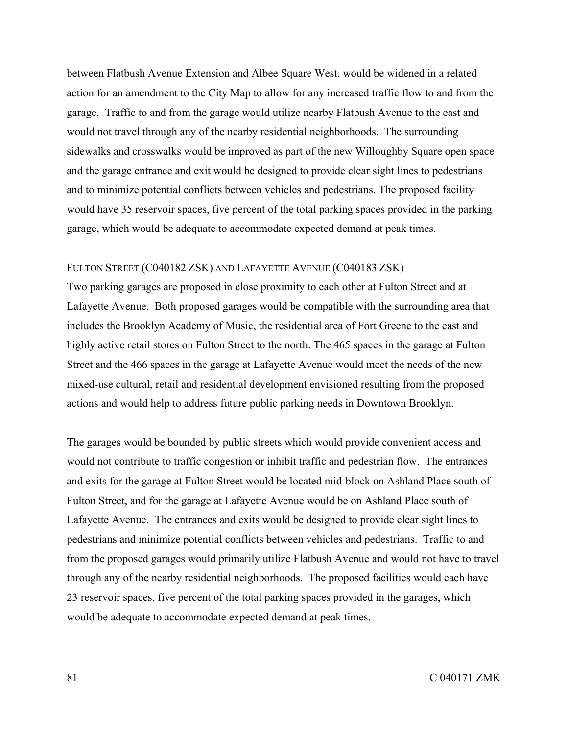between Flatbush Avenue Extension and Albee Square West, would be widened in a related action for an amendment to the City Map to allow for any increased traffic flow to and from the garage. Traffic to and from the garage would utilize nearby Flatbush Avenue to the east and would not travel through any of the nearby residential neighborhoods. The surrounding sidewalks and crosswalks would be improved as part of the new Willoughby Square open space and the garage entrance and exit would be designed to provide clear sight lines to pedestrians and to minimize potential conflicts between vehicles and pedestrians. The proposed facility would have 35 reservoir spaces, five percent of the total parking spaces provided in the parking garage, which would be adequate to accommodate expected demand at peak times.

### FULTON STREET (C040182 ZSK) AND LAFAYETTE AVENUE (C040183 ZSK)

Two parking garages are proposed in close proximity to each other at Fulton Street and at Lafayette Avenue. Both proposed garages would be compatible with the surrounding area that includes the Brooklyn Academy of Music, the residential area of Fort Greene to the east and highly active retail stores on Fulton Street to the north. The 465 spaces in the garage at Fulton Street and the 466 spaces in the garage at Lafayette Avenue would meet the needs of the new mixed-use cultural, retail and residential development envisioned resulting from the proposed actions and would help to address future public parking needs in Downtown Brooklyn.

The garages would be bounded by public streets which would provide convenient access and would not contribute to traffic congestion or inhibit traffic and pedestrian flow. The entrances and exits for the garage at Fulton Street would be located mid-block on Ashland Place south of Fulton Street, and for the garage at Lafayette Avenue would be on Ashland Place south of Lafayette Avenue. The entrances and exits would be designed to provide clear sight lines to pedestrians and minimize potential conflicts between vehicles and pedestrians. Traffic to and from the proposed garages would primarily utilize Flatbush Avenue and would not have to travel through any of the nearby residential neighborhoods. The proposed facilities would each have 23 reservoir spaces, five percent of the total parking spaces provided in the garages, which would be adequate to accommodate expected demand at peak times.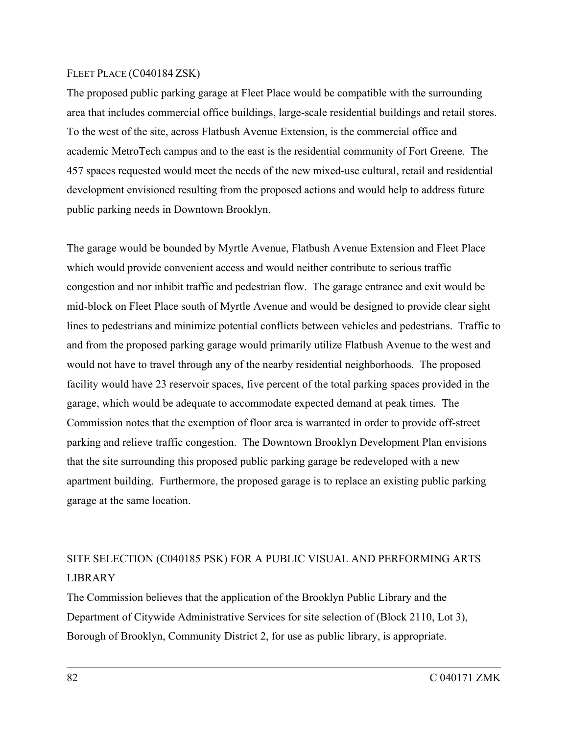#### FLEET PLACE (C040184 ZSK)

The proposed public parking garage at Fleet Place would be compatible with the surrounding area that includes commercial office buildings, large-scale residential buildings and retail stores. To the west of the site, across Flatbush Avenue Extension, is the commercial office and academic MetroTech campus and to the east is the residential community of Fort Greene. The 457 spaces requested would meet the needs of the new mixed-use cultural, retail and residential development envisioned resulting from the proposed actions and would help to address future public parking needs in Downtown Brooklyn.

The garage would be bounded by Myrtle Avenue, Flatbush Avenue Extension and Fleet Place which would provide convenient access and would neither contribute to serious traffic congestion and nor inhibit traffic and pedestrian flow. The garage entrance and exit would be mid-block on Fleet Place south of Myrtle Avenue and would be designed to provide clear sight lines to pedestrians and minimize potential conflicts between vehicles and pedestrians. Traffic to and from the proposed parking garage would primarily utilize Flatbush Avenue to the west and would not have to travel through any of the nearby residential neighborhoods. The proposed facility would have 23 reservoir spaces, five percent of the total parking spaces provided in the garage, which would be adequate to accommodate expected demand at peak times. The Commission notes that the exemption of floor area is warranted in order to provide off-street parking and relieve traffic congestion. The Downtown Brooklyn Development Plan envisions that the site surrounding this proposed public parking garage be redeveloped with a new apartment building. Furthermore, the proposed garage is to replace an existing public parking garage at the same location.

## SITE SELECTION (C040185 PSK) FOR A PUBLIC VISUAL AND PERFORMING ARTS LIBRARY

The Commission believes that the application of the Brooklyn Public Library and the Department of Citywide Administrative Services for site selection of (Block 2110, Lot 3), Borough of Brooklyn, Community District 2, for use as public library, is appropriate.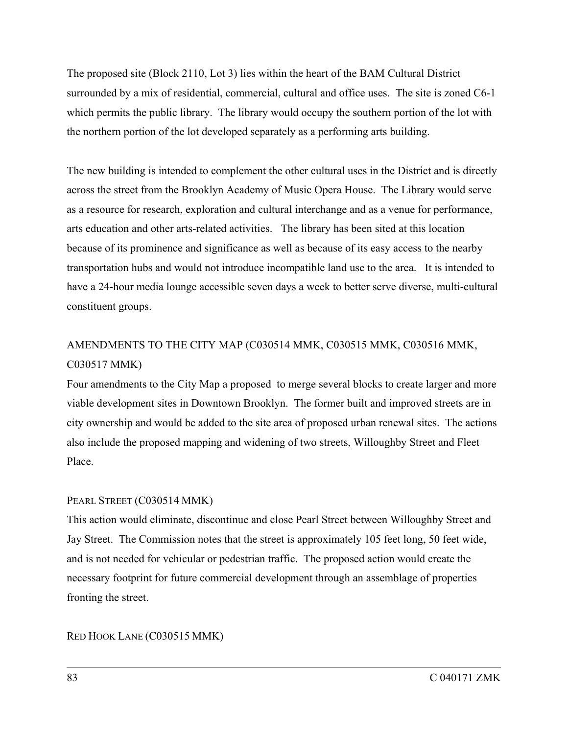The proposed site (Block 2110, Lot 3) lies within the heart of the BAM Cultural District surrounded by a mix of residential, commercial, cultural and office uses. The site is zoned C6-1 which permits the public library. The library would occupy the southern portion of the lot with the northern portion of the lot developed separately as a performing arts building.

The new building is intended to complement the other cultural uses in the District and is directly across the street from the Brooklyn Academy of Music Opera House. The Library would serve as a resource for research, exploration and cultural interchange and as a venue for performance, arts education and other arts-related activities. The library has been sited at this location because of its prominence and significance as well as because of its easy access to the nearby transportation hubs and would not introduce incompatible land use to the area. It is intended to have a 24-hour media lounge accessible seven days a week to better serve diverse, multi-cultural constituent groups.

## AMENDMENTS TO THE CITY MAP (C030514 MMK, C030515 MMK, C030516 MMK, C030517 MMK)

Four amendments to the City Map a proposed to merge several blocks to create larger and more viable development sites in Downtown Brooklyn. The former built and improved streets are in city ownership and would be added to the site area of proposed urban renewal sites. The actions also include the proposed mapping and widening of two streets, Willoughby Street and Fleet Place.

### PEARL STREET (C030514 MMK)

This action would eliminate, discontinue and close Pearl Street between Willoughby Street and Jay Street. The Commission notes that the street is approximately 105 feet long, 50 feet wide, and is not needed for vehicular or pedestrian traffic. The proposed action would create the necessary footprint for future commercial development through an assemblage of properties fronting the street.

RED HOOK LANE (C030515 MMK)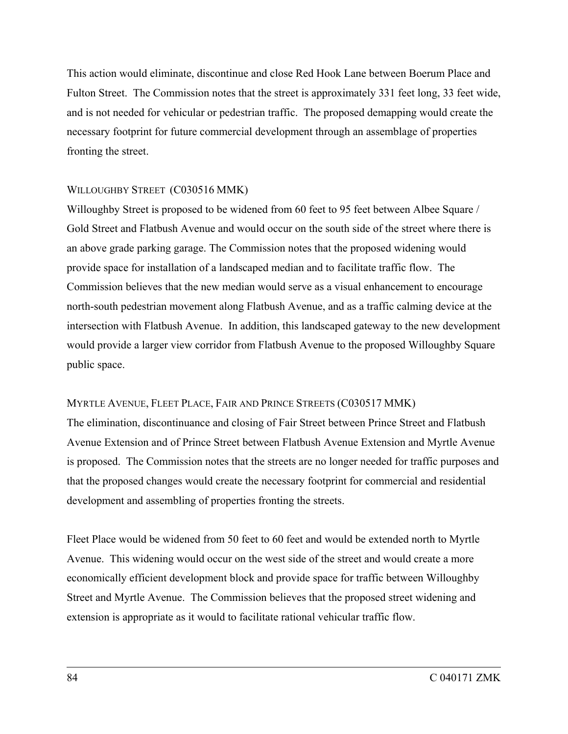This action would eliminate, discontinue and close Red Hook Lane between Boerum Place and Fulton Street. The Commission notes that the street is approximately 331 feet long, 33 feet wide, and is not needed for vehicular or pedestrian traffic. The proposed demapping would create the necessary footprint for future commercial development through an assemblage of properties fronting the street.

### WILLOUGHBY STREET (C030516 MMK)

Willoughby Street is proposed to be widened from 60 feet to 95 feet between Albee Square / Gold Street and Flatbush Avenue and would occur on the south side of the street where there is an above grade parking garage. The Commission notes that the proposed widening would provide space for installation of a landscaped median and to facilitate traffic flow. The Commission believes that the new median would serve as a visual enhancement to encourage north-south pedestrian movement along Flatbush Avenue, and as a traffic calming device at the intersection with Flatbush Avenue. In addition, this landscaped gateway to the new development would provide a larger view corridor from Flatbush Avenue to the proposed Willoughby Square public space.

#### MYRTLE AVENUE, FLEET PLACE, FAIR AND PRINCE STREETS (C030517 MMK)

The elimination, discontinuance and closing of Fair Street between Prince Street and Flatbush Avenue Extension and of Prince Street between Flatbush Avenue Extension and Myrtle Avenue is proposed. The Commission notes that the streets are no longer needed for traffic purposes and that the proposed changes would create the necessary footprint for commercial and residential development and assembling of properties fronting the streets.

Fleet Place would be widened from 50 feet to 60 feet and would be extended north to Myrtle Avenue. This widening would occur on the west side of the street and would create a more economically efficient development block and provide space for traffic between Willoughby Street and Myrtle Avenue. The Commission believes that the proposed street widening and extension is appropriate as it would to facilitate rational vehicular traffic flow.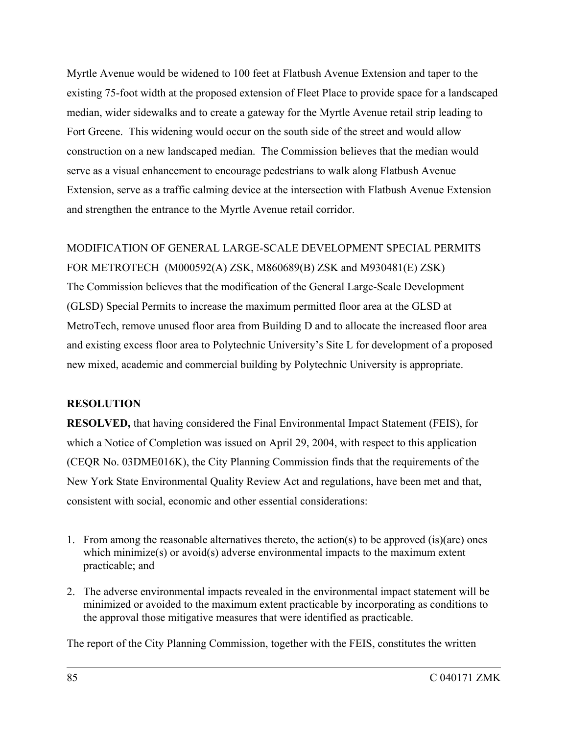Myrtle Avenue would be widened to 100 feet at Flatbush Avenue Extension and taper to the existing 75-foot width at the proposed extension of Fleet Place to provide space for a landscaped median, wider sidewalks and to create a gateway for the Myrtle Avenue retail strip leading to Fort Greene. This widening would occur on the south side of the street and would allow construction on a new landscaped median. The Commission believes that the median would serve as a visual enhancement to encourage pedestrians to walk along Flatbush Avenue Extension, serve as a traffic calming device at the intersection with Flatbush Avenue Extension and strengthen the entrance to the Myrtle Avenue retail corridor.

MODIFICATION OF GENERAL LARGE-SCALE DEVELOPMENT SPECIAL PERMITS FOR METROTECH (M000592(A) ZSK, M860689(B) ZSK and M930481(E) ZSK) The Commission believes that the modification of the General Large-Scale Development (GLSD) Special Permits to increase the maximum permitted floor area at the GLSD at MetroTech, remove unused floor area from Building D and to allocate the increased floor area and existing excess floor area to Polytechnic University's Site L for development of a proposed new mixed, academic and commercial building by Polytechnic University is appropriate.

### **RESOLUTION**

**RESOLVED,** that having considered the Final Environmental Impact Statement (FEIS), for which a Notice of Completion was issued on April 29, 2004, with respect to this application (CEQR No. 03DME016K), the City Planning Commission finds that the requirements of the New York State Environmental Quality Review Act and regulations, have been met and that, consistent with social, economic and other essential considerations:

- 1. From among the reasonable alternatives thereto, the action(s) to be approved (is)(are) ones which minimize(s) or avoid(s) adverse environmental impacts to the maximum extent practicable; and
- 2. The adverse environmental impacts revealed in the environmental impact statement will be minimized or avoided to the maximum extent practicable by incorporating as conditions to the approval those mitigative measures that were identified as practicable.

The report of the City Planning Commission, together with the FEIS, constitutes the written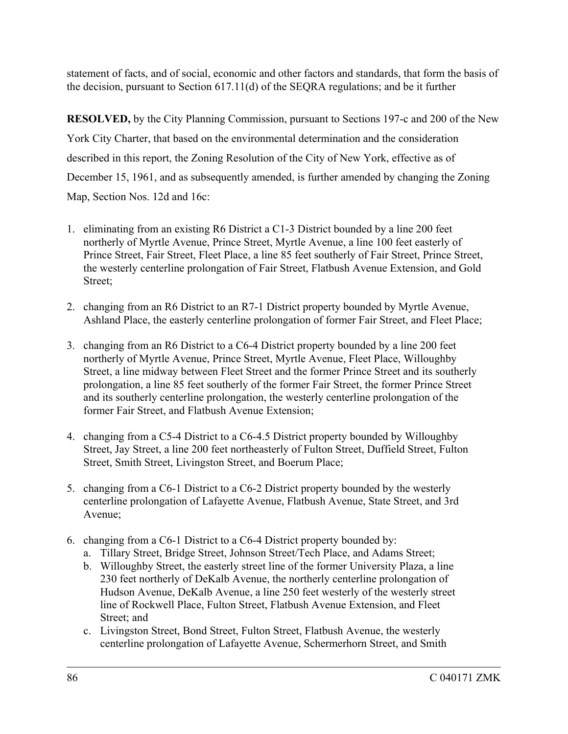statement of facts, and of social, economic and other factors and standards, that form the basis of the decision, pursuant to Section 617.11(d) of the SEQRA regulations; and be it further

**RESOLVED,** by the City Planning Commission, pursuant to Sections 197-c and 200 of the New York City Charter, that based on the environmental determination and the consideration described in this report, the Zoning Resolution of the City of New York, effective as of December 15, 1961, and as subsequently amended, is further amended by changing the Zoning Map, Section Nos. 12d and 16c:

- 1. eliminating from an existing R6 District a C1-3 District bounded by a line 200 feet northerly of Myrtle Avenue, Prince Street, Myrtle Avenue, a line 100 feet easterly of Prince Street, Fair Street, Fleet Place, a line 85 feet southerly of Fair Street, Prince Street, the westerly centerline prolongation of Fair Street, Flatbush Avenue Extension, and Gold Street;
- 2. changing from an R6 District to an R7-1 District property bounded by Myrtle Avenue, Ashland Place, the easterly centerline prolongation of former Fair Street, and Fleet Place;
- 3. changing from an R6 District to a C6-4 District property bounded by a line 200 feet northerly of Myrtle Avenue, Prince Street, Myrtle Avenue, Fleet Place, Willoughby Street, a line midway between Fleet Street and the former Prince Street and its southerly prolongation, a line 85 feet southerly of the former Fair Street, the former Prince Street and its southerly centerline prolongation, the westerly centerline prolongation of the former Fair Street, and Flatbush Avenue Extension;
- 4. changing from a C5-4 District to a C6-4.5 District property bounded by Willoughby Street, Jay Street, a line 200 feet northeasterly of Fulton Street, Duffield Street, Fulton Street, Smith Street, Livingston Street, and Boerum Place;
- 5. changing from a C6-1 District to a C6-2 District property bounded by the westerly centerline prolongation of Lafayette Avenue, Flatbush Avenue, State Street, and 3rd Avenue;
- 6. changing from a C6-1 District to a C6-4 District property bounded by:
	- a. Tillary Street, Bridge Street, Johnson Street/Tech Place, and Adams Street;
	- b. Willoughby Street, the easterly street line of the former University Plaza, a line 230 feet northerly of DeKalb Avenue, the northerly centerline prolongation of Hudson Avenue, DeKalb Avenue, a line 250 feet westerly of the westerly street line of Rockwell Place, Fulton Street, Flatbush Avenue Extension, and Fleet Street; and
	- c. Livingston Street, Bond Street, Fulton Street, Flatbush Avenue, the westerly centerline prolongation of Lafayette Avenue, Schermerhorn Street, and Smith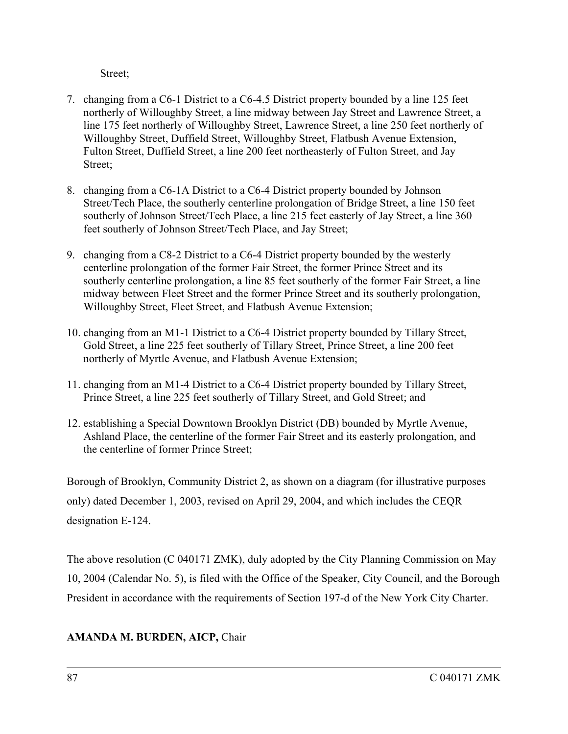Street;

- 7. changing from a C6-1 District to a C6-4.5 District property bounded by a line 125 feet northerly of Willoughby Street, a line midway between Jay Street and Lawrence Street, a line 175 feet northerly of Willoughby Street, Lawrence Street, a line 250 feet northerly of Willoughby Street, Duffield Street, Willoughby Street, Flatbush Avenue Extension, Fulton Street, Duffield Street, a line 200 feet northeasterly of Fulton Street, and Jay Street;
- 8. changing from a C6-1A District to a C6-4 District property bounded by Johnson Street/Tech Place, the southerly centerline prolongation of Bridge Street, a line 150 feet southerly of Johnson Street/Tech Place, a line 215 feet easterly of Jay Street, a line 360 feet southerly of Johnson Street/Tech Place, and Jay Street;
- 9. changing from a C8-2 District to a C6-4 District property bounded by the westerly centerline prolongation of the former Fair Street, the former Prince Street and its southerly centerline prolongation, a line 85 feet southerly of the former Fair Street, a line midway between Fleet Street and the former Prince Street and its southerly prolongation, Willoughby Street, Fleet Street, and Flatbush Avenue Extension;
- 10. changing from an M1-1 District to a C6-4 District property bounded by Tillary Street, Gold Street, a line 225 feet southerly of Tillary Street, Prince Street, a line 200 feet northerly of Myrtle Avenue, and Flatbush Avenue Extension;
- 11. changing from an M1-4 District to a C6-4 District property bounded by Tillary Street, Prince Street, a line 225 feet southerly of Tillary Street, and Gold Street; and
- 12. establishing a Special Downtown Brooklyn District (DB) bounded by Myrtle Avenue, Ashland Place, the centerline of the former Fair Street and its easterly prolongation, and the centerline of former Prince Street;

Borough of Brooklyn, Community District 2, as shown on a diagram (for illustrative purposes only) dated December 1, 2003, revised on April 29, 2004, and which includes the CEQR designation E-124.

The above resolution (C 040171 ZMK), duly adopted by the City Planning Commission on May 10, 2004 (Calendar No. 5), is filed with the Office of the Speaker, City Council, and the Borough President in accordance with the requirements of Section 197-d of the New York City Charter.

### **AMANDA M. BURDEN, AICP,** Chair